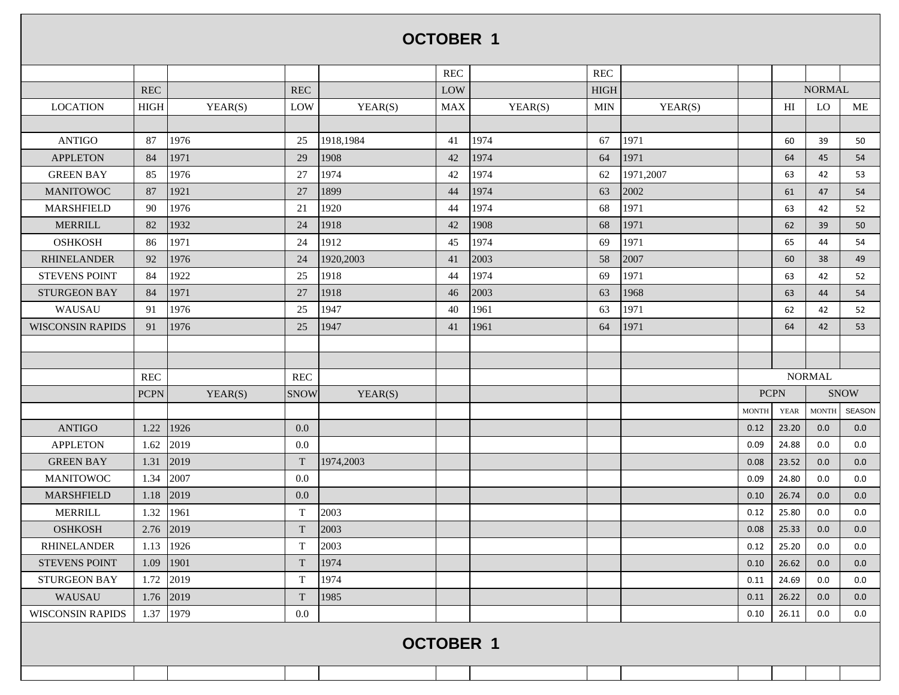## **OCTOBER 1**

|                         |                  |         |                           |           | <b>REC</b> |         | <b>REC</b>  |           |              |             |               |               |  |
|-------------------------|------------------|---------|---------------------------|-----------|------------|---------|-------------|-----------|--------------|-------------|---------------|---------------|--|
|                         | <b>REC</b>       |         | REC                       |           | LOW        |         | <b>HIGH</b> |           |              |             | <b>NORMAL</b> |               |  |
| <b>LOCATION</b>         | $_{\rm HIGH}$    | YEAR(S) | LOW                       | YEAR(S)   | <b>MAX</b> | YEAR(S) | <b>MIN</b>  | YEAR(S)   |              | HI          | LO            | ME            |  |
|                         |                  |         |                           |           |            |         |             |           |              |             |               |               |  |
| <b>ANTIGO</b>           | 87               | 1976    | 25                        | 1918,1984 | 41         | 1974    | 67          | 1971      |              | 60          | 39            | 50            |  |
| <b>APPLETON</b>         | 84               | 1971    | 29                        | 1908      | 42         | 1974    | 64          | 1971      |              | 64          | 45            | 54            |  |
| <b>GREEN BAY</b>        | 85               | 1976    | 27                        | 1974      | 42         | 1974    | 62          | 1971,2007 |              | 63          | 42            | 53            |  |
| <b>MANITOWOC</b>        | 87               | 1921    | 27                        | 1899      | 44         | 1974    | 63          | 2002      |              | 61          | 47            | 54            |  |
| MARSHFIELD              | 90               | 1976    | 21                        | 1920      | 44         | 1974    | 68          | 1971      |              | 63          | 42            | 52            |  |
| <b>MERRILL</b>          | 82               | 1932    | 24                        | 1918      | 42         | 1908    | 68          | 1971      |              | 62          | 39            | 50            |  |
| <b>OSHKOSH</b>          | 86               | 1971    | 24                        | 1912      | 45         | 1974    | 69          | 1971      |              | 65          | 44            | 54            |  |
| <b>RHINELANDER</b>      | 92               | 1976    | 24                        | 1920,2003 | 41         | 2003    | 58          | 2007      |              | 60          | 38            | 49            |  |
| <b>STEVENS POINT</b>    | 84               | 1922    | 25                        | 1918      | 44         | 1974    | 69          | 1971      |              | 63          | 42            | 52            |  |
| <b>STURGEON BAY</b>     | 84               | 1971    | 27                        | 1918      | 46         | 2003    | 63          | 1968      |              | 63          | 44            | 54            |  |
| WAUSAU                  | 91               | 1976    | 25                        | 1947      | 40         | 1961    | 63          | 1971      |              | 62          | 42            | 52            |  |
| <b>WISCONSIN RAPIDS</b> | 91               | 1976    | 25                        | 1947      | 41         | 1961    | 64          | 1971      |              | 64          | 42            | 53            |  |
|                         |                  |         |                           |           |            |         |             |           |              |             |               |               |  |
|                         |                  |         |                           |           |            |         |             |           |              |             |               |               |  |
|                         | <b>REC</b>       |         | <b>REC</b>                |           |            |         |             |           |              |             | <b>NORMAL</b> |               |  |
|                         | <b>PCPN</b>      | YEAR(S) | <b>SNOW</b>               | YEAR(S)   |            |         |             |           | <b>PCPN</b>  |             |               | <b>SNOW</b>   |  |
|                         |                  |         |                           |           |            |         |             |           | <b>MONTH</b> | <b>YEAR</b> | <b>MONTH</b>  | <b>SEASON</b> |  |
| <b>ANTIGO</b>           | 1.22             | 1926    | 0.0                       |           |            |         |             |           | 0.12         | 23.20       | 0.0           | 0.0           |  |
| <b>APPLETON</b>         | 1.62             | 2019    | $0.0\,$                   |           |            |         |             |           | 0.09         | 24.88       | 0.0           | 0.0           |  |
| <b>GREEN BAY</b>        | 1.31             | 2019    | $\ensuremath{\mathrm{T}}$ | 1974,2003 |            |         |             |           | 0.08         | 23.52       | 0.0           | 0.0           |  |
| <b>MANITOWOC</b>        | 1.34             | 2007    | 0.0                       |           |            |         |             |           | 0.09         | 24.80       | 0.0           | 0.0           |  |
| <b>MARSHFIELD</b>       | 1.18             | 2019    | $0.0\,$                   |           |            |         |             |           | 0.10         | 26.74       | 0.0           | 0.0           |  |
| <b>MERRILL</b>          | 1.32             | 1961    | $\mathbf T$               | 2003      |            |         |             |           | 0.12         | 25.80       | 0.0           | 0.0           |  |
| <b>OSHKOSH</b>          | 2.76             | 2019    | $\ensuremath{\mathrm{T}}$ | 2003      |            |         |             |           | 0.08         | 25.33       | 0.0           | 0.0           |  |
| <b>RHINELANDER</b>      | 1.13             | 1926    | $\mathbf T$               | 2003      |            |         |             |           | 0.12         | 25.20       | $0.0\,$       | 0.0           |  |
| <b>STEVENS POINT</b>    | 1.09             | 1901    | $\ensuremath{\mathrm{T}}$ | 1974      |            |         |             |           | 0.10         | 26.62       | 0.0           | 0.0           |  |
| <b>STURGEON BAY</b>     | 1.72             | 2019    | T                         | 1974      |            |         |             |           | 0.11         | 24.69       | 0.0           | 0.0           |  |
| WAUSAU                  | 1.76             | 2019    | $\ensuremath{\mathrm{T}}$ | 1985      |            |         |             |           | 0.11         | 26.22       | 0.0           | 0.0           |  |
| <b>WISCONSIN RAPIDS</b> | 1.37             | 1979    | 0.0                       |           |            |         |             |           | 0.10         | 26.11       | 0.0           | 0.0           |  |
|                         | <b>OCTOBER 1</b> |         |                           |           |            |         |             |           |              |             |               |               |  |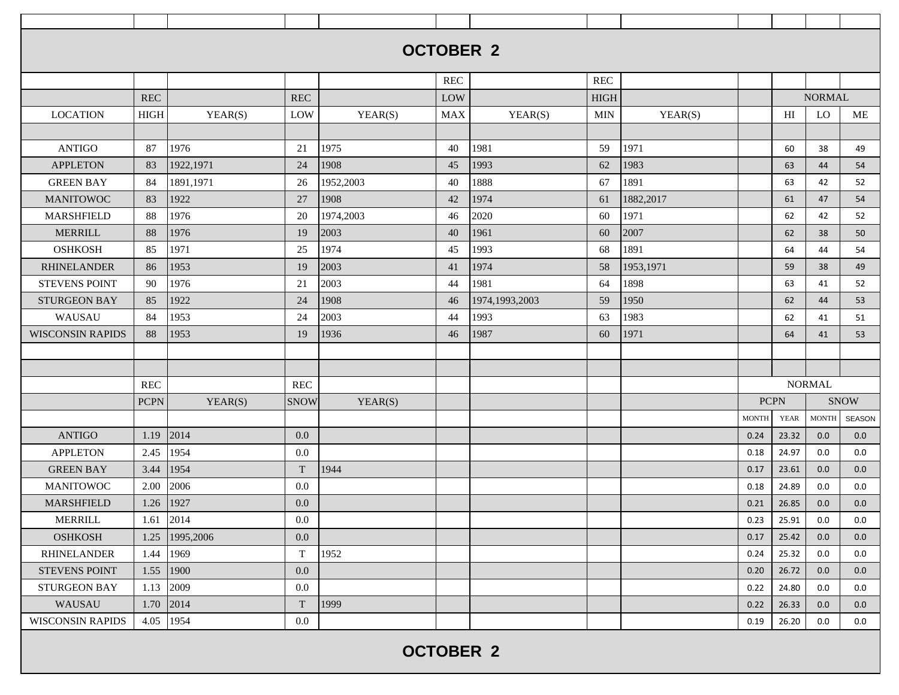|                         |             |                |             |           | <b>OCTOBER 2</b> |                  |             |           |              |             |               |             |
|-------------------------|-------------|----------------|-------------|-----------|------------------|------------------|-------------|-----------|--------------|-------------|---------------|-------------|
|                         |             |                |             |           |                  |                  |             |           |              |             |               |             |
|                         |             |                |             |           | <b>REC</b>       |                  | <b>REC</b>  |           |              |             |               |             |
|                         | <b>REC</b>  |                | <b>REC</b>  |           | LOW              |                  | <b>HIGH</b> |           |              |             | <b>NORMAL</b> |             |
| <b>LOCATION</b>         | HIGH        | YEAR(S)        | LOW         | YEAR(S)   | MAX              | YEAR(S)          | <b>MIN</b>  | YEAR(S)   |              | HI          | <b>LO</b>     | ME          |
|                         |             |                |             |           |                  |                  |             |           |              |             |               |             |
| <b>ANTIGO</b>           | 87          | 1976           | 21          | 1975      | 40               | 1981             | 59          | 1971      |              | 60          | 38            | 49          |
| <b>APPLETON</b>         | 83          | 1922,1971      | 24          | 1908      | 45               | 1993             | 62          | 1983      |              | 63          | 44            | 54          |
| <b>GREEN BAY</b>        | 84          | 1891,1971      | 26          | 1952,2003 | 40               | 1888             | 67          | 1891      |              | 63          | 42            | 52          |
| <b>MANITOWOC</b>        | 83          | 1922           | 27          | 1908      | 42               | 1974             | 61          | 1882,2017 |              | 61          | 47            | 54          |
| MARSHFIELD              | 88          | 1976           | 20          | 1974,2003 | 46               | 2020             | 60          | 1971      |              | 62          | 42            | 52          |
| <b>MERRILL</b>          | 88          | 1976           | 19          | 2003      | 40               | 1961             | 60          | 2007      |              | 62          | 38            | 50          |
| <b>OSHKOSH</b>          | 85          | 1971           | 25          | 1974      | 45               | 1993             | 68          | 1891      |              | 64          | 44            | 54          |
| <b>RHINELANDER</b>      | 86          | 1953           | 19          | 2003      | 41               | 1974             | 58          | 1953,1971 |              | 59          | 38            | 49          |
| <b>STEVENS POINT</b>    | 90          | 1976           | 21          | 2003      | 44               | 1981             | 64          | 1898      |              | 63          | 41            | 52          |
| <b>STURGEON BAY</b>     | 85          | 1922           | 24          | 1908      | 46               | 1974, 1993, 2003 | 59          | 1950      |              | 62          | 44            | 53          |
| WAUSAU                  | 84          | 1953           | 24          | 2003      | 44               | 1993             | 63          | 1983      |              | 62          | 41            | 51          |
| <b>WISCONSIN RAPIDS</b> | 88          | 1953           | 19          | 1936      | 46               | 1987             | 60          | 1971      |              | 64          | 41            | 53          |
|                         |             |                |             |           |                  |                  |             |           |              |             |               |             |
|                         |             |                |             |           |                  |                  |             |           |              |             |               |             |
|                         | <b>REC</b>  |                | <b>REC</b>  |           |                  |                  |             |           |              |             | <b>NORMAL</b> |             |
|                         | <b>PCPN</b> | YEAR(S)        | <b>SNOW</b> | YEAR(S)   |                  |                  |             |           | <b>PCPN</b>  |             |               | <b>SNOW</b> |
|                         |             |                |             |           |                  |                  |             |           | <b>MONTH</b> | <b>YEAR</b> | <b>MONTH</b>  | SEASON      |
| <b>ANTIGO</b>           | 1.19        | 2014           | 0.0         |           |                  |                  |             |           | 0.24         | 23.32       | 0.0           | 0.0         |
| <b>APPLETON</b>         | 2.45        | 1954           | 0.0         |           |                  |                  |             |           | $0.18\,$     | 24.97       | 0.0           | 0.0         |
| <b>GREEN BAY</b>        | 3.44        | 1954           | T           | 1944      |                  |                  |             |           | 0.17         | 23.61       | 0.0           | 0.0         |
| <b>MANITOWOC</b>        | 2.00        | 2006           | 0.0         |           |                  |                  |             |           | 0.18         | 24.89       | 0.0           | 0.0         |
| <b>MARSHFIELD</b>       | 1.26        | 1927           | 0.0         |           |                  |                  |             |           | 0.21         | 26.85       | 0.0           | 0.0         |
| MERRILL                 |             | 1.61 2014      | $0.0\,$     |           |                  |                  |             |           | 0.23         | 25.91       | 0.0           | 0.0         |
| <b>OSHKOSH</b>          |             | 1.25 1995,2006 | $0.0\,$     |           |                  |                  |             |           | 0.17         | 25.42       | 0.0           | 0.0         |
| <b>RHINELANDER</b>      | 1.44 1969   |                | $\mathbf T$ | 1952      |                  |                  |             |           | 0.24         | 25.32       | 0.0           | 0.0         |
| <b>STEVENS POINT</b>    |             | $1.55$   1900  | 0.0         |           |                  |                  |             |           | 0.20         | 26.72       | 0.0           | 0.0         |
| <b>STURGEON BAY</b>     | 1.13        | 2009           | $0.0\,$     |           |                  |                  |             |           | 0.22         | 24.80       | 0.0           | 0.0         |
| WAUSAU                  | 1.70 2014   |                | $\mathbf T$ | 1999      |                  |                  |             |           | 0.22         | 26.33       | 0.0           | 0.0         |
| <b>WISCONSIN RAPIDS</b> | 4.05        | 1954           | 0.0         |           |                  |                  |             |           | 0.19         | 26.20       | 0.0           | 0.0         |
|                         |             |                |             |           |                  |                  |             |           |              |             |               |             |
|                         |             |                |             |           | <b>OCTOBER 2</b> |                  |             |           |              |             |               |             |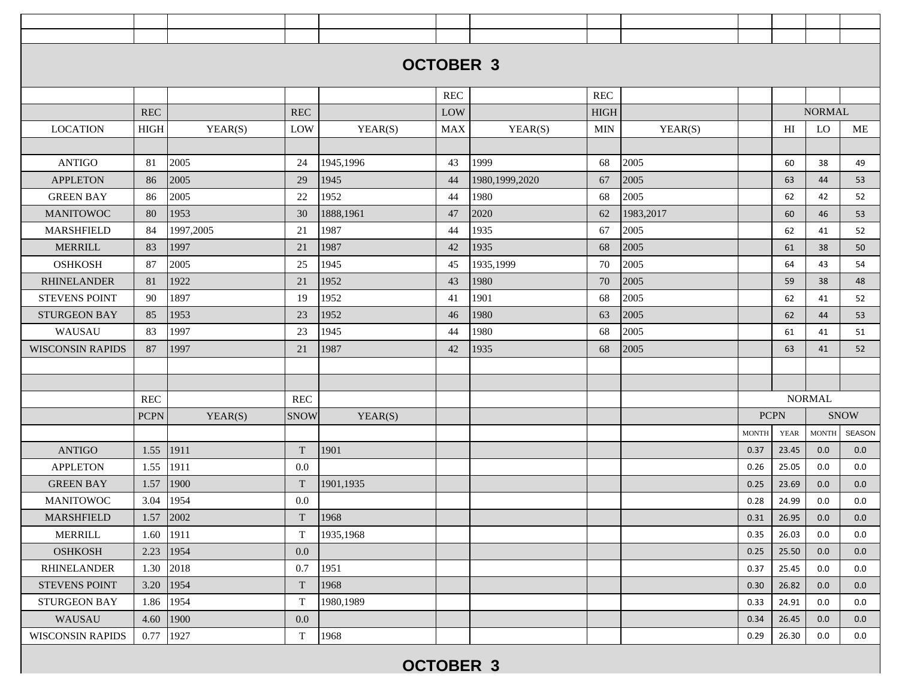|                         |             |           |                           |           | <b>OCTOBER 3</b> |                  |             |           |              |                |               |               |
|-------------------------|-------------|-----------|---------------------------|-----------|------------------|------------------|-------------|-----------|--------------|----------------|---------------|---------------|
|                         |             |           |                           |           |                  |                  |             |           |              |                |               |               |
|                         |             |           |                           |           | <b>REC</b>       |                  | <b>REC</b>  |           |              |                |               |               |
|                         | <b>REC</b>  |           | <b>REC</b>                |           | LOW              |                  | <b>HIGH</b> |           |              |                | <b>NORMAL</b> |               |
| <b>LOCATION</b>         | HIGH        | YEAR(S)   | LOW                       | YEAR(S)   | <b>MAX</b>       | YEAR(S)          | <b>MIN</b>  | YEAR(S)   |              | H <sub>I</sub> | LO            | ME            |
|                         |             |           |                           |           |                  |                  |             |           |              |                |               |               |
| <b>ANTIGO</b>           | 81          | 2005      | 24                        | 1945,1996 | 43               | 1999             | 68          | 2005      |              | 60             | 38            | 49            |
| <b>APPLETON</b>         | 86          | 2005      | 29                        | 1945      | 44               | 1980, 1999, 2020 | 67          | 2005      |              | 63             | 44            | 53            |
| <b>GREEN BAY</b>        | 86          | 2005      | 22                        | 1952      | 44               | 1980             | 68          | 2005      |              | 62             | 42            | 52            |
| <b>MANITOWOC</b>        | 80          | 1953      | 30                        | 1888,1961 | 47               | 2020             | 62          | 1983,2017 |              | 60             | 46            | 53            |
| <b>MARSHFIELD</b>       | 84          | 1997,2005 | 21                        | 1987      | 44               | 1935             | 67          | 2005      |              | 62             | 41            | 52            |
| <b>MERRILL</b>          | 83          | 1997      | 21                        | 1987      | 42               | 1935             | 68          | 2005      |              | 61             | 38            | 50            |
| <b>OSHKOSH</b>          | 87          | 2005      | 25                        | 1945      | 45               | 1935,1999        | 70          | 2005      |              | 64             | 43            | 54            |
| <b>RHINELANDER</b>      | 81          | 1922      | 21                        | 1952      | 43               | 1980             | 70          | 2005      |              | 59             | 38            | 48            |
| <b>STEVENS POINT</b>    | 90          | 1897      | 19                        | 1952      | 41               | 1901             | 68          | 2005      |              | 62             | 41            | 52            |
| <b>STURGEON BAY</b>     | 85          | 1953      | 23                        | 1952      | 46               | 1980             | 63          | 2005      |              | 62             | 44            | 53            |
| WAUSAU                  | 83          | 1997      | 23                        | 1945      | 44               | 1980             | 68          | 2005      |              | 61             | 41            | 51            |
| <b>WISCONSIN RAPIDS</b> | 87          | 1997      | 21                        | 1987      | 42               | 1935             | 68          | 2005      |              | 63             | 41            | 52            |
|                         |             |           |                           |           |                  |                  |             |           |              |                |               |               |
|                         |             |           |                           |           |                  |                  |             |           |              |                |               |               |
|                         | <b>REC</b>  |           | <b>REC</b>                |           |                  |                  |             |           |              |                | <b>NORMAL</b> |               |
|                         | <b>PCPN</b> | YEAR(S)   | <b>SNOW</b>               | YEAR(S)   |                  |                  |             |           | <b>PCPN</b>  |                |               | <b>SNOW</b>   |
|                         |             |           |                           |           |                  |                  |             |           | <b>MONTH</b> | <b>YEAR</b>    | MONTH         | <b>SEASON</b> |
| <b>ANTIGO</b>           | 1.55        | 1911      | $\ensuremath{\mathrm{T}}$ | 1901      |                  |                  |             |           | 0.37         | 23.45          | 0.0           | 0.0           |
| <b>APPLETON</b>         | 1.55        | 1911      | 0.0                       |           |                  |                  |             |           | 0.26         | 25.05          | 0.0           | 0.0           |
| <b>GREEN BAY</b>        | 1.57        | 1900      | T                         | 1901,1935 |                  |                  |             |           | 0.25         | 23.69          | 0.0           | 0.0           |
| <b>MANITOWOC</b>        | 3.04        | 1954      | 0.0                       |           |                  |                  |             |           | 0.28         | 24.99          | 0.0           | 0.0           |
| <b>MARSHFIELD</b>       | 1.57        | 2002      | $\mathbf T$               | 1968      |                  |                  |             |           | 0.31         | 26.95          | 0.0           | 0.0           |
| <b>MERRILL</b>          | 1.60        | 1911      | T                         | 1935,1968 |                  |                  |             |           | 0.35         | 26.03          | 0.0           | 0.0           |
| <b>OSHKOSH</b>          | 2.23        | 1954      | 0.0                       |           |                  |                  |             |           | 0.25         | 25.50          | 0.0           | 0.0           |
| <b>RHINELANDER</b>      | 1.30        | 2018      | 0.7                       | 1951      |                  |                  |             |           | 0.37         | 25.45          | 0.0           | 0.0           |
| <b>STEVENS POINT</b>    | 3.20        | 1954      | T                         | 1968      |                  |                  |             |           | 0.30         | 26.82          | 0.0           | 0.0           |
| <b>STURGEON BAY</b>     | 1.86        | 1954      | T                         | 1980,1989 |                  |                  |             |           | 0.33         | 24.91          | 0.0           | 0.0           |
| WAUSAU                  | 4.60        | 1900      | 0.0                       |           |                  |                  |             |           | 0.34         | 26.45          | 0.0           | 0.0           |
| <b>WISCONSIN RAPIDS</b> | 0.77        | 1927      | T                         | 1968      |                  |                  |             |           | 0.29         | 26.30          | 0.0           | 0.0           |
|                         |             |           |                           |           | <b>OCTOBER 3</b> |                  |             |           |              |                |               |               |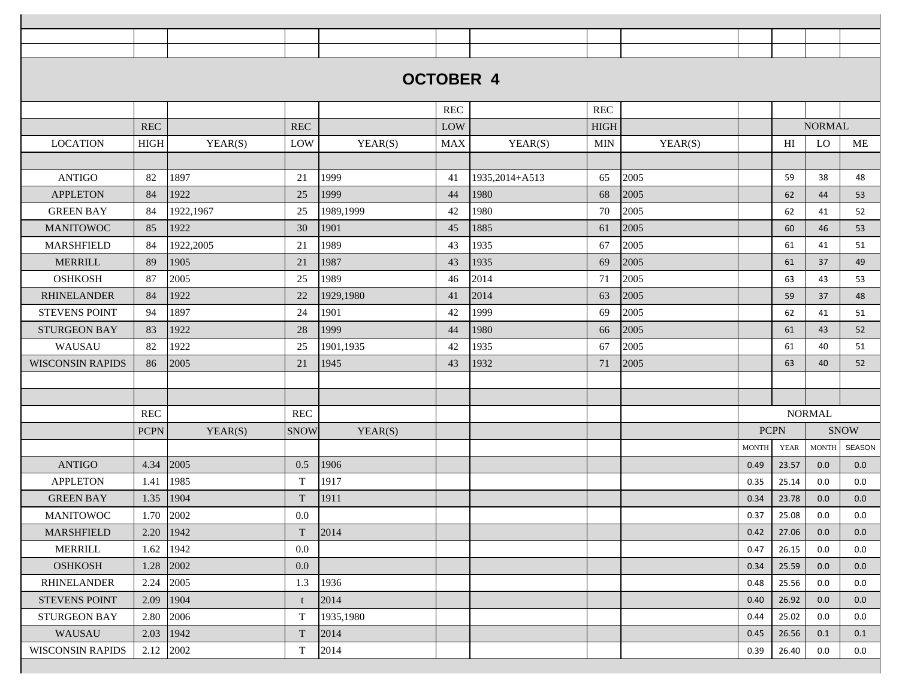|                         |               |           |              |           | <b>OCTOBER 4</b> |                   |             |         |              |                |               |             |
|-------------------------|---------------|-----------|--------------|-----------|------------------|-------------------|-------------|---------|--------------|----------------|---------------|-------------|
|                         |               |           |              |           |                  |                   |             |         |              |                |               |             |
|                         |               |           |              |           | <b>REC</b>       |                   | <b>REC</b>  |         |              |                |               |             |
|                         | <b>REC</b>    |           | <b>REC</b>   |           | LOW              |                   | <b>HIGH</b> |         |              |                | <b>NORMAL</b> |             |
| <b>LOCATION</b>         | <b>HIGH</b>   | YEAR(S)   | LOW          | YEAR(S)   | <b>MAX</b>       | YEAR(S)           | MIN         | YEAR(S) |              | H <sub>I</sub> | LO            | ME          |
|                         |               |           |              |           |                  |                   |             |         |              |                |               |             |
| <b>ANTIGO</b>           | 82            | 1897      | 21           | 1999      | 41               | 1935, 2014 + A513 | 65          | 2005    |              | 59             | 38            | 48          |
| <b>APPLETON</b>         | 84            | 1922      | 25           | 1999      | 44               | 1980              | 68          | 2005    |              | 62             | 44            | 53          |
| <b>GREEN BAY</b>        | 84            | 1922,1967 | 25           | 1989,1999 | 42               | 1980              | 70          | 2005    |              | 62             | 41            | 52          |
| <b>MANITOWOC</b>        | 85            | 1922      | 30           | 1901      | 45               | 1885              | 61          | 2005    |              | 60             | 46            | 53          |
| <b>MARSHFIELD</b>       | 84            | 1922,2005 | 21           | 1989      | 43               | 1935              | 67          | 2005    |              | 61             | 41            | 51          |
| <b>MERRILL</b>          | 89            | 1905      | 21           | 1987      | 43               | 1935              | 69          | 2005    |              | 61             | 37            | 49          |
| <b>OSHKOSH</b>          | 87            | 2005      | 25           | 1989      | 46               | 2014              | 71          | 2005    |              | 63             | 43            | 53          |
| <b>RHINELANDER</b>      | 84            | 1922      | 22           | 1929,1980 | 41               | 2014              | 63          | 2005    |              | 59             | 37            | 48          |
| <b>STEVENS POINT</b>    | 94            | 1897      | 24           | 1901      | 42               | 1999              | 69          | 2005    |              | 62             | 41            | 51          |
| <b>STURGEON BAY</b>     | 83            | 1922      | 28           | 1999      | 44               | 1980              | 66          | 2005    |              | 61             | 43            | 52          |
| WAUSAU                  | 82            | 1922      | 25           | 1901,1935 | 42               | 1935              | 67          | 2005    |              | 61             | 40            | 51          |
| <b>WISCONSIN RAPIDS</b> | 86            | 2005      | 21           | 1945      | 43               | 1932              | 71          | 2005    |              | 63             | 40            | 52          |
|                         |               |           |              |           |                  |                   |             |         |              |                |               |             |
|                         |               |           |              |           |                  |                   |             |         |              |                |               |             |
|                         | REC           |           | <b>REC</b>   |           |                  |                   |             |         |              |                | <b>NORMAL</b> |             |
|                         | <b>PCPN</b>   | YEAR(S)   | <b>SNOW</b>  | YEAR(S)   |                  |                   |             |         | <b>PCPN</b>  |                |               | <b>SNOW</b> |
|                         |               |           |              |           |                  |                   |             |         | <b>MONTH</b> | YEAR           | MONTH         | SEASON      |
| <b>ANTIGO</b>           | 4.34          | 2005      | 0.5          | 1906      |                  |                   |             |         | 0.49         | 23.57          | 0.0           | 0.0         |
| <b>APPLETON</b>         | 1.41          | 1985      | $\mathbf T$  | 1917      |                  |                   |             |         | 0.35         | 25.14          | 0.0           | 0.0         |
| <b>GREEN BAY</b>        | 1.35          | 1904      | T            | 1911      |                  |                   |             |         | 0.34         | 23.78          | 0.0           | 0.0         |
| <b>MANITOWOC</b>        | 1.70 2002     |           | $0.0\,$      |           |                  |                   |             |         | 0.37         | 25.08          | $0.0\,$       | 0.0         |
| <b>MARSHFIELD</b>       | $2.20$   1942 |           | T            | 2014      |                  |                   |             |         | 0.42         | 27.06          | 0.0           | 0.0         |
| MERRILL                 | $1.62$   1942 |           | $0.0\,$      |           |                  |                   |             |         | 0.47         | 26.15          | 0.0           | 0.0         |
| <b>OSHKOSH</b>          | 1.28 2002     |           | $0.0\,$      |           |                  |                   |             |         | 0.34         | 25.59          | 0.0           | 0.0         |
| <b>RHINELANDER</b>      | 2.24 2005     |           | 1.3          | 1936      |                  |                   |             |         | 0.48         | 25.56          | 0.0           | 0.0         |
| <b>STEVENS POINT</b>    | 2.09          | 1904      | $\mathbf{f}$ | 2014      |                  |                   |             |         | 0.40         | 26.92          | 0.0           | 0.0         |
| STURGEON BAY            | 2.80          | 2006      | T            | 1935,1980 |                  |                   |             |         | 0.44         | 25.02          | 0.0           | 0.0         |
| WAUSAU                  | $2.03$   1942 |           | T            | 2014      |                  |                   |             |         | 0.45         | 26.56          | 0.1           | 0.1         |
| <b>WISCONSIN RAPIDS</b> | $2.12$ 2002   |           | $\mathbf T$  | 2014      |                  |                   |             |         | 0.39         | 26.40          | 0.0           | 0.0         |
|                         |               |           |              |           |                  |                   |             |         |              |                |               |             |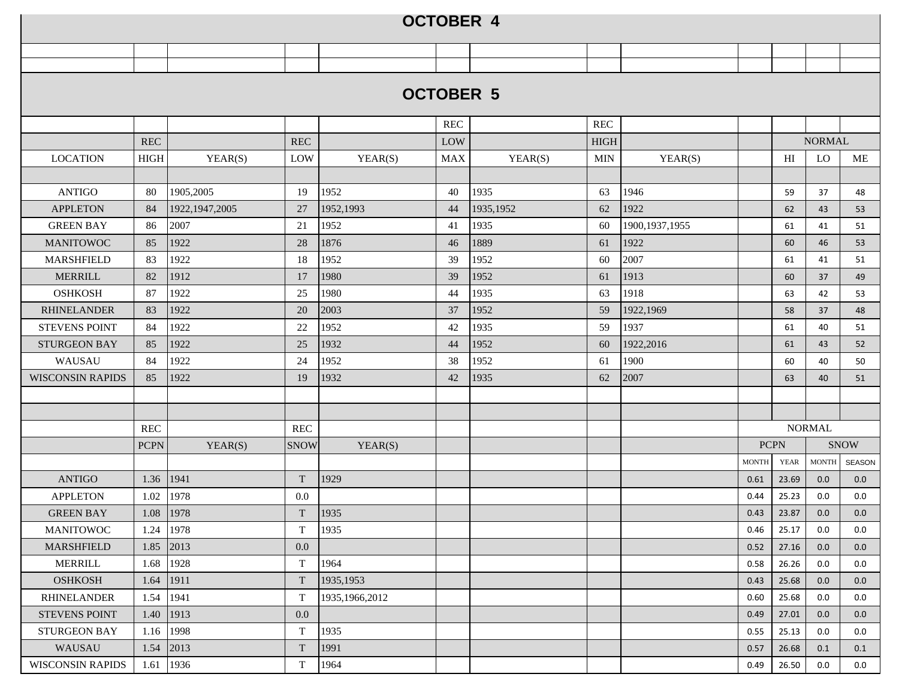| <b>OCTOBER 5</b>                                                                                                               |               |
|--------------------------------------------------------------------------------------------------------------------------------|---------------|
| $\operatorname{REC}$<br><b>REC</b>                                                                                             |               |
| <b>NORMAL</b><br><b>REC</b><br><b>REC</b><br>LOW<br><b>HIGH</b>                                                                |               |
| HIGH<br>LO<br><b>LOCATION</b><br>YEAR(S)<br>YEAR(S)<br><b>MAX</b><br>YEAR(S)<br>H <sub>I</sub><br>LOW<br><b>MIN</b><br>YEAR(S) | ME            |
|                                                                                                                                |               |
| <b>ANTIGO</b><br>1952<br>1935<br>1946<br>80<br>1905,2005<br>19<br>40<br>63<br>59<br>37                                         | 48            |
| <b>APPLETON</b><br>1922, 1947, 2005<br>1952,1993<br>1935, 1952<br>1922<br>84<br>27<br>44<br>62<br>62<br>43                     | 53            |
| 2007<br>21<br>1952<br>1935<br>1900, 1937, 1955<br><b>GREEN BAY</b><br>86<br>41<br>60<br>61<br>41                               | 51            |
| <b>MANITOWOC</b><br>1922<br>1876<br>1889<br>1922<br>85<br>28<br>46<br>61<br>60<br>46                                           | 53            |
| 1952<br>2007<br>83<br>1922<br>18<br>39<br>1952<br>60<br><b>MARSHFIELD</b><br>61<br>41                                          | 51            |
| 1913<br><b>MERRILL</b><br>1912<br>1980<br>39<br>82<br>17<br>1952<br>61<br>60<br>37                                             | 49            |
| 1918<br><b>OSHKOSH</b><br>87<br>1922<br>25<br>1980<br>1935<br>63<br>44<br>63<br>42                                             | 53            |
| 1922<br>2003<br>1922,1969<br><b>RHINELANDER</b><br>83<br>20<br>37<br>1952<br>59<br>58<br>37                                    | 48            |
| 22<br>1952<br>59<br>1937<br><b>STEVENS POINT</b><br>84<br>1922<br>1935<br>42<br>61<br>40                                       | 51            |
| <b>STURGEON BAY</b><br>1922<br>1932<br>1952<br>1922,2016<br>85<br>25<br>44<br>60<br>61<br>43                                   | 52            |
| 1922<br>1952<br>1900<br>WAUSAU<br>84<br>24<br>38<br>1952<br>61<br>60<br>40                                                     | 50            |
| 1922<br>1932<br>1935<br>62<br>2007<br><b>WISCONSIN RAPIDS</b><br>85<br>19<br>42<br>40<br>63                                    | 51            |
|                                                                                                                                |               |
|                                                                                                                                |               |
| <b>NORMAL</b><br>REC<br><b>REC</b>                                                                                             |               |
| <b>PCPN</b><br><b>PCPN</b><br>YEAR(S)<br><b>SNOW</b><br>YEAR(S)                                                                | <b>SNOW</b>   |
| <b>MONTH</b><br><b>YEAR</b><br><b>MONTH</b>                                                                                    | <b>SEASON</b> |
| 1941<br>1929<br><b>ANTIGO</b><br>1.36<br>T<br>0.61<br>23.69<br>0.0                                                             | 0.0           |
| 1978<br><b>APPLETON</b><br>0.0<br>1.02<br>25.23<br>0.44<br>0.0                                                                 | 0.0           |
| 1978<br>$\mathbf T$<br>1935<br>1.08<br><b>GREEN BAY</b><br>0.43<br>23.87<br>0.0                                                | 0.0           |
| 1935<br><b>MANITOWOC</b><br>1978<br>T<br>1.24<br>0.46<br>25.17<br>0.0                                                          | 0.0           |
| 2013<br>1.85<br>0.0<br><b>MARSHFIELD</b><br>0.52<br>27.16<br>0.0                                                               | 0.0           |
| 1928<br>$\mathbf T$<br>1964<br>26.26<br><b>MERRILL</b><br>1.68<br>0.58<br>0.0                                                  | 0.0           |
| 1911<br><b>OSHKOSH</b><br>T<br>1935, 1953<br>1.64<br>0.43<br>25.68<br>0.0                                                      | 0.0           |
| 1941<br><b>RHINELANDER</b><br>1.54<br>T<br>1935, 1966, 2012<br>25.68<br>0.60<br>0.0                                            | 0.0           |
| 1913<br>0.0<br><b>STEVENS POINT</b><br>1.40<br>0.49<br>27.01<br>0.0                                                            | 0.0           |
| 1998<br>$\mathbf T$<br>1935<br>STURGEON BAY<br>25.13<br>1.16<br>0.55<br>0.0                                                    | 0.0           |
| 1991<br>WAUSAU<br>2013<br>T<br>1.54<br>0.57<br>26.68<br>0.1                                                                    | 0.1           |
| <b>WISCONSIN RAPIDS</b><br>1936<br>T<br>1964<br>1.61<br>26.50<br>0.49<br>0.0                                                   | 0.0           |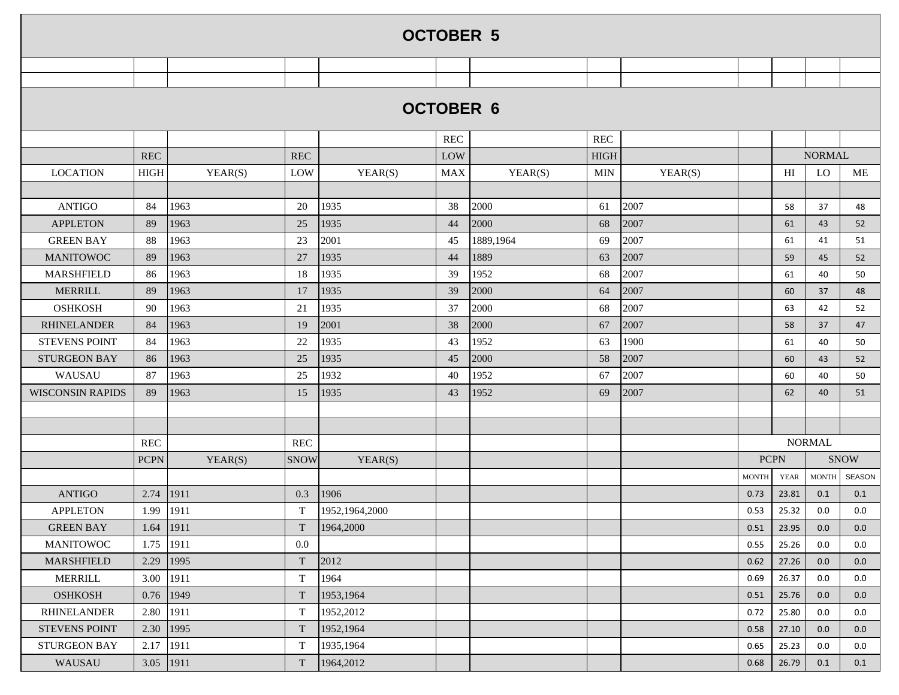|                         |               |         |             |                | <b>OCTOBER 5</b> |           |            |         |              |                            |               |             |
|-------------------------|---------------|---------|-------------|----------------|------------------|-----------|------------|---------|--------------|----------------------------|---------------|-------------|
|                         |               |         |             |                |                  |           |            |         |              |                            |               |             |
|                         |               |         |             |                |                  |           |            |         |              |                            |               |             |
|                         |               |         |             |                | <b>OCTOBER 6</b> |           |            |         |              |                            |               |             |
|                         |               |         |             |                | <b>REC</b>       |           | <b>REC</b> |         |              |                            |               |             |
|                         | <b>REC</b>    |         | REC         |                | LOW              |           | HIGH       |         |              |                            | <b>NORMAL</b> |             |
| <b>LOCATION</b>         | HIGH          | YEAR(S) | LOW         | YEAR(S)        | <b>MAX</b>       | YEAR(S)   | <b>MIN</b> | YEAR(S) |              | $\mathop{\rm HI}\nolimits$ | LO            | ME          |
|                         |               |         |             |                |                  |           |            |         |              |                            |               |             |
| <b>ANTIGO</b>           | 84            | 1963    | 20          | 1935           | 38               | 2000      | 61         | 2007    |              | 58                         | 37            | 48          |
| <b>APPLETON</b>         | 89            | 1963    | 25          | 1935           | 44               | 2000      | 68         | 2007    |              | 61                         | 43            | 52          |
| <b>GREEN BAY</b>        | 88            | 1963    | 23          | 2001           | 45               | 1889,1964 | 69         | 2007    |              | 61                         | 41            | 51          |
| <b>MANITOWOC</b>        | 89            | 1963    | 27          | 1935           | 44               | 1889      | 63         | 2007    |              | 59                         | 45            | 52          |
| <b>MARSHFIELD</b>       | 86            | 1963    | 18          | 1935           | 39               | 1952      | 68         | 2007    |              | 61                         | 40            | 50          |
| <b>MERRILL</b>          | 89            | 1963    | 17          | 1935           | 39               | 2000      | 64         | 2007    |              | 60                         | 37            | 48          |
| <b>OSHKOSH</b>          | 90            | 1963    | 21          | 1935           | 37               | 2000      | 68         | 2007    |              | 63                         | 42            | 52          |
| <b>RHINELANDER</b>      | 84            | 1963    | 19          | 2001           | 38               | 2000      | 67         | 2007    |              | 58                         | 37            | 47          |
| <b>STEVENS POINT</b>    | 84            | 1963    | 22          | 1935           | 43               | 1952      | 63         | 1900    |              | 61                         | 40            | 50          |
| <b>STURGEON BAY</b>     | 86            | 1963    | 25          | 1935           | 45               | 2000      | 58         | 2007    |              | 60                         | 43            | 52          |
| WAUSAU                  | 87            | 1963    | 25          | 1932           | 40               | 1952      | 67         | 2007    |              | 60                         | 40            | 50          |
| <b>WISCONSIN RAPIDS</b> | 89            | 1963    | 15          | 1935           | 43               | 1952      | 69         | 2007    |              | 62                         | 40            | 51          |
|                         |               |         |             |                |                  |           |            |         |              |                            |               |             |
|                         |               |         |             |                |                  |           |            |         |              |                            |               |             |
|                         | <b>REC</b>    |         | REC         |                |                  |           |            |         |              |                            | <b>NORMAL</b> |             |
|                         | <b>PCPN</b>   | YEAR(S) | <b>SNOW</b> | YEAR(S)        |                  |           |            |         | <b>PCPN</b>  |                            |               | <b>SNOW</b> |
|                         |               |         |             |                |                  |           |            |         | <b>MONTH</b> | <b>YEAR</b>                | <b>MONTH</b>  | SEASON      |
| <b>ANTIGO</b>           | 2.74          | 1911    | 0.3         | 1906           |                  |           |            |         | 0.73         | 23.81                      | 0.1           | 0.1         |
| <b>APPLETON</b>         | 1.99          | 1911    | $\mathbf T$ | 1952,1964,2000 |                  |           |            |         | 0.53         | 25.32                      | 0.0           | 0.0         |
| <b>GREEN BAY</b>        | $1.64$   1911 |         |             | $T$ 1964,2000  |                  |           |            |         | 0.51         | 23.95                      | 0.0           | 0.0         |
| MANITOWOC               | 1.75   1911   |         | $0.0\,$     |                |                  |           |            |         | 0.55         | 25.26                      | 0.0           | $0.0\,$     |
| MARSHFIELD              | 2.29 1995     |         | $\mathbf T$ | 2012           |                  |           |            |         | 0.62         | 27.26                      | 0.0           | 0.0         |
| <b>MERRILL</b>          | 3.00          | 1911    | $\mathbf T$ | 1964           |                  |           |            |         | 0.69         | 26.37                      | 0.0           | 0.0         |
| <b>OSHKOSH</b>          | 0.76 1949     |         | $\mathbf T$ | 1953,1964      |                  |           |            |         | 0.51         | 25.76                      | 0.0           | 0.0         |
| <b>RHINELANDER</b>      | 2.80          | 1911    | $\mathbf T$ | 1952,2012      |                  |           |            |         | 0.72         | 25.80                      | 0.0           | 0.0         |
| <b>STEVENS POINT</b>    | 2.30          | 1995    | T           | 1952,1964      |                  |           |            |         | 0.58         | 27.10                      | 0.0           | 0.0         |
| STURGEON BAY            | 2.17          | 1911    | T           | 1935,1964      |                  |           |            |         | 0.65         | 25.23                      | 0.0           | 0.0         |
| WAUSAU                  | 3.05 1911     |         | T           | 1964,2012      |                  |           |            |         | 0.68         | 26.79                      | 0.1           | 0.1         |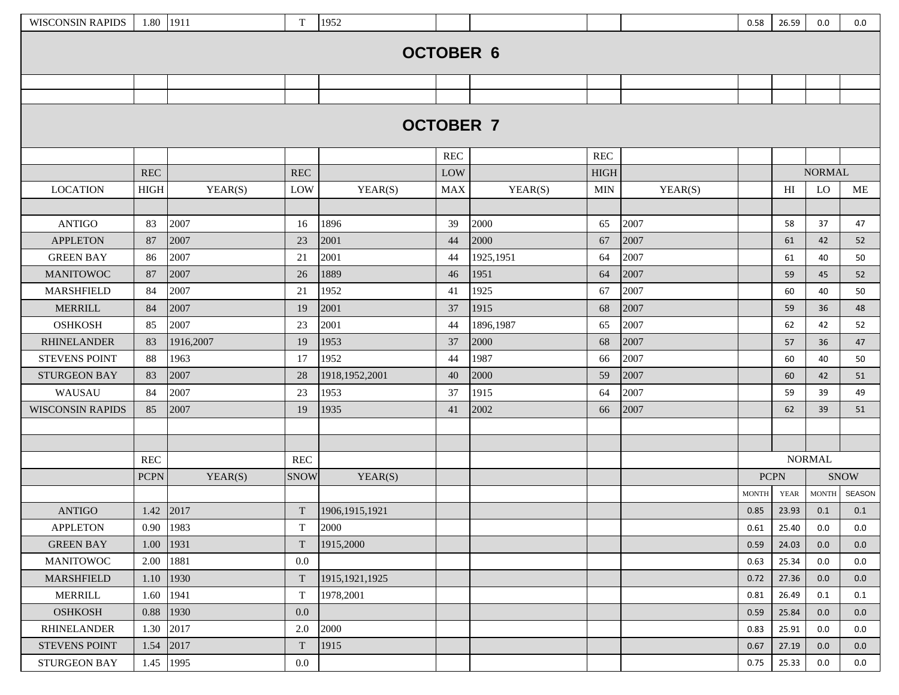| <b>WISCONSIN RAPIDS</b>           | 1.80 1911   |              | $\mathbf T$          | 1952                   |                  |              |                      |              | 0.58         | 26.59       | 0.0           | 0.0         |
|-----------------------------------|-------------|--------------|----------------------|------------------------|------------------|--------------|----------------------|--------------|--------------|-------------|---------------|-------------|
|                                   |             |              |                      |                        |                  |              |                      |              |              |             |               |             |
|                                   |             |              |                      |                        | <b>OCTOBER 6</b> |              |                      |              |              |             |               |             |
|                                   |             |              |                      |                        |                  |              |                      |              |              |             |               |             |
|                                   |             |              |                      |                        |                  |              |                      |              |              |             |               |             |
|                                   |             |              |                      |                        |                  |              |                      |              |              |             |               |             |
|                                   |             |              |                      |                        | <b>OCTOBER 7</b> |              |                      |              |              |             |               |             |
|                                   |             |              |                      |                        |                  |              |                      |              |              |             |               |             |
|                                   |             |              |                      |                        | <b>REC</b>       |              | $\operatorname{REC}$ |              |              |             |               |             |
|                                   | <b>REC</b>  |              | $\operatorname{REC}$ |                        | LOW              |              | <b>HIGH</b>          |              |              |             | <b>NORMAL</b> |             |
| <b>LOCATION</b>                   | <b>HIGH</b> | YEAR(S)      | LOW                  | YEAR(S)                | <b>MAX</b>       | YEAR(S)      | <b>MIN</b>           | YEAR(S)      |              | HI          | LO            | ME          |
|                                   |             |              |                      |                        |                  |              |                      |              |              |             |               |             |
| <b>ANTIGO</b>                     | 83          | 2007         | 16                   | 1896                   | 39               | 2000         | 65                   | 2007         |              | 58          | 37            | 47          |
| <b>APPLETON</b>                   | 87          | 2007         | 23                   | 2001                   | 44               | 2000         | 67                   | 2007         |              | 61          | 42            | 52          |
| <b>GREEN BAY</b>                  | 86          | 2007         | 21                   | 2001                   | 44               | 1925,1951    | 64                   | 2007         |              | 61          | 40            | 50          |
| <b>MANITOWOC</b>                  | 87          | 2007         | 26                   | 1889                   | 46               | 1951         | 64                   | 2007         |              | 59          | 45            | 52          |
| <b>MARSHFIELD</b>                 | 84<br>84    | 2007         | 21                   | 1952                   | 41               | 1925         | 67                   | 2007         |              | 60          | 40            | 50          |
| <b>MERRILL</b>                    |             | 2007         | 19                   | 2001                   | 37               | 1915         | 68                   | 2007         |              | 59          | 36            | 48          |
| <b>OSHKOSH</b>                    | 85          | 2007         | 23                   | 2001                   | 44               | 1896,1987    | 65                   | 2007         |              | 62          | 42            | 52          |
| <b>RHINELANDER</b>                | 83<br>88    | 1916,2007    | 19                   | 1953<br>1952           | 37               | 2000         | 68                   | 2007<br>2007 |              | 57          | 36            | 47          |
| <b>STEVENS POINT</b>              |             | 1963         | 17                   |                        | 44               | 1987         | 66                   |              |              | 60          | 40            | 50          |
| <b>STURGEON BAY</b>               | 83<br>84    | 2007         | 28                   | 1918,1952,2001<br>1953 | 40<br>37         | 2000         | 59<br>64             | 2007<br>2007 |              | 60<br>59    | 42<br>39      | 51          |
| WAUSAU<br><b>WISCONSIN RAPIDS</b> | 85          | 2007<br>2007 | 23<br>19             | 1935                   | 41               | 1915<br>2002 | 66                   | 2007         |              | 62          | 39            | 49<br>51    |
|                                   |             |              |                      |                        |                  |              |                      |              |              |             |               |             |
|                                   |             |              |                      |                        |                  |              |                      |              |              |             |               |             |
|                                   | REC         |              | REC                  |                        |                  |              |                      |              |              |             | <b>NORMAL</b> |             |
|                                   | <b>PCPN</b> | YEAR(S)      | <b>SNOW</b>          | YEAR(S)                |                  |              |                      |              | <b>PCPN</b>  |             |               | <b>SNOW</b> |
|                                   |             |              |                      |                        |                  |              |                      |              | <b>MONTH</b> | <b>YEAR</b> | <b>MONTH</b>  | SEASON      |
| <b>ANTIGO</b>                     | 1.42        | 2017         | T                    | 1906, 1915, 1921       |                  |              |                      |              | 0.85         | 23.93       | 0.1           | 0.1         |
| <b>APPLETON</b>                   | 0.90        | 1983         | T                    | 2000                   |                  |              |                      |              | 0.61         | 25.40       | 0.0           | 0.0         |
| <b>GREEN BAY</b>                  | 1.00        | 1931         | T                    | 1915,2000              |                  |              |                      |              | 0.59         | 24.03       | 0.0           | 0.0         |
| <b>MANITOWOC</b>                  | 2.00        | 1881         | 0.0                  |                        |                  |              |                      |              | 0.63         | 25.34       | 0.0           | 0.0         |
| MARSHFIELD                        | 1.10        | 1930         | T                    | 1915, 1921, 1925       |                  |              |                      |              | 0.72         | 27.36       | 0.0           | 0.0         |
| <b>MERRILL</b>                    | 1.60        | 1941         | T                    | 1978,2001              |                  |              |                      |              | 0.81         | 26.49       | 0.1           | 0.1         |
| <b>OSHKOSH</b>                    | 0.88        | 1930         | 0.0                  |                        |                  |              |                      |              | 0.59         | 25.84       | 0.0           | 0.0         |
| RHINELANDER                       | 1.30        | 2017         | 2.0                  | 2000                   |                  |              |                      |              | 0.83         | 25.91       | 0.0           | 0.0         |
| STEVENS POINT                     | 1.54        | 2017         | T                    | 1915                   |                  |              |                      |              | 0.67         | 27.19       | 0.0           | 0.0         |
| STURGEON BAY                      | 1.45        | 1995         | $0.0\,$              |                        |                  |              |                      |              | 0.75         | 25.33       | 0.0           | 0.0         |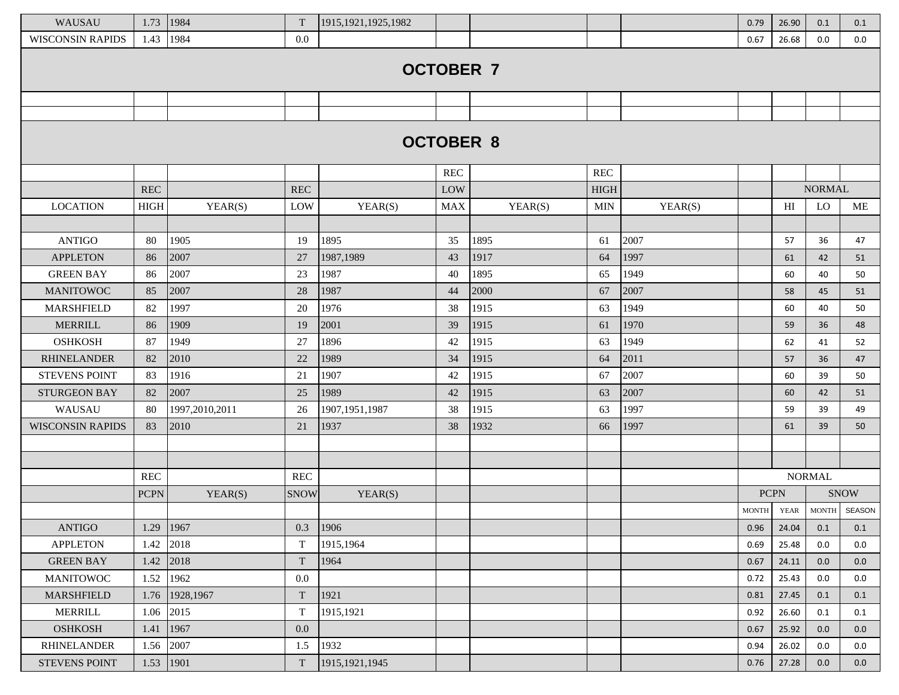| WAUSAU                  | 1.73        | 1984           | T           | 1915, 1921, 1925, 1982 |                  |         |             |         | 0.79                   | 26.90       | 0.1           | 0.1         |
|-------------------------|-------------|----------------|-------------|------------------------|------------------|---------|-------------|---------|------------------------|-------------|---------------|-------------|
| <b>WISCONSIN RAPIDS</b> | 1.43        | 1984           | 0.0         |                        |                  |         |             |         | 0.67                   | 26.68       | 0.0           | 0.0         |
|                         |             |                |             |                        |                  |         |             |         |                        |             |               |             |
|                         |             |                |             |                        | <b>OCTOBER 7</b> |         |             |         |                        |             |               |             |
|                         |             |                |             |                        |                  |         |             |         |                        |             |               |             |
|                         |             |                |             |                        |                  |         |             |         |                        |             |               |             |
|                         |             |                |             |                        |                  |         |             |         |                        |             |               |             |
|                         |             |                |             |                        | <b>OCTOBER 8</b> |         |             |         |                        |             |               |             |
|                         |             |                |             |                        | <b>REC</b>       |         | <b>REC</b>  |         |                        |             |               |             |
|                         | <b>REC</b>  |                | <b>REC</b>  |                        | LOW              |         | <b>HIGH</b> |         |                        |             | <b>NORMAL</b> |             |
| <b>LOCATION</b>         | <b>HIGH</b> | YEAR(S)        | LOW         | YEAR(S)                | MAX              | YEAR(S) | <b>MIN</b>  | YEAR(S) |                        | HI          | <b>LO</b>     | ME          |
|                         |             |                |             |                        |                  |         |             |         |                        |             |               |             |
| <b>ANTIGO</b>           | 80          | 1905           | 19          | 1895                   | 35               | 1895    | 61          | 2007    |                        | 57          | 36            | 47          |
| <b>APPLETON</b>         | 86          | 2007           | 27          | 1987,1989              | 43               | 1917    | 64          | 1997    |                        | 61          | 42            | 51          |
| <b>GREEN BAY</b>        | 86          | 2007           | 23          | 1987                   | 40               | 1895    | 65          | 1949    |                        | 60          | 40            | 50          |
| <b>MANITOWOC</b>        | 85          | 2007           | 28          | 1987                   | 44               | 2000    | 67          | 2007    |                        | 58          | 45            | 51          |
| <b>MARSHFIELD</b>       | 82          | 1997           | 20          | 1976                   | 38               | 1915    | 63          | 1949    |                        | 60          | 40            | 50          |
| <b>MERRILL</b>          | 86          | 1909           | 19          | 2001                   | 39               | 1915    | 61          | 1970    |                        | 59          | 36            | 48          |
| <b>OSHKOSH</b>          | 87          | 1949           | 27          | 1896                   | 42               | 1915    | 63          | 1949    |                        | 62          | 41            | 52          |
| <b>RHINELANDER</b>      | 82          | 2010           | 22          | 1989                   | 34               | 1915    | 64          | 2011    |                        | 57          | 36            | 47          |
| <b>STEVENS POINT</b>    | 83          | 1916           | 21          | 1907                   | 42               | 1915    | 67          | 2007    |                        | 60          | 39            | 50          |
| <b>STURGEON BAY</b>     | 82          | 2007           | 25          | 1989                   | 42               | 1915    | 63          | 2007    |                        | 60          | 42            | 51          |
| WAUSAU                  | 80          | 1997,2010,2011 | 26          | 1907, 1951, 1987       | 38               | 1915    | 63          | 1997    |                        | 59          | 39            | 49          |
| <b>WISCONSIN RAPIDS</b> | 83          | 2010           | 21          | 1937                   | 38               | 1932    | 66          | 1997    |                        | 61          | 39            | 50          |
|                         |             |                |             |                        |                  |         |             |         |                        |             |               |             |
|                         |             |                |             |                        |                  |         |             |         |                        |             |               |             |
|                         | <b>REC</b>  |                | <b>REC</b>  |                        |                  |         |             |         |                        |             | <b>NORMAL</b> |             |
|                         | <b>PCPN</b> | YEAR(S)        | <b>SNOW</b> | YEAR(S)                |                  |         |             |         |                        | <b>PCPN</b> |               | <b>SNOW</b> |
|                         |             |                |             |                        |                  |         |             |         | $\operatorname{MONTH}$ | <b>YEAR</b> | <b>MONTH</b>  | SEASON      |
| <b>ANTIGO</b>           | 1.29        | 1967           | 0.3         | 1906                   |                  |         |             |         | 0.96                   | 24.04       | 0.1           | 0.1         |
| <b>APPLETON</b>         | 1.42        | 2018           | $\mathbf T$ | 1915,1964              |                  |         |             |         | 0.69                   | 25.48       | 0.0           | 0.0         |
| <b>GREEN BAY</b>        | 1.42        | 2018           | T           | 1964                   |                  |         |             |         | 0.67                   | 24.11       | 0.0           | 0.0         |
| <b>MANITOWOC</b>        | 1.52        | 1962           | 0.0         |                        |                  |         |             |         | 0.72                   | 25.43       | 0.0           | 0.0         |
| MARSHFIELD              | 1.76        | 1928,1967      | $\mathbf T$ | 1921                   |                  |         |             |         | 0.81                   | 27.45       | 0.1           | 0.1         |
| <b>MERRILL</b>          | 1.06        | 2015           | $\mathbf T$ | 1915,1921              |                  |         |             |         | 0.92                   | 26.60       | 0.1           | 0.1         |
| <b>OSHKOSH</b>          | 1.41        | 1967           | 0.0         |                        |                  |         |             |         | 0.67                   | 25.92       | 0.0           | 0.0         |
| <b>RHINELANDER</b>      | 1.56        | 2007           | 1.5         | 1932                   |                  |         |             |         | 0.94                   | 26.02       | 0.0           | 0.0         |
| <b>STEVENS POINT</b>    | 1.53        | 1901           | $\mathbf T$ | 1915, 1921, 1945       |                  |         |             |         | 0.76                   | 27.28       | 0.0           | 0.0         |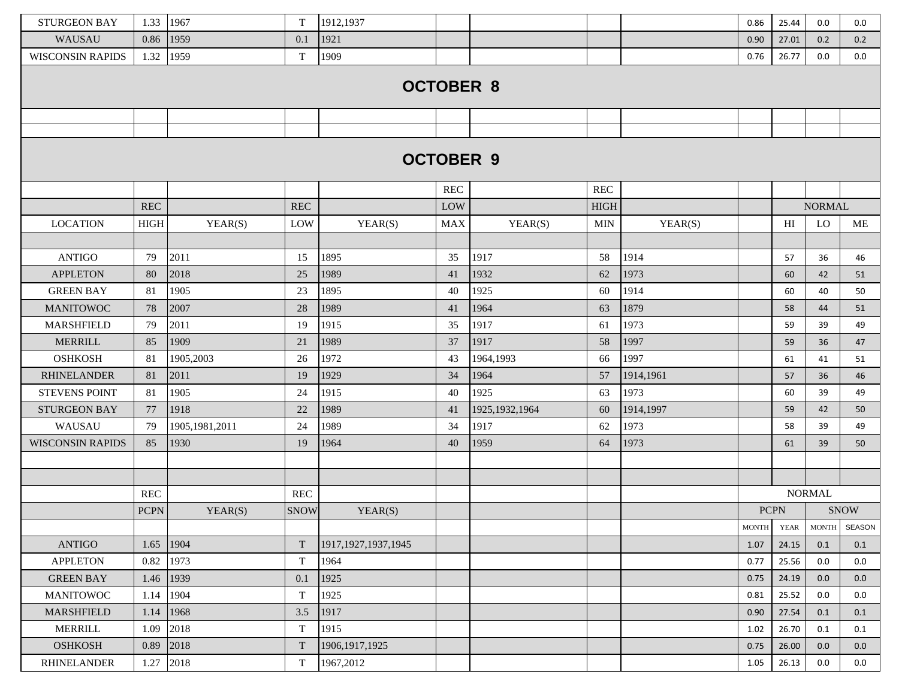| <b>STURGEON BAY</b>     | 1.33        | 1967           | T                    | 1912,1937              |                  |                  |                      |           | 0.86         | 25.44          | 0.0           | 0.0           |
|-------------------------|-------------|----------------|----------------------|------------------------|------------------|------------------|----------------------|-----------|--------------|----------------|---------------|---------------|
| <b>WAUSAU</b>           | 0.86        | 1959           | 0.1                  | 1921                   |                  |                  |                      |           | 0.90         | 27.01          | 0.2           | 0.2           |
| <b>WISCONSIN RAPIDS</b> | 1.32        | 1959           | T                    | 1909                   |                  |                  |                      |           | 0.76         | 26.77          | 0.0           | $0.0\,$       |
|                         |             |                |                      |                        | <b>OCTOBER 8</b> |                  |                      |           |              |                |               |               |
|                         |             |                |                      |                        |                  |                  |                      |           |              |                |               |               |
|                         |             |                |                      |                        |                  |                  |                      |           |              |                |               |               |
|                         |             |                |                      |                        |                  |                  |                      |           |              |                |               |               |
|                         |             |                |                      |                        | <b>OCTOBER 9</b> |                  |                      |           |              |                |               |               |
|                         |             |                |                      |                        |                  |                  |                      |           |              |                |               |               |
|                         |             |                |                      |                        | <b>REC</b>       |                  | $\operatorname{REC}$ |           |              |                |               |               |
|                         | <b>REC</b>  |                | <b>REC</b>           |                        | LOW              |                  | <b>HIGH</b>          |           |              |                | <b>NORMAL</b> |               |
| <b>LOCATION</b>         | <b>HIGH</b> | YEAR(S)        | LOW                  | YEAR(S)                | <b>MAX</b>       | YEAR(S)          | <b>MIN</b>           | YEAR(S)   |              | H <sub>I</sub> | LO            | ME            |
|                         |             |                |                      |                        |                  |                  |                      |           |              |                |               |               |
| <b>ANTIGO</b>           | 79          | 2011           | 15                   | 1895                   | 35               | 1917             | 58                   | 1914      |              | 57             | 36            | 46            |
| <b>APPLETON</b>         | 80          | 2018           | 25                   | 1989                   | 41               | 1932             | 62                   | 1973      |              | 60             | 42            | 51            |
| <b>GREEN BAY</b>        | 81          | 1905           | 23                   | 1895                   | 40               | 1925             | 60                   | 1914      |              | 60             | 40            | 50            |
| <b>MANITOWOC</b>        | 78          | 2007           | 28                   | 1989                   | 41               | 1964             | 63                   | 1879      |              | 58             | 44            | 51            |
| <b>MARSHFIELD</b>       | 79          | 2011           | 19                   | 1915                   | 35               | 1917             | 61                   | 1973      |              | 59             | 39            | 49            |
| <b>MERRILL</b>          | 85          | 1909           | 21                   | 1989                   | 37               | 1917             | 58                   | 1997      |              | 59             | 36            | 47            |
| <b>OSHKOSH</b>          | 81          | 1905,2003      | 26                   | 1972                   | 43               | 1964,1993        | 66                   | 1997      |              | 61             | 41            | 51            |
| <b>RHINELANDER</b>      | 81          | 2011           | 19                   | 1929                   | 34               | 1964             | 57                   | 1914,1961 |              | 57             | 36            | 46            |
| <b>STEVENS POINT</b>    | 81          | 1905           | 24                   | 1915                   | 40               | 1925             | 63                   | 1973      |              | 60             | 39            | 49            |
| <b>STURGEON BAY</b>     | 77          | 1918           | $22\,$               | 1989                   | 41               | 1925, 1932, 1964 | 60                   | 1914,1997 |              | 59             | 42            | 50            |
| WAUSAU                  | 79          | 1905,1981,2011 | 24                   | 1989                   | 34               | 1917             | 62                   | 1973      |              | 58             | 39            | 49            |
| <b>WISCONSIN RAPIDS</b> | 85          | 1930           | 19                   | 1964                   | 40               | 1959             | 64                   | 1973      |              | 61             | 39            | 50            |
|                         |             |                |                      |                        |                  |                  |                      |           |              |                |               |               |
|                         |             |                |                      |                        |                  |                  |                      |           |              |                |               |               |
|                         | <b>REC</b>  |                | $\operatorname{REC}$ |                        |                  |                  |                      |           |              |                | <b>NORMAL</b> |               |
|                         | <b>PCPN</b> | YEAR(S)        | <b>SNOW</b>          | YEAR(S)                |                  |                  |                      |           |              | <b>PCPN</b>    |               | <b>SNOW</b>   |
|                         |             |                |                      |                        |                  |                  |                      |           | <b>MONTH</b> | YEAR           | <b>MONTH</b>  | <b>SEASON</b> |
| <b>ANTIGO</b>           | 1.65        | 1904           | $\mathbf T$          | 1917, 1927, 1937, 1945 |                  |                  |                      |           | 1.07         | 24.15          | 0.1           | 0.1           |
| <b>APPLETON</b>         | 0.82        | 1973           | $\mathbf T$          | 1964                   |                  |                  |                      |           | 0.77         | 25.56          | 0.0           | 0.0           |
| <b>GREEN BAY</b>        | 1.46        | 1939           | 0.1                  | 1925                   |                  |                  |                      |           | 0.75         | 24.19          | 0.0           | 0.0           |
| <b>MANITOWOC</b>        | 1.14        | 1904           | $\mathbf T$          | 1925                   |                  |                  |                      |           | 0.81         | 25.52          | 0.0           | 0.0           |
| <b>MARSHFIELD</b>       | 1.14        | 1968           | 3.5                  | 1917                   |                  |                  |                      |           | 0.90         | 27.54          | 0.1           | 0.1           |
| <b>MERRILL</b>          | 1.09        | 2018           | $\mathbf T$          | 1915                   |                  |                  |                      |           | 1.02         | 26.70          | 0.1           | 0.1           |
| <b>OSHKOSH</b>          | 0.89        | 2018           | T                    | 1906, 1917, 1925       |                  |                  |                      |           | 0.75         | 26.00          | 0.0           | 0.0           |
| <b>RHINELANDER</b>      | 1.27        | 2018           | $\mathbf T$          | 1967,2012              |                  |                  |                      |           | 1.05         | 26.13          | 0.0           | 0.0           |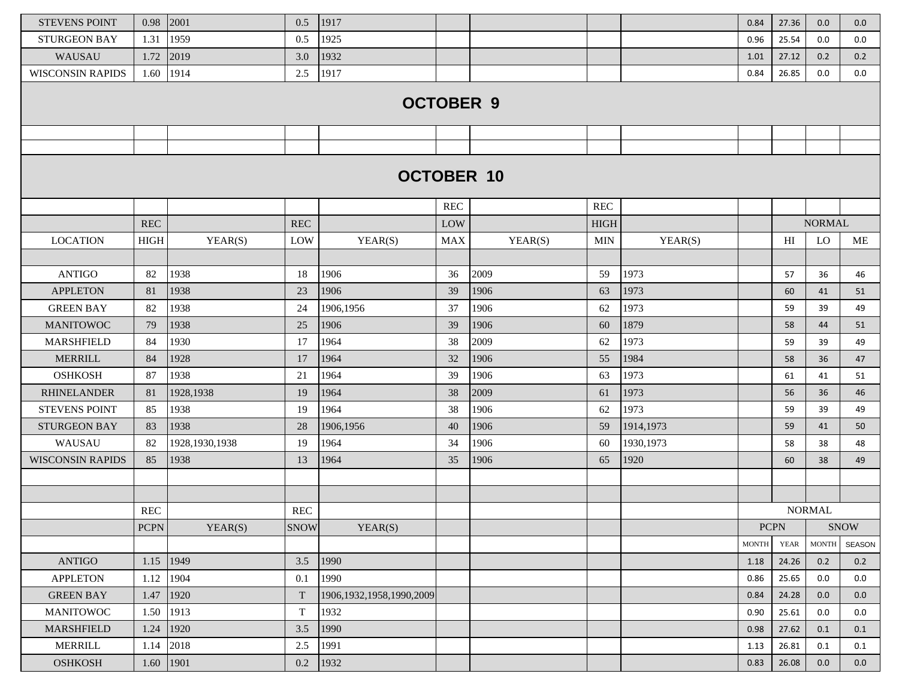| <b>STEVENS POINT</b>    | 0.98        | 2001             | 0.5         | 1917                         |            |         |                      |            | 0.84         | 27.36          | 0.0           | 0.0         |
|-------------------------|-------------|------------------|-------------|------------------------------|------------|---------|----------------------|------------|--------------|----------------|---------------|-------------|
| <b>STURGEON BAY</b>     | 1.31        | 1959             | 0.5         | 1925                         |            |         |                      |            | 0.96         | 25.54          | 0.0           | 0.0         |
| WAUSAU                  | 1.72        | 2019             | 3.0         | 1932                         |            |         |                      |            | 1.01         | 27.12          | 0.2           | 0.2         |
| <b>WISCONSIN RAPIDS</b> | 1.60        | 1914             | 2.5         | 1917                         |            |         |                      |            | 0.84         | 26.85          | 0.0           | 0.0         |
|                         |             |                  |             | <b>OCTOBER 9</b>             |            |         |                      |            |              |                |               |             |
|                         |             |                  |             |                              |            |         |                      |            |              |                |               |             |
|                         |             |                  |             |                              |            |         |                      |            |              |                |               |             |
|                         |             |                  |             | <b>OCTOBER 10</b>            |            |         |                      |            |              |                |               |             |
|                         |             |                  |             |                              | <b>REC</b> |         | $\operatorname{REC}$ |            |              |                |               |             |
|                         | <b>REC</b>  |                  | REC         |                              | LOW        |         | <b>HIGH</b>          |            |              |                | <b>NORMAL</b> |             |
| <b>LOCATION</b>         | <b>HIGH</b> | YEAR(S)          | LOW         | YEAR(S)                      | MAX        | YEAR(S) | <b>MIN</b>           | YEAR(S)    |              | H <sub>I</sub> | LO            | ME          |
|                         |             |                  |             |                              |            |         |                      |            |              |                |               |             |
| <b>ANTIGO</b>           | 82          | 1938             | 18          | 1906                         | 36         | 2009    | 59                   | 1973       |              | 57             | 36            | 46          |
| <b>APPLETON</b>         | 81          | 1938             | 23          | 1906                         | 39         | 1906    | 63                   | 1973       |              | 60             | 41            | 51          |
| <b>GREEN BAY</b>        | 82          | 1938             | 24          | 1906,1956                    | 37         | 1906    | 62                   | 1973       |              | 59             | 39            | 49          |
| <b>MANITOWOC</b>        | 79          | 1938             | 25          | 1906                         | 39         | 1906    | 60                   | 1879       |              | 58             | 44            | 51          |
| <b>MARSHFIELD</b>       | 84          | 1930             | 17          | 1964                         | 38         | 2009    | 62                   | 1973       |              | 59             | 39            | 49          |
| <b>MERRILL</b>          | 84          | 1928             | 17          | 1964                         | 32         | 1906    | 55                   | 1984       |              | 58             | 36            | 47          |
| <b>OSHKOSH</b>          | 87          | 1938             | 21          | 1964                         | 39         | 1906    | 63                   | 1973       |              | 61             | 41            | 51          |
| <b>RHINELANDER</b>      | 81          | 1928,1938        | 19          | 1964                         | 38         | 2009    | 61                   | 1973       |              | 56             | 36            | 46          |
| <b>STEVENS POINT</b>    | 85          | 1938             | 19          | 1964                         | 38         | 1906    | 62                   | 1973       |              | 59             | 39            | 49          |
| <b>STURGEON BAY</b>     | 83          | 1938             | 28          | 1906,1956                    | 40         | 1906    | 59                   | 1914,1973  |              | 59             | 41            | 50          |
| WAUSAU                  | 82          | 1928, 1930, 1938 | 19          | 1964                         | 34         | 1906    | 60                   | 1930, 1973 |              | 58             | 38            | 48          |
| <b>WISCONSIN RAPIDS</b> | 85          | 1938             | 13          | 1964                         | 35         | 1906    | 65                   | 1920       |              | 60             | 38            | 49          |
|                         |             |                  |             |                              |            |         |                      |            |              |                |               |             |
|                         |             |                  |             |                              |            |         |                      |            |              |                |               |             |
|                         | <b>REC</b>  |                  | <b>REC</b>  |                              |            |         |                      |            |              |                | <b>NORMAL</b> |             |
|                         | <b>PCPN</b> | YEAR(S)          | <b>SNOW</b> | YEAR(S)                      |            |         |                      |            | <b>PCPN</b>  |                |               | <b>SNOW</b> |
|                         |             |                  |             |                              |            |         |                      |            | <b>MONTH</b> | <b>YEAR</b>    | <b>MONTH</b>  | SEASON      |
| <b>ANTIGO</b>           | 1.15        | 1949             | 3.5         | 1990                         |            |         |                      |            | 1.18         | 24.26          | 0.2           | 0.2         |
| <b>APPLETON</b>         | 1.12        | 1904             | 0.1         | 1990                         |            |         |                      |            | 0.86         | 25.65          | 0.0           | 0.0         |
| <b>GREEN BAY</b>        | 1.47        | 1920             | $\mathbf T$ | 1906, 1932, 1958, 1990, 2009 |            |         |                      |            | 0.84         | 24.28          | 0.0           | 0.0         |
| <b>MANITOWOC</b>        | 1.50        | 1913             | $\mathbf T$ | 1932                         |            |         |                      |            | 0.90         | 25.61          | 0.0           | 0.0         |
| MARSHFIELD              | 1.24        | 1920             | 3.5         | 1990                         |            |         |                      |            | 0.98         | 27.62          | 0.1           | 0.1         |
| <b>MERRILL</b>          | 1.14        | 2018             | 2.5         | 1991                         |            |         |                      |            | 1.13         | 26.81          | 0.1           | 0.1         |
| <b>OSHKOSH</b>          | 1.60        | 1901             | 0.2         | 1932                         |            |         |                      |            | 0.83         | 26.08          | 0.0           | 0.0         |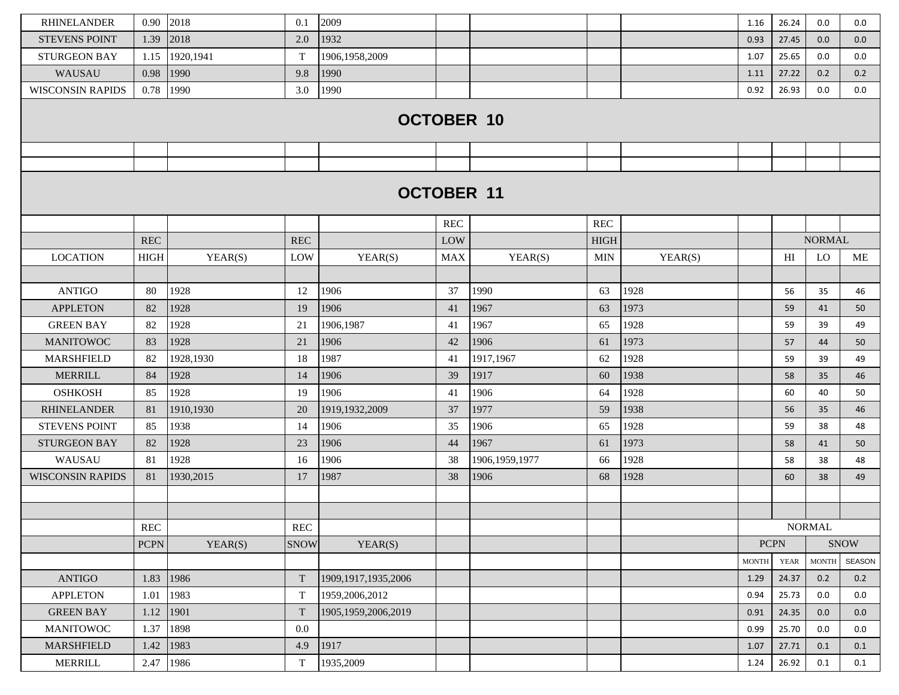| <b>RHINELANDER</b>      | 0.90                 | 2018       | 0.1          | 2009                   |            |                  |             |         | 1.16         | 26.24       | 0.0           | 0.0    |
|-------------------------|----------------------|------------|--------------|------------------------|------------|------------------|-------------|---------|--------------|-------------|---------------|--------|
| <b>STEVENS POINT</b>    | 1.39                 | 2018       | 2.0          | 1932                   |            |                  |             |         | 0.93         | 27.45       | 0.0           | 0.0    |
| <b>STURGEON BAY</b>     | 1.15                 | 1920,1941  | $\mathbf T$  | 1906,1958,2009         |            |                  |             |         | 1.07         | 25.65       | 0.0           | 0.0    |
| WAUSAU                  | 0.98                 | 1990       | 9.8          | 1990                   |            |                  |             |         | 1.11         | 27.22       | 0.2           | 0.2    |
| <b>WISCONSIN RAPIDS</b> | 0.78                 | 1990       | 3.0          | 1990                   |            |                  |             |         | 0.92         | 26.93       | 0.0           | 0.0    |
|                         |                      |            |              | <b>OCTOBER 10</b>      |            |                  |             |         |              |             |               |        |
|                         |                      |            |              |                        |            |                  |             |         |              |             |               |        |
|                         |                      |            |              |                        |            |                  |             |         |              |             |               |        |
|                         |                      |            |              | <b>OCTOBER 11</b>      |            |                  |             |         |              |             |               |        |
|                         |                      |            |              |                        | <b>REC</b> |                  | REC         |         |              |             |               |        |
|                         | REC                  |            | REC          |                        | LOW        |                  | <b>HIGH</b> |         |              |             | <b>NORMAL</b> |        |
| <b>LOCATION</b>         | <b>HIGH</b>          | YEAR(S)    | LOW          | YEAR(S)                | <b>MAX</b> | YEAR(S)          | <b>MIN</b>  | YEAR(S) |              | HI          | LO            | ME     |
|                         |                      |            |              |                        |            |                  |             |         |              |             |               |        |
| <b>ANTIGO</b>           | 80                   | 1928       | 12           | 1906                   | 37         | 1990             | 63          | 1928    |              | 56          | 35            | 46     |
| <b>APPLETON</b>         | 82                   | 1928       | 19           | 1906                   | 41         | 1967             | 63          | 1973    |              | 59          | 41            | 50     |
| <b>GREEN BAY</b>        | 82                   | 1928       | 21           | 1906,1987              | 41         | 1967             | 65          | 1928    |              | 59          | 39            | 49     |
| <b>MANITOWOC</b>        | 83                   | 1928       | 21           | 1906                   | 42         | 1906             | 61          | 1973    |              | 57          | 44            | 50     |
| <b>MARSHFIELD</b>       | 82                   | 1928,1930  | 18           | 1987                   | 41         | 1917,1967        | 62          | 1928    |              | 59          | 39            | 49     |
| <b>MERRILL</b>          | 84                   | 1928       | 14           | 1906                   | 39         | 1917             | 60          | 1938    |              | 58          | 35            | 46     |
| <b>OSHKOSH</b>          | 85                   | 1928       | 19           | 1906                   | 41         | 1906             | 64          | 1928    |              | 60          | 40            | 50     |
| <b>RHINELANDER</b>      | 81                   | 1910,1930  | 20           | 1919,1932,2009         | 37         | 1977             | 59          | 1938    |              | 56          | 35            | 46     |
| <b>STEVENS POINT</b>    | 85                   | 1938       | 14           | 1906                   | 35         | 1906             | 65          | 1928    |              | 59          | 38            | 48     |
| <b>STURGEON BAY</b>     | 82                   | 1928       | 23           | 1906                   | 44         | 1967             | 61          | 1973    |              | 58          | 41            | 50     |
| WAUSAU                  | 81                   | 1928       | 16           | 1906                   | 38         | 1906, 1959, 1977 | 66          | 1928    |              | 58          | 38            | 48     |
| <b>WISCONSIN RAPIDS</b> | 81                   | 1930, 2015 | 17           | 1987                   | 38         | 1906             | 68          | 1928    |              | 60          | 38            | 49     |
|                         |                      |            |              |                        |            |                  |             |         |              |             |               |        |
|                         |                      |            |              |                        |            |                  |             |         |              |             |               |        |
|                         | $\operatorname{REC}$ |            | $\mbox{REC}$ |                        |            |                  |             |         |              |             | <b>NORMAL</b> |        |
|                         | <b>PCPN</b>          | YEAR(S)    | <b>SNOW</b>  | YEAR(S)                |            |                  |             |         |              | <b>PCPN</b> |               | SNOW   |
|                         |                      |            |              |                        |            |                  |             |         | <b>MONTH</b> | <b>YEAR</b> | <b>MONTH</b>  | SEASON |
| <b>ANTIGO</b>           | 1.83                 | 1986       | T            | 1909, 1917, 1935, 2006 |            |                  |             |         | 1.29         | 24.37       | 0.2           | 0.2    |
| <b>APPLETON</b>         | 1.01                 | 1983       | $\mathbf T$  | 1959,2006,2012         |            |                  |             |         | 0.94         | 25.73       | 0.0           | 0.0    |
| <b>GREEN BAY</b>        | 1.12                 | 1901       | T            | 1905, 1959, 2006, 2019 |            |                  |             |         | 0.91         | 24.35       | 0.0           | 0.0    |
| <b>MANITOWOC</b>        | 1.37                 | 1898       | 0.0          |                        |            |                  |             |         | 0.99         | 25.70       | 0.0           | 0.0    |
| <b>MARSHFIELD</b>       | 1.42                 | 1983       | 4.9          | 1917                   |            |                  |             |         | 1.07         | 27.71       | 0.1           | 0.1    |
| MERRILL                 | 2.47                 | 1986       | $\mathbf T$  | 1935,2009              |            |                  |             |         | 1.24         | 26.92       | 0.1           | 0.1    |
|                         |                      |            |              |                        |            |                  |             |         |              |             |               |        |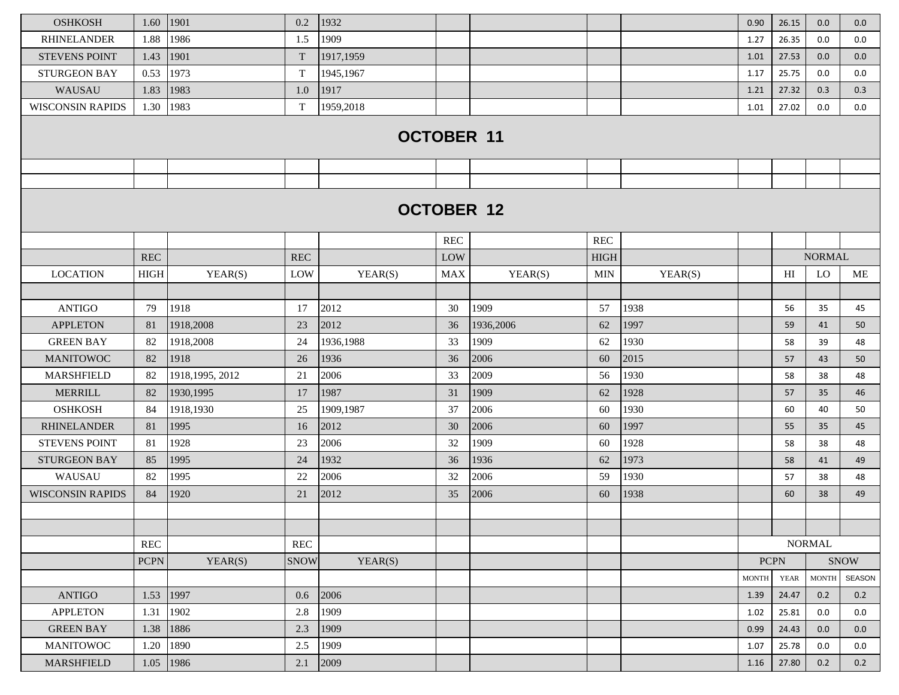| <b>OSHKOSH</b>          | 1.60        | 1901             | 0.2                  | 1932              |            |           |                      |         | 0.90                       | 26.15          | 0.0           | 0.0    |
|-------------------------|-------------|------------------|----------------------|-------------------|------------|-----------|----------------------|---------|----------------------------|----------------|---------------|--------|
| <b>RHINELANDER</b>      | 1.88        | 1986             | 1.5                  | 1909              |            |           |                      |         | 1.27                       | 26.35          | 0.0           | 0.0    |
| <b>STEVENS POINT</b>    | 1.43        | 1901             | $\mathbf T$          | 1917,1959         |            |           |                      |         | 1.01                       | 27.53          | 0.0           | 0.0    |
| <b>STURGEON BAY</b>     | 0.53        | 1973             | $\mathbf T$          | 1945,1967         |            |           |                      |         | 1.17                       | 25.75          | 0.0           | 0.0    |
| WAUSAU                  | 1.83        | 1983             | 1.0                  | 1917              |            |           |                      |         | 1.21                       | 27.32          | 0.3           | 0.3    |
| <b>WISCONSIN RAPIDS</b> | 1.30        | 1983             | $\mathbf T$          | 1959,2018         |            |           |                      |         | 1.01                       | 27.02          | 0.0           | 0.0    |
|                         |             |                  |                      | <b>OCTOBER 11</b> |            |           |                      |         |                            |                |               |        |
|                         |             |                  |                      |                   |            |           |                      |         |                            |                |               |        |
|                         |             |                  |                      | <b>OCTOBER 12</b> |            |           |                      |         |                            |                |               |        |
|                         |             |                  |                      |                   |            |           |                      |         |                            |                |               |        |
|                         |             |                  |                      |                   | <b>REC</b> |           | $\operatorname{REC}$ |         |                            |                |               |        |
|                         | <b>REC</b>  |                  | <b>REC</b>           |                   | LOW        |           | <b>HIGH</b>          |         |                            |                | <b>NORMAL</b> |        |
| <b>LOCATION</b>         | <b>HIGH</b> | YEAR(S)          | LOW                  | YEAR(S)           | <b>MAX</b> | YEAR(S)   | <b>MIN</b>           | YEAR(S) |                            | H <sub>I</sub> | <b>LO</b>     | ME     |
| <b>ANTIGO</b>           | 79          | 1918             | 17                   | 2012              | 30         | 1909      | 57                   | 1938    |                            | 56             | 35            | 45     |
| <b>APPLETON</b>         | 81          | 1918,2008        | 23                   | 2012              | 36         | 1936,2006 | 62                   | 1997    |                            | 59             | 41            | 50     |
| <b>GREEN BAY</b>        | 82          | 1918,2008        | 24                   | 1936,1988         | 33         | 1909      | 62                   | 1930    |                            | 58             | 39            | 48     |
| <b>MANITOWOC</b>        | 82          | 1918             | 26                   | 1936              | 36         | 2006      | 60                   | 2015    |                            | 57             | 43            | 50     |
| <b>MARSHFIELD</b>       | 82          | 1918, 1995, 2012 | 21                   | 2006              | 33         | 2009      | 56                   | 1930    |                            | 58             | 38            | 48     |
| <b>MERRILL</b>          | 82          | 1930,1995        | 17                   | 1987              | 31         | 1909      | 62                   | 1928    |                            | 57             | 35            | 46     |
| <b>OSHKOSH</b>          | 84          | 1918,1930        | 25                   | 1909,1987         | 37         | 2006      | 60                   | 1930    |                            | 60             | 40            | 50     |
| <b>RHINELANDER</b>      | 81          | 1995             | 16                   | 2012              | 30         | 2006      | 60                   | 1997    |                            | 55             | 35            | 45     |
| <b>STEVENS POINT</b>    | 81          | 1928             | 23                   | 2006              | 32         | 1909      | 60                   | 1928    |                            | 58             | 38            | 48     |
| <b>STURGEON BAY</b>     | 85          | 1995             | 24                   | 1932              | 36         | 1936      | 62                   | 1973    |                            | 58             | 41            | 49     |
| WAUSAU                  | 82          | 1995             | 22                   | 2006              | 32         | 2006      | 59                   | 1930    |                            | 57             | 38            | 48     |
| <b>WISCONSIN RAPIDS</b> | 84          | 1920             | 21                   | 2012              | 35         | 2006      | 60                   | 1938    |                            | 60             | 38            | 49     |
|                         |             |                  |                      |                   |            |           |                      |         |                            |                |               |        |
|                         |             |                  |                      |                   |            |           |                      |         |                            |                |               |        |
|                         | REC         |                  | $\operatorname{REC}$ |                   |            |           |                      |         |                            |                | <b>NORMAL</b> |        |
|                         | <b>PCPN</b> | YEAR(S)          | <b>SNOW</b>          | YEAR(S)           |            |           |                      |         | <b>SNOW</b><br><b>PCPN</b> |                |               |        |
|                         |             |                  |                      |                   |            |           |                      |         | <b>MONTH</b>               | <b>YEAR</b>    | <b>MONTH</b>  | SEASON |
| <b>ANTIGO</b>           | 1.53        | 1997             | $0.6\,$              | 2006              |            |           |                      |         | 1.39                       | 24.47          | 0.2           | 0.2    |
| <b>APPLETON</b>         | 1.31        | 1902             | 2.8                  | 1909              |            |           |                      |         | 1.02                       | 25.81          | 0.0           | 0.0    |
| <b>GREEN BAY</b>        | 1.38        | 1886             | 2.3                  | 1909              |            |           |                      |         | 0.99                       | 24.43          | 0.0           | 0.0    |
| <b>MANITOWOC</b>        | 1.20        | 1890             | 2.5                  | 1909              |            |           |                      |         | 1.07                       | 25.78          | 0.0           | 0.0    |
| MARSHFIELD              | 1.05        | 1986             | 2.1                  | 2009              |            |           |                      |         | 1.16                       | 27.80          | 0.2           | 0.2    |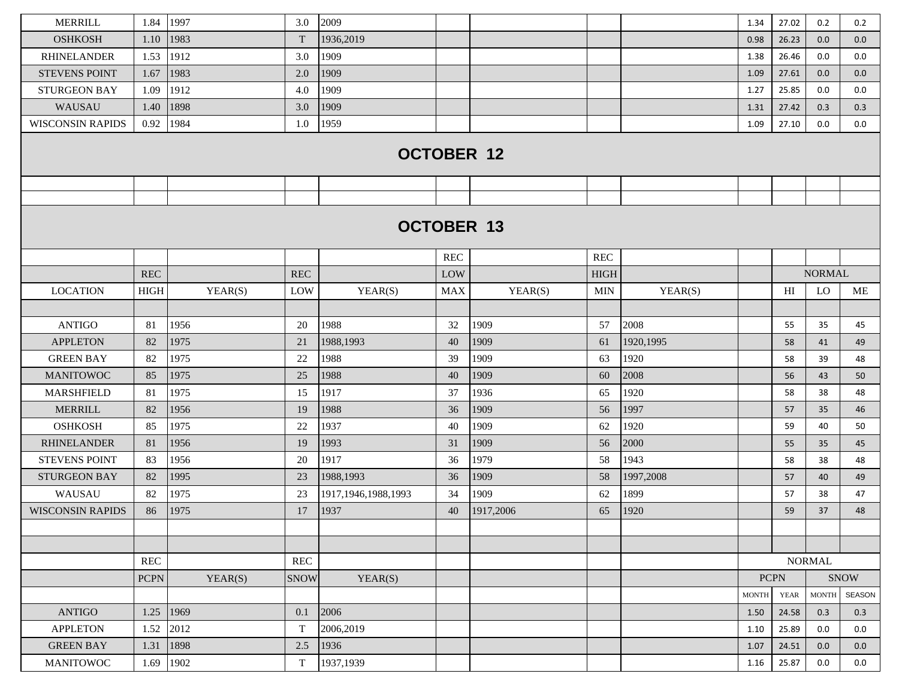| <b>MERRILL</b>          | 1.84        | 1997    | 3.0                  | 2009                   |                   |                   |                      |           | 1.34         | 27.02                      | 0.2           | 0.2                          |
|-------------------------|-------------|---------|----------------------|------------------------|-------------------|-------------------|----------------------|-----------|--------------|----------------------------|---------------|------------------------------|
| <b>OSHKOSH</b>          | 1.10        | 1983    | $\mathbf T$          | 1936,2019              |                   |                   |                      |           | 0.98         | 26.23                      | 0.0           | 0.0                          |
| <b>RHINELANDER</b>      | 1.53        | 1912    | 3.0                  | 1909                   |                   |                   |                      |           | 1.38         | 26.46                      | 0.0           | 0.0                          |
| <b>STEVENS POINT</b>    | 1.67        | 1983    | 2.0                  | 1909                   |                   |                   |                      |           | 1.09         | 27.61                      | 0.0           | 0.0                          |
| <b>STURGEON BAY</b>     | 1.09        | 1912    | 4.0                  | 1909                   |                   |                   |                      |           | 1.27         | 25.85                      | 0.0           | 0.0                          |
| WAUSAU                  | 1.40        | 1898    | 3.0                  | 1909                   |                   |                   |                      |           | 1.31         | 27.42                      | 0.3           | 0.3                          |
| <b>WISCONSIN RAPIDS</b> | 0.92        | 1984    | 1.0                  | 1959                   |                   |                   |                      |           | 1.09         | 27.10                      | 0.0           | 0.0                          |
|                         |             |         |                      |                        |                   | <b>OCTOBER 12</b> |                      |           |              |                            |               |                              |
|                         |             |         |                      |                        |                   |                   |                      |           |              |                            |               |                              |
|                         |             |         |                      |                        | <b>OCTOBER 13</b> |                   |                      |           |              |                            |               |                              |
|                         |             |         |                      |                        | <b>REC</b>        |                   | $\operatorname{REC}$ |           |              |                            |               |                              |
|                         | <b>REC</b>  |         | $\operatorname{REC}$ |                        | LOW               |                   | <b>HIGH</b>          |           |              |                            | <b>NORMAL</b> |                              |
| <b>LOCATION</b>         | <b>HIGH</b> | YEAR(S) | LOW                  | YEAR(S)                | <b>MAX</b>        | YEAR(S)           | <b>MIN</b>           | YEAR(S)   |              | H <sub>I</sub>             | <b>LO</b>     | ME                           |
|                         |             |         |                      |                        |                   |                   |                      |           |              |                            |               |                              |
| <b>ANTIGO</b>           | 81          | 1956    | 20                   | 1988                   | 32                | 1909              | 57                   | 2008      |              | 55                         | 35            | 45                           |
| <b>APPLETON</b>         | 82          | 1975    | 21                   | 1988,1993              | 40                | 1909              | 61                   | 1920,1995 |              | 58                         | 41            | 49                           |
| <b>GREEN BAY</b>        | 82          | 1975    | 22                   | 1988                   | 39                | 1909              | 63                   | 1920      |              | 58                         | 39            | 48                           |
| <b>MANITOWOC</b>        | 85          | 1975    | 25                   | 1988                   | 40                | 1909              | 60                   | 2008      |              | 56                         | 43            | 50                           |
| MARSHFIELD              | 81          | 1975    | 15                   | 1917                   | 37                | 1936              | 65                   | 1920      |              | 58                         | 38            | 48                           |
| <b>MERRILL</b>          | 82          | 1956    | 19                   | 1988                   | 36                | 1909              | 56                   | 1997      |              | 57                         | 35            | 46                           |
| <b>OSHKOSH</b>          | 85          | 1975    | 22                   | 1937                   | 40                | 1909              | 62                   | 1920      |              | 59                         | 40            | 50                           |
| <b>RHINELANDER</b>      | 81          | 1956    | 19                   | 1993                   | 31                | 1909              | 56                   | 2000      |              | 55                         | 35            | 45                           |
| <b>STEVENS POINT</b>    | 83          | 1956    | 20                   | 1917                   | 36                | 1979              | 58                   | 1943      |              | 58                         | 38            | 48                           |
| <b>STURGEON BAY</b>     | 82          | 1995    | 23                   | 1988,1993              | 36                | 1909              | 58                   | 1997,2008 |              | 57                         | 40            | 49                           |
| WAUSAU                  | 82          | 1975    | 23                   | 1917, 1946, 1988, 1993 | 34                | 1909              | 62                   | 1899      |              | 57                         | 38            | 47                           |
| <b>WISCONSIN RAPIDS</b> | 86          | 1975    | 17                   | 1937                   | 40                | 1917,2006         | 65                   | 1920      |              | 59                         | 37            | 48                           |
|                         |             |         |                      |                        |                   |                   |                      |           |              |                            |               |                              |
|                         |             |         |                      |                        |                   |                   |                      |           |              |                            |               |                              |
|                         | REC         |         | <b>REC</b>           |                        |                   |                   |                      |           |              |                            | <b>NORMAL</b> |                              |
|                         | <b>PCPN</b> | YEAR(S) | <b>SNOW</b>          | YEAR(S)                |                   |                   |                      |           | <b>MONTH</b> | <b>PCPN</b><br><b>YEAR</b> | <b>MONTH</b>  | <b>SNOW</b><br><b>SEASON</b> |
| <b>ANTIGO</b>           | 1.25        | 1969    | 0.1                  | 2006                   |                   |                   |                      |           | 1.50         | 24.58                      | 0.3           | 0.3                          |
| <b>APPLETON</b>         | 1.52        | 2012    | $\mathbf T$          | 2006,2019              |                   |                   |                      |           | 1.10         | 25.89                      | 0.0           | 0.0                          |
| <b>GREEN BAY</b>        | 1.31        | 1898    | 2.5                  | 1936                   |                   |                   |                      |           | 1.07         | 24.51                      | 0.0           | 0.0                          |
| <b>MANITOWOC</b>        | 1.69        | 1902    | T                    | 1937,1939              |                   |                   |                      |           | 1.16         | 25.87                      | 0.0           | 0.0                          |
|                         |             |         |                      |                        |                   |                   |                      |           |              |                            |               |                              |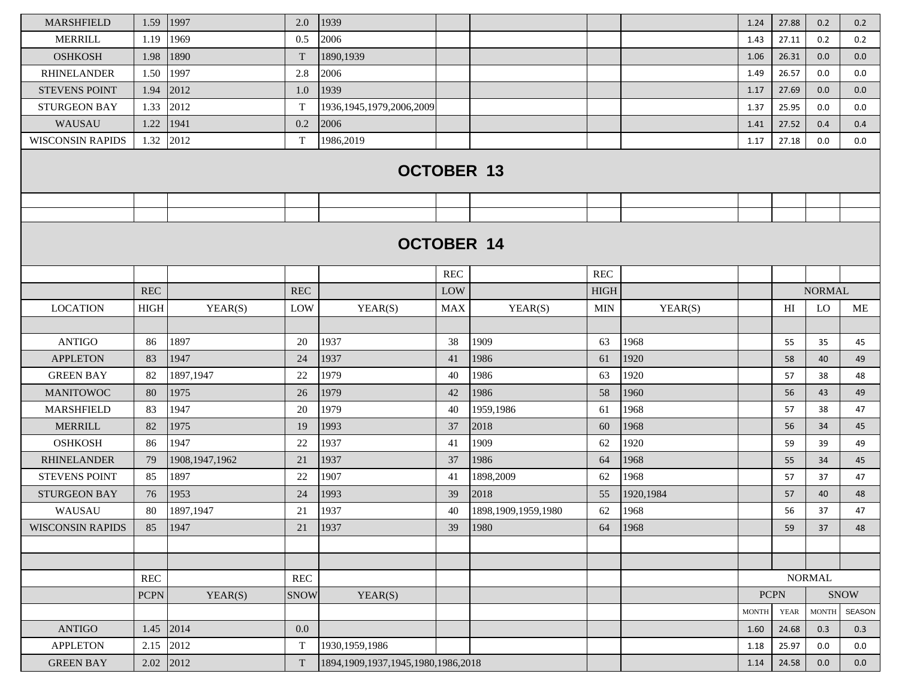| <b>MARSHFIELD</b>       | 1.59        | 1997             | 2.0         | 1939                                     |            |                        |             |           | 1.24         | 27.88       | 0.2           | 0.2           |
|-------------------------|-------------|------------------|-------------|------------------------------------------|------------|------------------------|-------------|-----------|--------------|-------------|---------------|---------------|
| <b>MERRILL</b>          | 1.19        | 1969             | 0.5         | 2006                                     |            |                        |             |           | 1.43         | 27.11       | 0.2           | 0.2           |
| <b>OSHKOSH</b>          | 1.98        | 1890             | $\mathbf T$ | 1890,1939                                |            |                        |             |           | 1.06         | 26.31       | 0.0           | 0.0           |
| <b>RHINELANDER</b>      | 1.50        | 1997             | 2.8         | 2006                                     |            |                        |             |           | 1.49         | 26.57       | 0.0           | 0.0           |
| <b>STEVENS POINT</b>    | 1.94        | 2012             | 1.0         | 1939                                     |            |                        |             |           | 1.17         | 27.69       | 0.0           | 0.0           |
| <b>STURGEON BAY</b>     | 1.33        | 2012             | $\mathbf T$ | 1936, 1945, 1979, 2006, 2009             |            |                        |             |           | 1.37         | 25.95       | 0.0           | 0.0           |
| WAUSAU                  | 1.22        | 1941             | 0.2         | 2006                                     |            |                        |             |           | 1.41         | 27.52       | 0.4           | 0.4           |
| <b>WISCONSIN RAPIDS</b> | 1.32        | 2012             | $\mathbf T$ | 1986,2019                                |            |                        |             |           | 1.17         | 27.18       | 0.0           | 0.0           |
|                         |             |                  |             | <b>OCTOBER 13</b>                        |            |                        |             |           |              |             |               |               |
|                         |             |                  |             |                                          |            |                        |             |           |              |             |               |               |
|                         |             |                  |             |                                          |            |                        |             |           |              |             |               |               |
|                         |             |                  |             | <b>OCTOBER 14</b>                        |            |                        |             |           |              |             |               |               |
|                         |             |                  |             |                                          | <b>REC</b> |                        | <b>REC</b>  |           |              |             |               |               |
|                         | REC         |                  | <b>REC</b>  |                                          | LOW        |                        | <b>HIGH</b> |           |              |             | <b>NORMAL</b> |               |
| <b>LOCATION</b>         | <b>HIGH</b> | YEAR(S)          | LOW         | YEAR(S)                                  | MAX        | YEAR(S)                | <b>MIN</b>  | YEAR(S)   |              | HI          | LO            | ME            |
|                         |             |                  |             |                                          |            |                        |             |           |              |             |               |               |
| <b>ANTIGO</b>           | 86          | 1897             | 20          | 1937                                     | 38         | 1909                   | 63          | 1968      |              | 55          | 35            | 45            |
| <b>APPLETON</b>         | 83          | 1947             | 24          | 1937                                     | 41         | 1986                   | 61          | 1920      |              | 58          | 40            | 49            |
| <b>GREEN BAY</b>        | 82          | 1897,1947        | 22          | 1979                                     | 40         | 1986                   | 63          | 1920      |              | 57          | 38            | 48            |
| <b>MANITOWOC</b>        | 80          | 1975             | 26          | 1979                                     | 42         | 1986                   | 58          | 1960      |              | 56          | 43            | 49            |
| <b>MARSHFIELD</b>       | 83          | 1947             | 20          | 1979                                     | 40         | 1959,1986              | 61          | 1968      |              | 57          | 38            | 47            |
| <b>MERRILL</b>          | 82          | 1975             | 19          | 1993                                     | 37         | 2018                   | 60          | 1968      |              | 56          | 34            | 45            |
| <b>OSHKOSH</b>          | 86          | 1947             | 22          | 1937                                     | 41         | 1909                   | 62          | 1920      |              | 59          | 39            | 49            |
| <b>RHINELANDER</b>      | 79          | 1908, 1947, 1962 | 21          | 1937                                     | 37         | 1986                   | 64          | 1968      |              | 55          | 34            | 45            |
| <b>STEVENS POINT</b>    | 85          | 1897             | 22          | 1907                                     | 41         | 1898,2009              | 62          | 1968      |              | 57          | 37            | 47            |
| <b>STURGEON BAY</b>     | 76          | 1953             | 24          | 1993                                     | 39         | 2018                   | 55          | 1920,1984 |              | 57          | 40            | 48            |
| WAUSAU                  | 80          | 1897,1947        | 21          | 1937                                     | 40         | 1898, 1909, 1959, 1980 | 62          | 1968      |              | 56          | 37            | 47            |
| <b>WISCONSIN RAPIDS</b> | 85          | 1947             | 21          | 1937                                     | 39         | 1980                   | 64          | 1968      |              | 59          | 37            | 48            |
|                         |             |                  |             |                                          |            |                        |             |           |              |             |               |               |
|                         |             |                  |             |                                          |            |                        |             |           |              |             |               |               |
|                         | <b>REC</b>  |                  | <b>REC</b>  |                                          |            |                        |             |           |              |             | <b>NORMAL</b> |               |
|                         | <b>PCPN</b> | YEAR(S)          | <b>SNOW</b> | YEAR(S)                                  |            |                        |             |           | <b>PCPN</b>  |             |               | <b>SNOW</b>   |
|                         |             |                  |             |                                          |            |                        |             |           | <b>MONTH</b> | <b>YEAR</b> | <b>MONTH</b>  | <b>SEASON</b> |
| <b>ANTIGO</b>           | 1.45        | 2014             | 0.0         |                                          |            |                        |             |           | 1.60         | 24.68       | 0.3           | 0.3           |
| <b>APPLETON</b>         | 2.15        | 2012             | $\mathbf T$ | 1930, 1959, 1986                         |            |                        |             |           | 1.18         | 25.97       | 0.0           | 0.0           |
| <b>GREEN BAY</b>        | 2.02        | 2012             | $\mathbf T$ | 1894, 1909, 1937, 1945, 1980, 1986, 2018 |            |                        |             |           | 1.14         | 24.58       | 0.0           | 0.0           |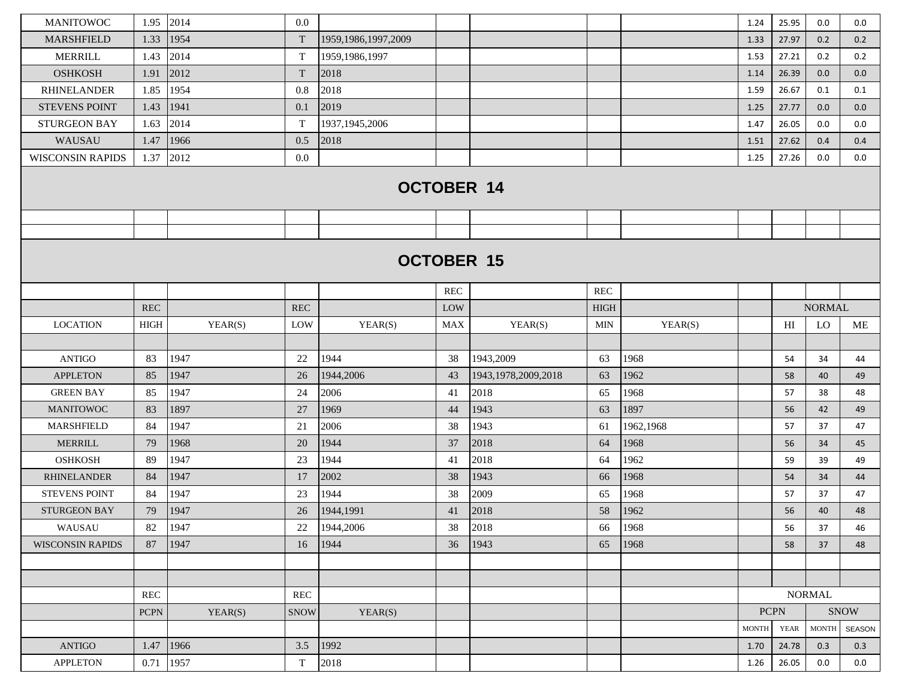| <b>MANITOWOC</b>                    | 1.95          | 2014         | $0.0\,$     |                        |          |                        |             |              | 1.24         | 25.95       | 0.0           | 0.0         |
|-------------------------------------|---------------|--------------|-------------|------------------------|----------|------------------------|-------------|--------------|--------------|-------------|---------------|-------------|
| <b>MARSHFIELD</b>                   | 1.33          | 1954         | T           | 1959, 1986, 1997, 2009 |          |                        |             |              | 1.33         | 27.97       | 0.2           | 0.2         |
| <b>MERRILL</b>                      | 1.43          | 2014         | $\mathbf T$ | 1959, 1986, 1997       |          |                        |             |              | 1.53         | 27.21       | 0.2           | 0.2         |
| <b>OSHKOSH</b>                      | 1.91          | 2012         | $\mathbf T$ | 2018                   |          |                        |             |              | 1.14         | 26.39       | 0.0           | 0.0         |
| <b>RHINELANDER</b>                  | 1.85          | 1954         | 0.8         | 2018                   |          |                        |             |              | 1.59         | 26.67       | 0.1           | 0.1         |
| <b>STEVENS POINT</b>                | 1.43          | 1941         | 0.1         | 2019                   |          |                        |             |              | 1.25         | 27.77       | 0.0           | 0.0         |
| <b>STURGEON BAY</b>                 | 1.63          | 2014         | $\mathbf T$ | 1937, 1945, 2006       |          |                        |             |              | 1.47         | 26.05       | 0.0           | 0.0         |
| WAUSAU                              | 1.47          | 1966         | 0.5         | 2018                   |          |                        |             |              | 1.51         | 27.62       | 0.4           | 0.4         |
| <b>WISCONSIN RAPIDS</b>             | 1.37          | 2012         | 0.0         |                        |          |                        |             |              | 1.25         | 27.26       | 0.0           | 0.0         |
|                                     |               |              |             | <b>OCTOBER 14</b>      |          |                        |             |              |              |             |               |             |
|                                     |               |              |             |                        |          |                        |             |              |              |             |               |             |
|                                     |               |              |             |                        |          | <b>OCTOBER 15</b>      |             |              |              |             |               |             |
|                                     |               |              |             |                        | REC      |                        | REC         |              |              |             |               |             |
|                                     | <b>REC</b>    |              | <b>REC</b>  |                        | LOW      |                        | <b>HIGH</b> |              |              |             | <b>NORMAL</b> |             |
| <b>LOCATION</b>                     | HIGH          | YEAR(S)      | LOW         | YEAR(S)                | MAX      | YEAR(S)                | <b>MIN</b>  | YEAR(S)      |              | HI          | LO            | ME          |
|                                     |               |              |             | 1944                   |          |                        |             |              |              |             |               |             |
| <b>ANTIGO</b>                       | 83            | 1947         | 22          |                        | 38       | 1943,2009              | 63          | 1968         |              | 54          | 34            | 44          |
| <b>APPLETON</b><br><b>GREEN BAY</b> | 85            | 1947         | 26          | 1944,2006              | 43       | 1943, 1978, 2009, 2018 | 63          | 1962<br>1968 |              | 58          | 40            | 49          |
| <b>MANITOWOC</b>                    | 85<br>83      | 1947<br>1897 | 24<br>27    | 2006<br>1969           | 41<br>44 | 2018<br>1943           | 65          | 1897         |              | 57          | 38            | 48          |
| <b>MARSHFIELD</b>                   | 84            | 1947         | 21          | 2006                   | 38       | 1943                   | 63<br>61    | 1962,1968    |              | 56<br>57    | 42<br>37      | 49<br>47    |
| <b>MERRILL</b>                      | 79            | 1968         | 20          | 1944                   | 37       | 2018                   | 64          | 1968         |              | 56          | 34            | 45          |
| <b>OSHKOSH</b>                      | 89            | 1947         | 23          | 1944                   | 41       | 2018                   | 64          | 1962         |              | 59          | 39            | 49          |
| <b>RHINELANDER</b>                  | 84            | 1947         | 17          | 2002                   | 38       | 1943                   | 66          | 1968         |              | 54          | 34            | 44          |
| <b>STEVENS POINT</b>                | 84            | 1947         | 23          | 1944                   | 38       | 2009                   | 65          | 1968         |              | 57          | 37            | 47          |
| <b>STURGEON BAY</b>                 | 79            | 1947         | 26          | 1944,1991              | 41       | 2018                   | 58          | 1962         |              | 56          | 40            | 48          |
| WAUSAU                              | 82            | 1947         | 22          | 1944,2006              | 38       | 2018                   | 66          | 1968         |              | 56          | 37            | 46          |
| <b>WISCONSIN RAPIDS</b>             | 87            | 1947         | 16          | 1944                   | 36       | 1943                   | 65          | 1968         |              | 58          | 37            | 48          |
|                                     |               |              |             |                        |          |                        |             |              |              |             |               |             |
|                                     |               |              |             |                        |          |                        |             |              |              |             |               |             |
|                                     | REC           |              | REC         |                        |          |                        |             |              |              |             | <b>NORMAL</b> |             |
|                                     | <b>PCPN</b>   | YEAR(S)      | <b>SNOW</b> | YEAR(S)                |          |                        |             |              | <b>PCPN</b>  |             |               | <b>SNOW</b> |
|                                     |               |              |             |                        |          |                        |             |              | <b>MONTH</b> | <b>YEAR</b> | <b>MONTH</b>  | SEASON      |
| <b>ANTIGO</b>                       | $1.47$   1966 |              | 3.5         | 1992                   |          |                        |             |              | 1.70         | 24.78       | 0.3           | 0.3         |
| <b>APPLETON</b>                     | 0.71          | 1957         | $\mathbf T$ | 2018                   |          |                        |             |              | 1.26         | 26.05       | 0.0           | 0.0         |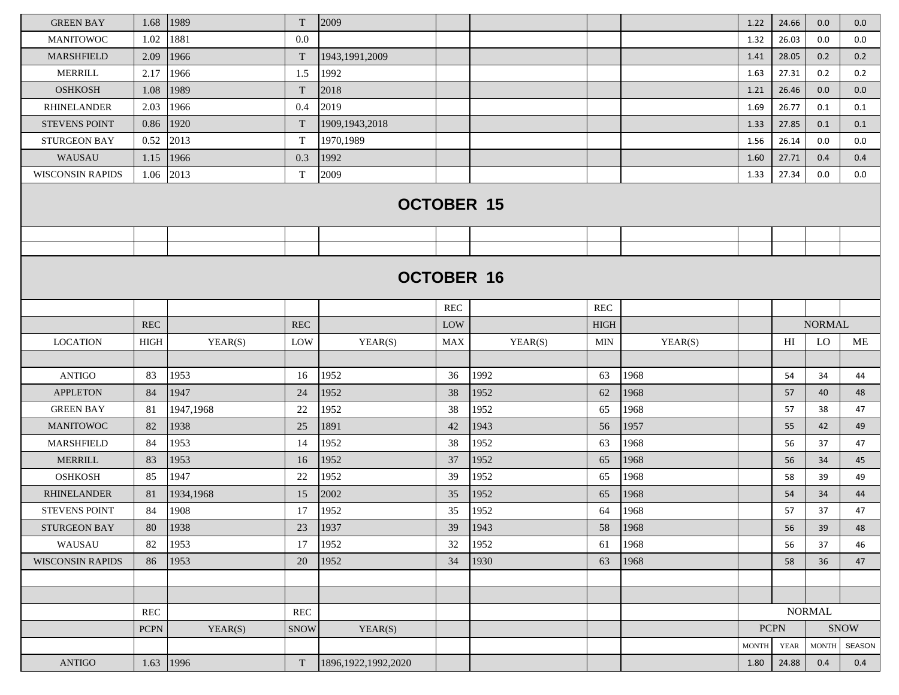| <b>GREEN BAY</b>        | 1.68        | 1989      | T                         | 2009                   |            |                   |                      |         | 1.22         | 24.66       | 0.0           | 0.0    |
|-------------------------|-------------|-----------|---------------------------|------------------------|------------|-------------------|----------------------|---------|--------------|-------------|---------------|--------|
| <b>MANITOWOC</b>        | 1.02        | 1881      | 0.0                       |                        |            |                   |                      |         | 1.32         | 26.03       | 0.0           | 0.0    |
| <b>MARSHFIELD</b>       | 2.09        | 1966      | T                         | 1943, 1991, 2009       |            |                   |                      |         | 1.41         | 28.05       | 0.2           | 0.2    |
| <b>MERRILL</b>          | 2.17        | 1966      | 1.5                       | 1992                   |            |                   |                      |         | 1.63         | 27.31       | 0.2           | 0.2    |
| <b>OSHKOSH</b>          | 1.08        | 1989      | T                         | 2018                   |            |                   |                      |         | 1.21         | 26.46       | 0.0           | 0.0    |
| <b>RHINELANDER</b>      | 2.03        | 1966      | 0.4                       | 2019                   |            |                   |                      |         | 1.69         | 26.77       | 0.1           | 0.1    |
| <b>STEVENS POINT</b>    | 0.86        | 1920      | T                         | 1909, 1943, 2018       |            |                   |                      |         | 1.33         | 27.85       | 0.1           | 0.1    |
| <b>STURGEON BAY</b>     | 0.52        | 2013      | $\mathbf T$               | 1970,1989              |            |                   |                      |         | 1.56         | 26.14       | 0.0           | 0.0    |
| <b>WAUSAU</b>           | 1.15        | 1966      | 0.3                       | 1992                   |            |                   |                      |         | 1.60         | 27.71       | 0.4           | 0.4    |
| <b>WISCONSIN RAPIDS</b> | 1.06        | 2013      | T                         | 2009                   |            |                   |                      |         | 1.33         | 27.34       | 0.0           | 0.0    |
|                         |             |           |                           |                        |            | <b>OCTOBER 15</b> |                      |         |              |             |               |        |
|                         |             |           |                           |                        |            |                   |                      |         |              |             |               |        |
|                         |             |           |                           |                        |            |                   |                      |         |              |             |               |        |
|                         |             |           |                           |                        |            | <b>OCTOBER 16</b> |                      |         |              |             |               |        |
|                         |             |           |                           |                        | <b>REC</b> |                   | $\operatorname{REC}$ |         |              |             |               |        |
|                         | <b>REC</b>  |           | <b>REC</b>                |                        | LOW        |                   | <b>HIGH</b>          |         |              |             | <b>NORMAL</b> |        |
| <b>LOCATION</b>         | <b>HIGH</b> | YEAR(S)   | LOW                       | YEAR(S)                | MAX        | YEAR(S)           | MIN                  | YEAR(S) |              | HI          | LO            | ME     |
|                         |             |           |                           |                        |            |                   |                      |         |              |             |               |        |
| <b>ANTIGO</b>           | 83          | 1953      | 16                        | 1952                   | 36         | 1992              | 63                   | 1968    |              | 54          | 34            | 44     |
| <b>APPLETON</b>         | 84          | 1947      | 24                        | 1952                   | 38         | 1952              | 62                   | 1968    |              | 57          | 40            | 48     |
| <b>GREEN BAY</b>        | 81          | 1947,1968 | 22                        | 1952                   | 38         | 1952              | 65                   | 1968    |              | 57          | 38            | 47     |
| <b>MANITOWOC</b>        | 82          | 1938      | 25                        | 1891                   | 42         | 1943              | 56                   | 1957    |              | 55          | 42            | 49     |
| <b>MARSHFIELD</b>       | 84          | 1953      | 14                        | 1952                   | 38         | 1952              | 63                   | 1968    |              | 56          | 37            | 47     |
| <b>MERRILL</b>          | 83          | 1953      | 16                        | 1952                   | 37         | 1952              | 65                   | 1968    |              | 56          | 34            | 45     |
| <b>OSHKOSH</b>          | 85          | 1947      | 22                        | 1952                   | 39         | 1952              | 65                   | 1968    |              | 58          | 39            | 49     |
| <b>RHINELANDER</b>      | 81          | 1934,1968 | 15                        | 2002                   | 35         | 1952              | 65                   | 1968    |              | 54          | 34            | 44     |
| <b>STEVENS POINT</b>    | 84          | 1908      | 17                        | 1952                   | 35         | 1952              | 64                   | 1968    |              | 57          | 37            | 47     |
| STURGEON BAY            | 80          | 1938      | 23                        | 1937                   | 39         | 1943              | 58                   | 1968    |              | 56          | 39            | 48     |
| WAUSAU                  | 82          | 1953      | 17                        | 1952                   | 32         | 1952              | 61                   | 1968    |              | 56          | 37            | 46     |
| <b>WISCONSIN RAPIDS</b> | 86          | 1953      | 20                        | 1952                   | 34         | 1930              | 63                   | 1968    |              | 58          | 36            | 47     |
|                         |             |           |                           |                        |            |                   |                      |         |              |             |               |        |
|                         |             |           |                           |                        |            |                   |                      |         |              |             |               |        |
|                         | <b>REC</b>  |           | $\mbox{REC}$              |                        |            |                   |                      |         |              |             | NORMAL        |        |
|                         | $PCPN$      | YEAR(S)   | <b>SNOW</b>               | YEAR(S)                |            |                   |                      |         |              | <b>PCPN</b> |               | SNOW   |
|                         |             |           |                           |                        |            |                   |                      |         | <b>MONTH</b> | <b>YEAR</b> | <b>MONTH</b>  | SEASON |
| <b>ANTIGO</b>           |             | 1.63 1996 | $\ensuremath{\mathrm{T}}$ | 1896, 1922, 1992, 2020 |            |                   |                      |         | 1.80         | 24.88       | 0.4           | 0.4    |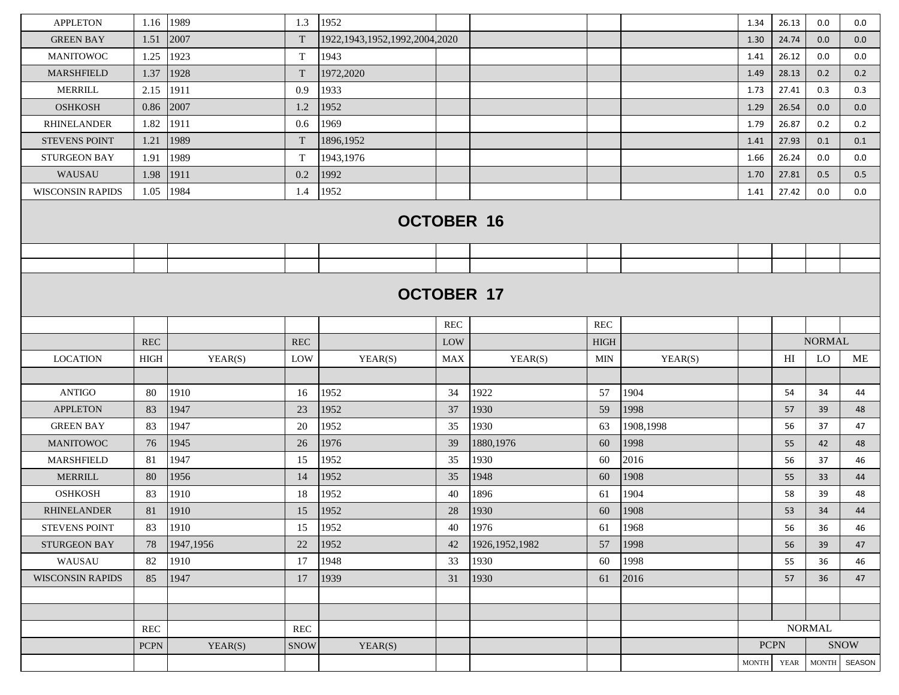| <b>APPLETON</b>         | 1.16        | 1989      | 1.3                  | 1952                               |            |                  |             |           | 1.34         | 26.13       | 0.0                    | 0.0           |
|-------------------------|-------------|-----------|----------------------|------------------------------------|------------|------------------|-------------|-----------|--------------|-------------|------------------------|---------------|
| <b>GREEN BAY</b>        | 1.51        | 2007      | T                    | 1922, 1943, 1952, 1992, 2004, 2020 |            |                  |             |           | 1.30         | 24.74       | 0.0                    | 0.0           |
| <b>MANITOWOC</b>        | 1.25        | 1923      | T                    | 1943                               |            |                  |             |           | 1.41         | 26.12       | 0.0                    | 0.0           |
| <b>MARSHFIELD</b>       | 1.37        | 1928      | T                    | 1972,2020                          |            |                  |             |           | 1.49         | 28.13       | 0.2                    | 0.2           |
| <b>MERRILL</b>          | 2.15        | 1911      | 0.9                  | 1933                               |            |                  |             |           | 1.73         | 27.41       | 0.3                    | 0.3           |
| <b>OSHKOSH</b>          | 0.86        | 2007      | 1.2                  | 1952                               |            |                  |             |           | 1.29         | 26.54       | 0.0                    | 0.0           |
| <b>RHINELANDER</b>      | 1.82        | 1911      | 0.6                  | 1969                               |            |                  |             |           | 1.79         | 26.87       | 0.2                    | 0.2           |
| <b>STEVENS POINT</b>    | 1.21        | 1989      | T                    | 1896,1952                          |            |                  |             |           | 1.41         | 27.93       | 0.1                    | 0.1           |
| <b>STURGEON BAY</b>     | 1.91        | 1989      | T                    | 1943,1976                          |            |                  |             |           | 1.66         | 26.24       | 0.0                    | 0.0           |
| <b>WAUSAU</b>           | 1.98        | 1911      | 0.2                  | 1992                               |            |                  |             |           | 1.70         | 27.81       | 0.5                    | 0.5           |
| <b>WISCONSIN RAPIDS</b> | 1.05        | 1984      | 1.4                  | 1952                               |            |                  |             |           | 1.41         | 27.42       | 0.0                    | 0.0           |
|                         |             |           |                      | <b>OCTOBER 16</b>                  |            |                  |             |           |              |             |                        |               |
|                         |             |           |                      |                                    |            |                  |             |           |              |             |                        |               |
|                         |             |           |                      | <b>OCTOBER 17</b>                  | <b>REC</b> |                  | <b>REC</b>  |           |              |             |                        |               |
|                         | <b>REC</b>  |           | <b>REC</b>           |                                    | LOW        |                  | <b>HIGH</b> |           |              |             | <b>NORMAL</b>          |               |
| <b>LOCATION</b>         | <b>HIGH</b> | YEAR(S)   | LOW                  | YEAR(S)                            | <b>MAX</b> | YEAR(S)          | <b>MIN</b>  | YEAR(S)   |              | HI          | LO                     | ME            |
|                         |             |           |                      |                                    |            |                  |             |           |              |             |                        |               |
| <b>ANTIGO</b>           | 80          | 1910      | 16                   | 1952                               | 34         | 1922             | 57          | 1904      |              | 54          | 34                     | 44            |
| <b>APPLETON</b>         | 83          | 1947      | 23                   | 1952                               | 37         | 1930             | 59          | 1998      |              | 57          | 39                     | 48            |
| <b>GREEN BAY</b>        | 83          | 1947      | 20                   | 1952                               | 35         | 1930             | 63          | 1908,1998 |              | 56          | 37                     | 47            |
| <b>MANITOWOC</b>        | 76          | 1945      | 26                   | 1976                               | 39         | 1880, 1976       | 60          | 1998      |              | 55          | 42                     | 48            |
| <b>MARSHFIELD</b>       | 81          | 1947      | 15                   | 1952                               | 35         | 1930             | 60          | 2016      |              | 56          | 37                     | 46            |
| <b>MERRILL</b>          | 80          | 1956      | 14                   | 1952                               | 35         | 1948             | 60          | 1908      |              | 55          | 33                     | 44            |
| <b>OSHKOSH</b>          | 83          | 1910      | 18                   | 1952                               | 40         | 1896             | 61          | 1904      |              | 58          | 39                     | 48            |
| <b>RHINELANDER</b>      | 81          | 1910      | 15                   | 1952                               | 28         | 1930             | 60          | 1908      |              | 53          | 34                     | 44            |
| STEVENS POINT           | 83          | 1910      | 15                   | 1952                               | 40         | 1976             | 61          | 1968      |              | 56          | 36                     | 46            |
| STURGEON BAY            | 78          | 1947,1956 | 22                   | 1952                               | 42         | 1926, 1952, 1982 | 57          | 1998      |              | 56          | 39                     | 47            |
| WAUSAU                  | 82          | 1910      | 17                   | 1948                               | 33         | 1930             | 60          | 1998      |              | 55          | 36                     | 46            |
| <b>WISCONSIN RAPIDS</b> | 85          | 1947      | 17                   | 1939                               | 31         | 1930             | 61          | 2016      |              | 57          | 36                     | 47            |
|                         |             |           |                      |                                    |            |                  |             |           |              |             |                        |               |
|                         |             |           |                      |                                    |            |                  |             |           |              |             |                        |               |
|                         | <b>REC</b>  |           | $\operatorname{REC}$ |                                    |            |                  |             |           |              |             | <b>NORMAL</b>          |               |
|                         | $PCPN$      | YEAR(S)   | <b>SNOW</b>          | YEAR(S)                            |            |                  |             |           |              | <b>PCPN</b> |                        | <b>SNOW</b>   |
|                         |             |           |                      |                                    |            |                  |             |           | <b>MONTH</b> | <b>YEAR</b> | $\operatorname{MONTH}$ | <b>SEASON</b> |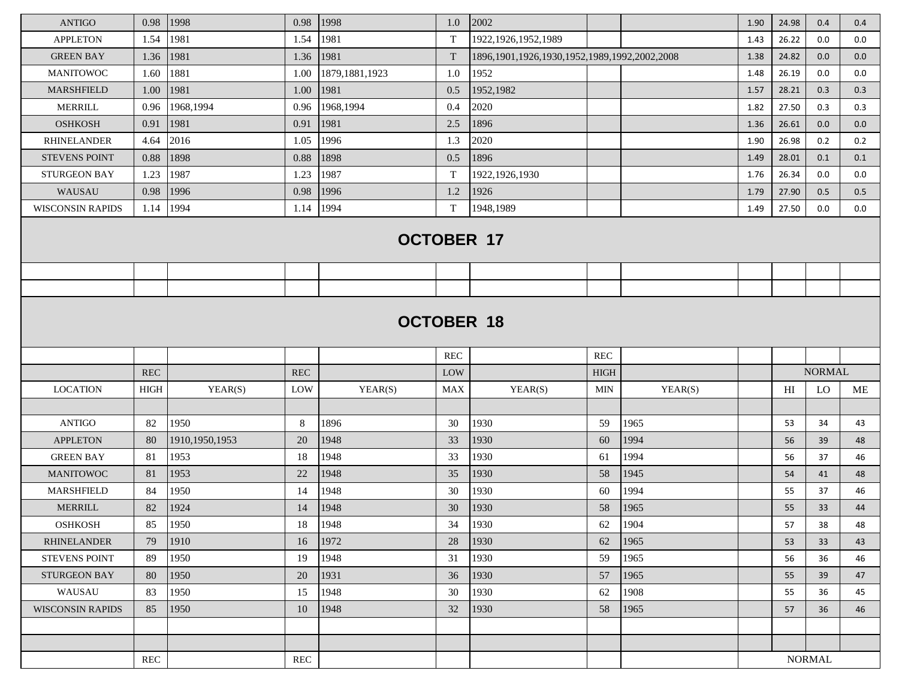| <b>ANTIGO</b>           | 0.98                 | 1998             | 0.98       | 1998              | 1.0        | 2002                                                 |             |         | 1.90 | 24.98 | 0.4           | 0.4 |
|-------------------------|----------------------|------------------|------------|-------------------|------------|------------------------------------------------------|-------------|---------|------|-------|---------------|-----|
| <b>APPLETON</b>         | 1.54                 | 1981             | 1.54       | 1981              | T          | 1922, 1926, 1952, 1989                               |             |         | 1.43 | 26.22 | 0.0           | 0.0 |
| <b>GREEN BAY</b>        | 1.36                 | 1981             | 1.36       | 1981              | T          | 1896, 1901, 1926, 1930, 1952, 1989, 1992, 2002, 2008 |             |         | 1.38 | 24.82 | 0.0           | 0.0 |
| <b>MANITOWOC</b>        | 1.60                 | 1881             | 1.00       | 1879, 1881, 1923  | 1.0        | 1952                                                 |             |         | 1.48 | 26.19 | 0.0           | 0.0 |
| <b>MARSHFIELD</b>       | 1.00                 | 1981             | 1.00       | 1981              | 0.5        | 1952,1982                                            |             |         | 1.57 | 28.21 | 0.3           | 0.3 |
| <b>MERRILL</b>          | 0.96                 | 1968,1994        | 0.96       | 1968,1994         | 0.4        | 2020                                                 |             |         | 1.82 | 27.50 | 0.3           | 0.3 |
| <b>OSHKOSH</b>          | 0.91                 | 1981             | 0.91       | 1981              | 2.5        | 1896                                                 |             |         | 1.36 | 26.61 | 0.0           | 0.0 |
| <b>RHINELANDER</b>      | 4.64                 | 2016             | 1.05       | 1996              | 1.3        | 2020                                                 |             |         | 1.90 | 26.98 | 0.2           | 0.2 |
| <b>STEVENS POINT</b>    | 0.88                 | 1898             | 0.88       | 1898              | 0.5        | 1896                                                 |             |         | 1.49 | 28.01 | 0.1           | 0.1 |
| <b>STURGEON BAY</b>     | 1.23                 | 1987             | 1.23       | 1987              | T          | 1922, 1926, 1930                                     |             |         | 1.76 | 26.34 | 0.0           | 0.0 |
| WAUSAU                  | 0.98                 | 1996             | 0.98       | 1996              | 1.2        | 1926                                                 |             |         | 1.79 | 27.90 | 0.5           | 0.5 |
| <b>WISCONSIN RAPIDS</b> | 1.14                 | 1994             | 1.14       | 1994              | T          | 1948,1989                                            |             |         | 1.49 | 27.50 | 0.0           | 0.0 |
|                         |                      |                  |            | <b>OCTOBER 17</b> |            |                                                      |             |         |      |       |               |     |
|                         |                      |                  |            |                   |            |                                                      |             |         |      |       |               |     |
|                         |                      |                  |            | <b>OCTOBER 18</b> |            |                                                      |             |         |      |       |               |     |
|                         |                      |                  |            |                   | <b>REC</b> |                                                      | <b>REC</b>  |         |      |       |               |     |
|                         | $\operatorname{REC}$ |                  | <b>REC</b> |                   | LOW        |                                                      | <b>HIGH</b> |         |      |       | <b>NORMAL</b> |     |
| <b>LOCATION</b>         | <b>HIGH</b>          | YEAR(S)          | LOW        | YEAR(S)           | <b>MAX</b> | YEAR(S)                                              | <b>MIN</b>  | YEAR(S) |      | H     | LO            | ME  |
|                         |                      |                  |            |                   |            |                                                      |             |         |      |       |               |     |
| <b>ANTIGO</b>           | 82                   | 1950             | 8          | 1896              | 30         | 1930                                                 | 59          | 1965    |      | 53    | 34            | 43  |
| <b>APPLETON</b>         | 80                   | 1910, 1950, 1953 | 20         | 1948              | 33         | 1930                                                 | 60          | 1994    |      | 56    | 39            | 48  |
| <b>GREEN BAY</b>        | 81                   | 1953             | 18         | 1948              | 33         | 1930                                                 | 61          | 1994    |      | 56    | 37            | 46  |
| <b>MANITOWOC</b>        | 81                   | 1953             | 22         | 1948              | 35         | 1930                                                 | 58          | 1945    |      | 54    | 41            | 48  |
| <b>MARSHFIELD</b>       | 84                   | 1950             | 14         | 1948              | 30         | 1930                                                 | 60          | 1994    |      | 55    | 37            | 46  |
| <b>MERRILL</b>          | 82                   | 1924             | 14         | 1948              | 30         | 1930                                                 | 58          | 1965    |      | 55    | 33            | 44  |
| <b>OSHKOSH</b>          | 85                   | 1950             | 18         | 1948              | 34         | 1930                                                 | 62          | 1904    |      | 57    | 38            | 48  |
| <b>RHINELANDER</b>      | 79                   | 1910             | 16         | 1972              | 28         | 1930                                                 | 62          | 1965    |      | 53    | 33            | 43  |
| <b>STEVENS POINT</b>    | 89                   | 1950             | 19         | 1948              | 31         | 1930                                                 | 59          | 1965    |      | 56    | 36            | 46  |
| STURGEON BAY            | 80                   | 1950             | 20         | 1931              | 36         | 1930                                                 | 57          | 1965    |      | 55    | 39            | 47  |
| WAUSAU                  | 83                   | 1950             | 15         | 1948              | 30         | 1930                                                 | 62          | 1908    |      | 55    | 36            | 45  |
| <b>WISCONSIN RAPIDS</b> | 85                   | 1950             | 10         | 1948              | 32         | 1930                                                 | 58          | 1965    |      | 57    | 36            | 46  |
|                         |                      |                  |            |                   |            |                                                      |             |         |      |       |               |     |
|                         | REC                  |                  | REC        |                   |            |                                                      |             |         |      |       | <b>NORMAL</b> |     |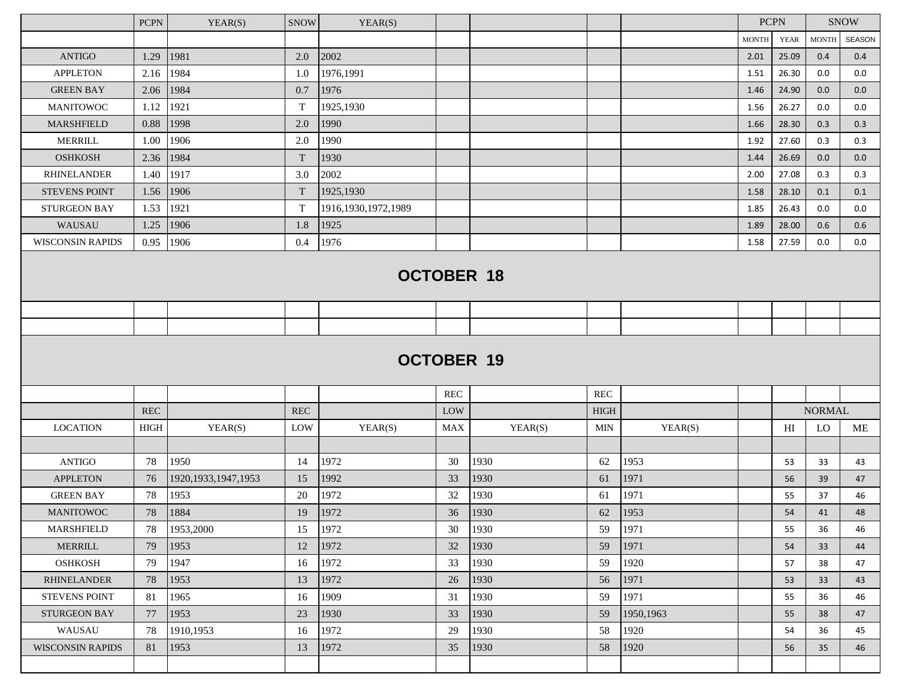|                         | <b>PCPN</b> | YEAR(S)                | <b>SNOW</b> | YEAR(S)                |            |                   |             |           |              | <b>PCPN</b>    |               | <b>SNOW</b> |
|-------------------------|-------------|------------------------|-------------|------------------------|------------|-------------------|-------------|-----------|--------------|----------------|---------------|-------------|
|                         |             |                        |             |                        |            |                   |             |           | <b>MONTH</b> | <b>YEAR</b>    | <b>MONTH</b>  | SEASON      |
| <b>ANTIGO</b>           | 1.29        | 1981                   | 2.0         | 2002                   |            |                   |             |           | 2.01         | 25.09          | 0.4           | 0.4         |
| <b>APPLETON</b>         | 2.16        | 1984                   | 1.0         | 1976,1991              |            |                   |             |           | 1.51         | 26.30          | 0.0           | 0.0         |
| <b>GREEN BAY</b>        | 2.06        | 1984                   | 0.7         | 1976                   |            |                   |             |           | 1.46         | 24.90          | 0.0           | 0.0         |
| <b>MANITOWOC</b>        | 1.12        | 1921                   | T           | 1925,1930              |            |                   |             |           | 1.56         | 26.27          | 0.0           | 0.0         |
| <b>MARSHFIELD</b>       | 0.88        | 1998                   | 2.0         | 1990                   |            |                   |             |           | 1.66         | 28.30          | 0.3           | 0.3         |
| MERRILL                 | 1.00        | 1906                   | 2.0         | 1990                   |            |                   |             |           | 1.92         | 27.60          | 0.3           | 0.3         |
| <b>OSHKOSH</b>          | 2.36        | 1984                   | $\mathbf T$ | 1930                   |            |                   |             |           | 1.44         | 26.69          | 0.0           | 0.0         |
| <b>RHINELANDER</b>      | 1.40        | 1917                   | 3.0         | 2002                   |            |                   |             |           | 2.00         | 27.08          | 0.3           | 0.3         |
| <b>STEVENS POINT</b>    | 1.56        | 1906                   | T           | 1925,1930              |            |                   |             |           | 1.58         | 28.10          | 0.1           | 0.1         |
| <b>STURGEON BAY</b>     | 1.53        | 1921                   | $\mathbf T$ | 1916, 1930, 1972, 1989 |            |                   |             |           | 1.85         | 26.43          | 0.0           | $0.0\,$     |
| WAUSAU                  | 1.25        | 1906                   | 1.8         | 1925                   |            |                   |             |           | 1.89         | 28.00          | 0.6           | 0.6         |
| <b>WISCONSIN RAPIDS</b> | 0.95        | 1906                   | 0.4         | 1976                   |            |                   |             |           | 1.58         | 27.59          | 0.0           | 0.0         |
|                         |             |                        |             |                        |            | <b>OCTOBER 18</b> |             |           |              |                |               |             |
|                         |             |                        |             |                        |            |                   |             |           |              |                |               |             |
|                         |             |                        |             |                        |            |                   |             |           |              |                |               |             |
|                         |             |                        |             |                        |            | <b>OCTOBER 19</b> |             |           |              |                |               |             |
|                         |             |                        |             |                        | <b>REC</b> |                   | <b>REC</b>  |           |              |                |               |             |
|                         | <b>REC</b>  |                        | <b>REC</b>  |                        | LOW        |                   | <b>HIGH</b> |           |              |                | <b>NORMAL</b> |             |
| <b>LOCATION</b>         | <b>HIGH</b> | YEAR(S)                | LOW         | YEAR(S)                | <b>MAX</b> | YEAR(S)           | <b>MIN</b>  | YEAR(S)   |              | H <sub>I</sub> | LO            | ME          |
|                         |             |                        |             |                        |            |                   |             |           |              |                |               |             |
| <b>ANTIGO</b>           | 78          | 1950                   | 14          | 1972                   | 30         | 1930              | 62          | 1953      |              | 53             | 33            | 43          |
| <b>APPLETON</b>         | 76          | 1920, 1933, 1947, 1953 | 15          | 1992                   | 33         | 1930              | 61          | 1971      |              | 56             | 39            | 47          |
| <b>GREEN BAY</b>        | 78          | 1953                   | 20          | 1972                   | 32         | 1930              | 61          | 1971      |              | 55             | 37            | 46          |
| <b>MANITOWOC</b>        | 78          | 1884                   | 19          | 1972                   | 36         | 1930              | 62          | 1953      |              | 54             | 41            | 48          |
| MARSHFIELD              | 78          | 1953,2000              | 15          | 1972                   | 30         | 1930              | 59          | 1971      |              | 55             | 36            | 46          |
| <b>MERRILL</b>          | 79          | 1953                   | 12          | 1972                   | 32         | 1930              | 59          | 1971      |              | 54             | 33            | 44          |
| <b>OSHKOSH</b>          | 79          | 1947                   | 16          | 1972                   | 33         | 1930              | 59          | 1920      |              | 57             | 38            | 47          |
| <b>RHINELANDER</b>      | 78          | 1953                   | 13          | 1972                   | 26         | 1930              | 56          | 1971      |              | 53             | 33            | 43          |
| <b>STEVENS POINT</b>    | 81          | 1965                   | 16          | 1909                   | 31         | 1930              | 59          | 1971      |              | 55             | 36            | 46          |
| STURGEON BAY            | 77          | 1953                   | 23          | 1930                   | 33         | 1930              | 59          | 1950,1963 |              | 55             | 38            | 47          |
| WAUSAU                  | 78          | 1910,1953              | 16          | 1972                   | 29         | 1930              | 58          | 1920      |              | 54             | 36            | 45          |
| <b>WISCONSIN RAPIDS</b> | 81          | 1953                   | 13          | 1972                   | 35         | 1930              | 58          | 1920      |              | 56             | 35            | 46          |
|                         |             |                        |             |                        |            |                   |             |           |              |                |               |             |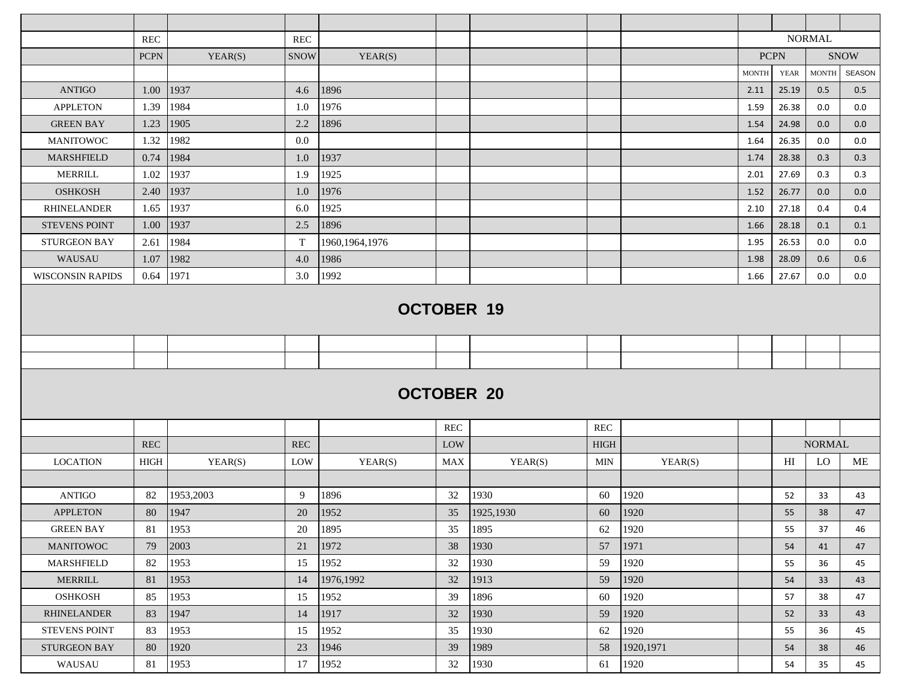|                         | <b>REC</b>        |           | <b>REC</b>  |                  |            |                   |             |            |              |             | <b>NORMAL</b> |               |  |  |  |
|-------------------------|-------------------|-----------|-------------|------------------|------------|-------------------|-------------|------------|--------------|-------------|---------------|---------------|--|--|--|
|                         | $PCPN$            | YEAR(S)   | <b>SNOW</b> | YEAR(S)          |            |                   |             |            |              | <b>PCPN</b> |               | <b>SNOW</b>   |  |  |  |
|                         |                   |           |             |                  |            |                   |             |            | <b>MONTH</b> | <b>YEAR</b> | <b>MONTH</b>  | <b>SEASON</b> |  |  |  |
| <b>ANTIGO</b>           | 1.00              | 1937      | 4.6         | 1896             |            |                   |             |            | 2.11         | 25.19       | 0.5           | 0.5           |  |  |  |
| <b>APPLETON</b>         | 1.39              | 1984      | 1.0         | 1976             |            |                   |             |            | 1.59         | 26.38       | 0.0           | $0.0\,$       |  |  |  |
| <b>GREEN BAY</b>        | 1.23              | 1905      | 2.2         | 1896             |            |                   |             |            | 1.54         | 24.98       | 0.0           | 0.0           |  |  |  |
| <b>MANITOWOC</b>        | 1.32              | 1982      | 0.0         |                  |            |                   |             |            | 1.64         | 26.35       | 0.0           | 0.0           |  |  |  |
| <b>MARSHFIELD</b>       | 0.74              | 1984      | $1.0\,$     | 1937             |            |                   |             |            | 1.74         | 28.38       | 0.3           | 0.3           |  |  |  |
| <b>MERRILL</b>          | 1.02              | 1937      | 1.9         | 1925             |            |                   |             |            | 2.01         | 27.69       | 0.3           | 0.3           |  |  |  |
| <b>OSHKOSH</b>          | 2.40              | 1937      | 1.0         | 1976             |            |                   |             |            | 1.52         | 26.77       | 0.0           | 0.0           |  |  |  |
| <b>RHINELANDER</b>      | 1.65              | 1937      | 6.0         | 1925             |            |                   |             |            | 2.10         | 27.18       | 0.4           | 0.4           |  |  |  |
| <b>STEVENS POINT</b>    | 1.00              | 1937      | 2.5         | 1896             |            |                   |             |            | 1.66         | 28.18       | 0.1           | 0.1           |  |  |  |
| <b>STURGEON BAY</b>     | 2.61              | 1984      | $\mathbf T$ | 1960, 1964, 1976 |            |                   |             |            | 1.95         | 26.53       | 0.0           | 0.0           |  |  |  |
| WAUSAU                  | 1.07              | 1982      | 4.0         | 1986             |            |                   |             |            | 1.98         | 28.09       | 0.6           | 0.6           |  |  |  |
| <b>WISCONSIN RAPIDS</b> | 0.64              | 1971      | 3.0         | 1992             |            |                   |             |            | 1.66         | 27.67       | 0.0           | 0.0           |  |  |  |
|                         |                   |           |             |                  |            |                   |             |            |              |             |               |               |  |  |  |
|                         | <b>OCTOBER 19</b> |           |             |                  |            |                   |             |            |              |             |               |               |  |  |  |
|                         |                   |           |             |                  |            |                   |             |            |              |             |               |               |  |  |  |
|                         |                   |           |             |                  |            |                   |             |            |              |             |               |               |  |  |  |
|                         |                   |           |             |                  |            |                   |             |            |              |             |               |               |  |  |  |
|                         |                   |           |             |                  |            | <b>OCTOBER 20</b> |             |            |              |             |               |               |  |  |  |
|                         |                   |           |             |                  |            |                   |             |            |              |             |               |               |  |  |  |
|                         |                   |           |             |                  | <b>REC</b> |                   | REC         |            |              |             |               |               |  |  |  |
|                         | <b>REC</b>        |           | <b>REC</b>  |                  | LOW        |                   | <b>HIGH</b> |            |              |             | <b>NORMAL</b> |               |  |  |  |
| <b>LOCATION</b>         | <b>HIGH</b>       | YEAR(S)   | LOW         | YEAR(S)          | <b>MAX</b> | YEAR(S)           | MIN         | YEAR(S)    |              | H           | LO            | ME            |  |  |  |
|                         |                   |           |             |                  |            |                   |             |            |              |             |               |               |  |  |  |
| <b>ANTIGO</b>           | 82                | 1953,2003 | 9           | 1896             | 32         | 1930              | 60          | 1920       |              | 52          | 33            | 43            |  |  |  |
| <b>APPLETON</b>         | 80                | 1947      | 20          | 1952             | 35         | 1925,1930         | 60          | 1920       |              | 55          | 38            | 47            |  |  |  |
| <b>GREEN BAY</b>        | 81                | 1953      | 20          | 1895             | 35         | 1895              | 62          | 1920       |              | 55          | 37            | 46            |  |  |  |
| <b>MANITOWOC</b>        | 79                | 2003      | 21          | 1972             | 38         | 1930              | 57          | 1971       |              | 54          | 41            | 47            |  |  |  |
| MARSHFIELD              | 82                | 1953      | 15          | 1952             | 32         | 1930              | 59          | 1920       |              | 55          | 36            | 45            |  |  |  |
| <b>MERRILL</b>          | 81                | 1953      | 14          | 1976,1992        | 32         | 1913              | 59          | 1920       |              | 54          | 33            | 43            |  |  |  |
| <b>OSHKOSH</b>          | 85                | 1953      | 15          | 1952             | 39         | 1896              | 60          | 1920       |              | 57          | 38            | 47            |  |  |  |
| <b>RHINELANDER</b>      | 83                | 1947      | 14          | 1917             | 32         | 1930              | 59          | 1920       |              | 52          | 33            | 43            |  |  |  |
| <b>STEVENS POINT</b>    | 83                | 1953      | 15          | 1952             | 35         | 1930              | 62          | 1920       |              | 55          | 36            | 45            |  |  |  |
| STURGEON BAY            | 80                | 1920      | 23          | 1946             | 39         | 1989              | 58          | 1920, 1971 |              | 54          | 38            | 46            |  |  |  |
| WAUSAU                  | 81                | 1953      | 17          | 1952             | 32         | 1930              | 61          | 1920       |              | 54          | 35            | 45            |  |  |  |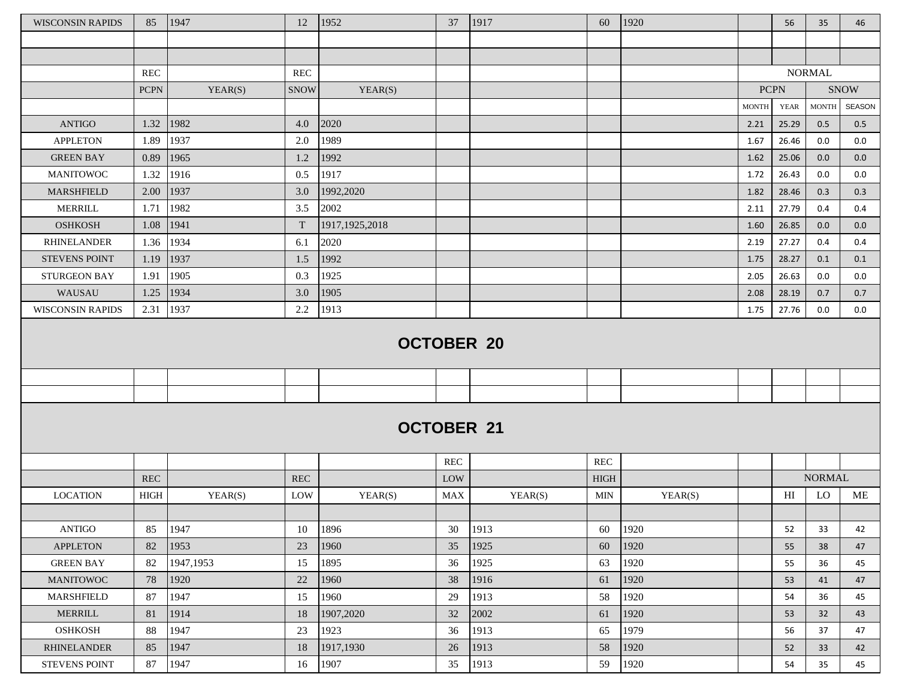| <b>WISCONSIN RAPIDS</b> | 85          | 1947      | 12          | 1952              | 37         | 1917    | 60          | 1920    |              | 56             | 35                     | 46            |
|-------------------------|-------------|-----------|-------------|-------------------|------------|---------|-------------|---------|--------------|----------------|------------------------|---------------|
|                         |             |           |             |                   |            |         |             |         |              |                |                        |               |
|                         |             |           |             |                   |            |         |             |         |              |                |                        |               |
|                         | REC         |           | <b>REC</b>  |                   |            |         |             |         |              |                | <b>NORMAL</b>          |               |
|                         | <b>PCPN</b> | YEAR(S)   | <b>SNOW</b> | YEAR(S)           |            |         |             |         | <b>PCPN</b>  |                |                        | <b>SNOW</b>   |
|                         |             |           |             |                   |            |         |             |         | <b>MONTH</b> | <b>YEAR</b>    | $\operatorname{MONTH}$ | <b>SEASON</b> |
| <b>ANTIGO</b>           | 1.32        | 1982      | 4.0         | 2020              |            |         |             |         | 2.21         | 25.29          | 0.5                    | 0.5           |
| <b>APPLETON</b>         | 1.89        | 1937      | 2.0         | 1989              |            |         |             |         | 1.67         | 26.46          | 0.0                    | 0.0           |
| <b>GREEN BAY</b>        | 0.89        | 1965      | 1.2         | 1992              |            |         |             |         | 1.62         | 25.06          | 0.0                    | 0.0           |
| <b>MANITOWOC</b>        | 1.32        | 1916      | 0.5         | 1917              |            |         |             |         | 1.72         | 26.43          | 0.0                    | 0.0           |
| MARSHFIELD              | 2.00        | 1937      | 3.0         | 1992,2020         |            |         |             |         | 1.82         | 28.46          | 0.3                    | 0.3           |
| MERRILL                 | 1.71        | 1982      | 3.5         | 2002              |            |         |             |         | 2.11         | 27.79          | 0.4                    | 0.4           |
| <b>OSHKOSH</b>          | 1.08        | 1941      | T           | 1917, 1925, 2018  |            |         |             |         | 1.60         | 26.85          | 0.0                    | 0.0           |
| <b>RHINELANDER</b>      | 1.36        | 1934      | 6.1         | 2020              |            |         |             |         | 2.19         | 27.27          | 0.4                    | 0.4           |
| <b>STEVENS POINT</b>    | 1.19        | 1937      | 1.5         | 1992              |            |         |             |         | 1.75         | 28.27          | 0.1                    | 0.1           |
| <b>STURGEON BAY</b>     | 1.91        | 1905      | 0.3         | 1925              |            |         |             |         | 2.05         | 26.63          | 0.0                    | $0.0\,$       |
| WAUSAU                  | 1.25        | 1934      | 3.0         | 1905              |            |         |             |         | 2.08         | 28.19          | 0.7                    | 0.7           |
| <b>WISCONSIN RAPIDS</b> | 2.31        | 1937      | 2.2         | 1913              |            |         |             |         | 1.75         | 27.76          | $0.0\,$                | 0.0           |
|                         |             |           |             | <b>OCTOBER 20</b> |            |         |             |         |              |                |                        |               |
|                         |             |           |             |                   |            |         |             |         |              |                |                        |               |
|                         |             |           |             |                   |            |         |             |         |              |                |                        |               |
|                         |             |           |             | <b>OCTOBER 21</b> |            |         |             |         |              |                |                        |               |
|                         |             |           |             |                   | <b>REC</b> |         | <b>REC</b>  |         |              |                |                        |               |
|                         | <b>REC</b>  |           | <b>REC</b>  |                   | LOW        |         | <b>HIGH</b> |         |              |                | <b>NORMAL</b>          |               |
| <b>LOCATION</b>         | HIGH        | YEAR(S)   | LOW         | YEAR(S)           | <b>MAX</b> | YEAR(S) | <b>MIN</b>  | YEAR(S) |              | H <sub>I</sub> | LO                     | ME            |
|                         |             |           |             |                   |            |         |             |         |              |                |                        |               |
| <b>ANTIGO</b>           | 85          | 1947      | 10          | 1896              | 30         | 1913    | 60          | 1920    |              | 52             | 33                     | 42            |
| <b>APPLETON</b>         | 82          | 1953      | 23          | 1960              | 35         | 1925    | 60          | 1920    |              | 55             | 38                     | 47            |
| GREEN $\mathbf{BAY}$    | 82          | 1947,1953 | 15          | 1895              | 36         | 1925    | 63          | 1920    |              | 55             | 36                     | 45            |
| <b>MANITOWOC</b>        | 78          | 1920      | 22          | 1960              | 38         | 1916    | 61          | 1920    |              | 53             | 41                     | 47            |
| MARSHFIELD              | 87          | 1947      | 15          | 1960              | 29         | 1913    | 58          | 1920    |              | 54             | 36                     | 45            |
| <b>MERRILL</b>          | 81          | 1914      | 18          | 1907,2020         | 32         | 2002    | 61          | 1920    |              | 53             | 32                     | 43            |
| <b>OSHKOSH</b>          | 88          | 1947      | 23          | 1923              | 36         | 1913    | 65          | 1979    |              | 56             | 37                     | 47            |
| <b>RHINELANDER</b>      | 85          | 1947      | 18          | 1917,1930         | 26         | 1913    | 58          | 1920    |              | 52             | 33                     | 42            |
| STEVENS POINT           | 87          | 1947      | 16          | 1907              | 35         | 1913    | 59          | 1920    |              | 54             | 35                     | 45            |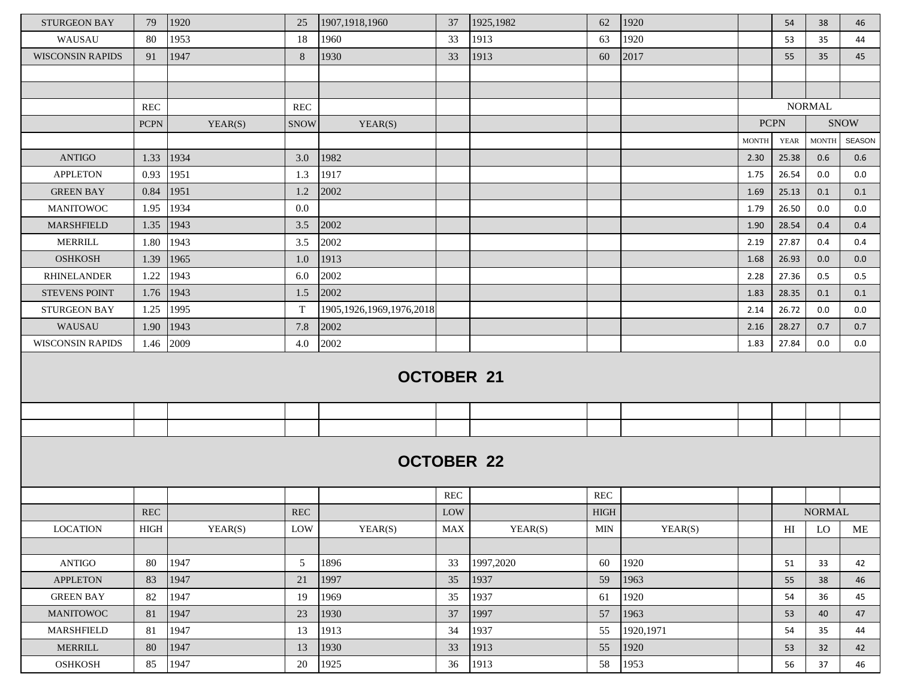| <b>STURGEON BAY</b>     | 79          | 1920    | 25          | 1907, 1918, 1960             | 37         | 1925,1982         | 62                        | 1920      |              | 54          | 38            | 46            |
|-------------------------|-------------|---------|-------------|------------------------------|------------|-------------------|---------------------------|-----------|--------------|-------------|---------------|---------------|
| WAUSAU                  | 80          | 1953    | 18          | 1960                         | 33         | 1913              | 63                        | 1920      |              | 53          | 35            | 44            |
| <b>WISCONSIN RAPIDS</b> | 91          | 1947    | 8           | 1930                         | 33         | 1913              | 60                        | 2017      |              | 55          | 35            | 45            |
|                         |             |         |             |                              |            |                   |                           |           |              |             |               |               |
|                         |             |         |             |                              |            |                   |                           |           |              |             |               |               |
|                         | <b>REC</b>  |         | <b>REC</b>  |                              |            |                   |                           |           |              |             | <b>NORMAL</b> |               |
|                         | <b>PCPN</b> | YEAR(S) | <b>SNOW</b> | YEAR(S)                      |            |                   |                           |           | <b>PCPN</b>  |             |               | <b>SNOW</b>   |
|                         |             |         |             |                              |            |                   |                           |           | <b>MONTH</b> | <b>YEAR</b> | <b>MONTH</b>  | <b>SEASON</b> |
| <b>ANTIGO</b>           | 1.33 1934   |         | 3.0         | 1982                         |            |                   |                           |           | 2.30         | 25.38       | 0.6           | 0.6           |
| <b>APPLETON</b>         | 0.93        | 1951    | 1.3         | 1917                         |            |                   |                           |           | 1.75         | 26.54       | 0.0           | 0.0           |
| <b>GREEN BAY</b>        | 0.84        | 1951    | 1.2         | 2002                         |            |                   |                           |           | 1.69         | 25.13       | 0.1           | 0.1           |
| <b>MANITOWOC</b>        | 1.95        | 1934    | 0.0         |                              |            |                   |                           |           | 1.79         | 26.50       | 0.0           | 0.0           |
| <b>MARSHFIELD</b>       | 1.35        | 1943    | 3.5         | 2002                         |            |                   |                           |           | 1.90         | 28.54       | 0.4           | 0.4           |
| <b>MERRILL</b>          | 1.80        | 1943    | 3.5         | 2002                         |            |                   |                           |           | 2.19         | 27.87       | 0.4           | 0.4           |
| <b>OSHKOSH</b>          | 1.39        | 1965    | 1.0         | 1913                         |            |                   |                           |           | 1.68         | 26.93       | 0.0           | 0.0           |
| <b>RHINELANDER</b>      | 1.22        | 1943    | 6.0         | 2002                         |            |                   |                           |           | 2.28         | 27.36       | 0.5           | 0.5           |
| <b>STEVENS POINT</b>    | 1.76        | 1943    | 1.5         | 2002                         |            |                   |                           |           | 1.83         | 28.35       | 0.1           | 0.1           |
| <b>STURGEON BAY</b>     | 1.25        | 1995    | T           | 1905, 1926, 1969, 1976, 2018 |            |                   |                           |           | 2.14         | 26.72       | 0.0           | 0.0           |
| WAUSAU                  | 1.90        | 1943    | 7.8         | 2002                         |            |                   |                           |           | 2.16         | 28.27       | 0.7           | 0.7           |
| <b>WISCONSIN RAPIDS</b> | 1.46 2009   |         | 4.0         | 2002                         |            |                   |                           |           | 1.83         | 27.84       | 0.0           | 0.0           |
|                         |             |         |             | <b>OCTOBER 21</b>            |            |                   |                           |           |              |             |               |               |
|                         |             |         |             |                              |            |                   |                           |           |              |             |               |               |
|                         |             |         |             |                              |            |                   |                           |           |              |             |               |               |
|                         |             |         |             |                              | <b>REC</b> | <b>OCTOBER 22</b> | <b>REC</b>                |           |              |             |               |               |
|                         | <b>REC</b>  |         | <b>REC</b>  |                              | <b>LOW</b> |                   |                           |           |              |             | <b>NORMAL</b> |               |
| <b>LOCATION</b>         | HIGH        | YEAR(S) | LOW         | YEAR(S)                      | <b>MAX</b> | YEAR(S)           | <b>HIGH</b><br><b>MIN</b> | YEAR(S)   |              | HI          | LO            | ME            |
|                         |             |         |             |                              |            |                   |                           |           |              |             |               |               |
| <b>ANTIGO</b>           | 80          | 1947    | 5           | 1896                         | 33         | 1997,2020         | 60                        | 1920      |              | 51          | 33            | 42            |
| <b>APPLETON</b>         | 83          | 1947    | 21          | 1997                         | 35         | 1937              | 59                        | 1963      |              | 55          | 38            | 46            |
| <b>GREEN BAY</b>        | 82          | 1947    | 19          | 1969                         | 35         | 1937              | 61                        | 1920      |              | 54          | 36            | 45            |
| <b>MANITOWOC</b>        | 81          | 1947    | 23          | 1930                         | 37         | 1997              | 57                        | 1963      |              | 53          | 40            | 47            |
| MARSHFIELD              | 81          | 1947    | 13          | 1913                         | 34         | 1937              | 55                        | 1920,1971 |              | 54          | 35            | 44            |
| <b>MERRILL</b>          | 80          | 1947    | 13          | 1930                         | 33         | 1913              | 55                        | 1920      |              | 53          | 32            | 42            |
| <b>OSHKOSH</b>          | 85          | 1947    | 20          | 1925                         | 36         | 1913              | 58                        | 1953      |              | 56          | 37            | 46            |
|                         |             |         |             |                              |            |                   |                           |           |              |             |               |               |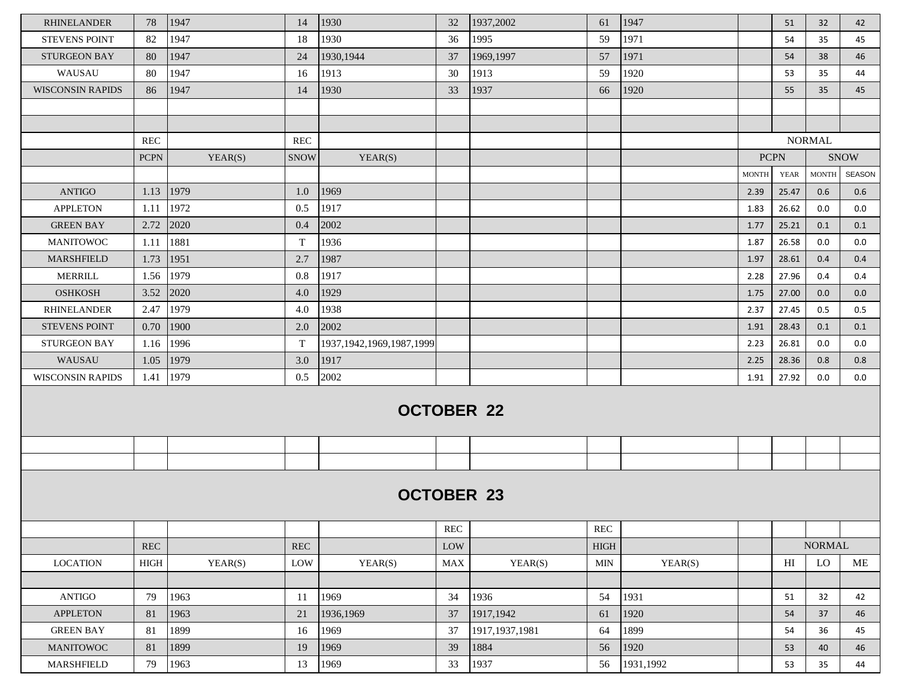| <b>RHINELANDER</b>      | 78          | 1947    | 14          | 1930                         | 32         | 1937,2002        | 61            | 1947      |              | 51          | 32            | 42          |
|-------------------------|-------------|---------|-------------|------------------------------|------------|------------------|---------------|-----------|--------------|-------------|---------------|-------------|
| <b>STEVENS POINT</b>    | 82          | 1947    | 18          | 1930                         | 36         | 1995             | 59            | 1971      |              | 54          | 35            | 45          |
| <b>STURGEON BAY</b>     | 80          | 1947    | 24          | 1930,1944                    | 37         | 1969,1997        | 57            | 1971      |              | 54          | 38            | 46          |
| WAUSAU                  | 80          | 1947    | 16          | 1913                         | 30         | 1913             | 59            | 1920      |              | 53          | 35            | 44          |
| <b>WISCONSIN RAPIDS</b> | 86          | 1947    | 14          | 1930                         | 33         | 1937             | 66            | 1920      |              | 55          | 35            | 45          |
|                         |             |         |             |                              |            |                  |               |           |              |             |               |             |
|                         |             |         |             |                              |            |                  |               |           |              |             |               |             |
|                         | <b>REC</b>  |         | <b>REC</b>  |                              |            |                  |               |           |              |             | <b>NORMAL</b> |             |
|                         | <b>PCPN</b> | YEAR(S) | <b>SNOW</b> | YEAR(S)                      |            |                  |               |           |              | <b>PCPN</b> |               | <b>SNOW</b> |
|                         |             |         |             |                              |            |                  |               |           | <b>MONTH</b> | YEAR        | <b>MONTH</b>  | SEASON      |
| <b>ANTIGO</b>           | 1.13        | 1979    | 1.0         | 1969                         |            |                  |               |           | 2.39         | 25.47       | 0.6           | 0.6         |
| <b>APPLETON</b>         | 1.11        | 1972    | 0.5         | 1917                         |            |                  |               |           | 1.83         | 26.62       | 0.0           | 0.0         |
| <b>GREEN BAY</b>        | 2.72        | 2020    | 0.4         | 2002                         |            |                  |               |           | 1.77         | 25.21       | 0.1           | 0.1         |
| <b>MANITOWOC</b>        | 1.11        | 1881    | $\mathbf T$ | 1936                         |            |                  |               |           | 1.87         | 26.58       | 0.0           | 0.0         |
| <b>MARSHFIELD</b>       | 1.73        | 1951    | 2.7         | 1987                         |            |                  |               |           | 1.97         | 28.61       | 0.4           | 0.4         |
| <b>MERRILL</b>          | 1.56        | 1979    | 0.8         | 1917                         |            |                  |               |           | 2.28         | 27.96       | 0.4           | 0.4         |
| <b>OSHKOSH</b>          | 3.52        | 2020    | 4.0         | 1929                         |            |                  |               |           | 1.75         | 27.00       | 0.0           | 0.0         |
| <b>RHINELANDER</b>      | 2.47        | 1979    | 4.0         | 1938                         |            |                  |               |           | 2.37         | 27.45       | 0.5           | 0.5         |
| <b>STEVENS POINT</b>    | 0.70        | 1900    | 2.0         | 2002                         |            |                  |               |           | 1.91         | 28.43       | 0.1           | 0.1         |
| <b>STURGEON BAY</b>     | 1.16        | 1996    | $\mathbf T$ | 1937, 1942, 1969, 1987, 1999 |            |                  |               |           | 2.23         | 26.81       | 0.0           | 0.0         |
| WAUSAU                  | 1.05        | 1979    | 3.0         | 1917                         |            |                  |               |           | 2.25         | 28.36       | 0.8           | 0.8         |
| <b>WISCONSIN RAPIDS</b> | 1.41        | 1979    | 0.5         | 2002                         |            |                  |               |           | 1.91         | 27.92       | 0.0           | 0.0         |
|                         |             |         |             | <b>OCTOBER 22</b>            |            |                  |               |           |              |             |               |             |
|                         |             |         |             |                              |            |                  |               |           |              |             |               |             |
|                         |             |         |             |                              |            |                  |               |           |              |             |               |             |
|                         |             |         |             | <b>OCTOBER 23</b>            |            |                  |               |           |              |             |               |             |
|                         |             |         |             |                              | <b>REC</b> |                  | <b>REC</b>    |           |              |             |               |             |
|                         | <b>REC</b>  |         | REC         |                              | LOW        |                  | $_{\rm HIGH}$ |           |              |             | <b>NORMAL</b> |             |
| <b>LOCATION</b>         | HIGH        | YEAR(S) | LOW         | YEAR(S)                      | <b>MAX</b> | YEAR(S)          | <b>MIN</b>    | YEAR(S)   |              | H           | LO            | ME          |
|                         |             |         |             |                              |            |                  |               |           |              |             |               |             |
| <b>ANTIGO</b>           | 79          | 1963    | 11          | 1969                         | 34         | 1936             | 54            | 1931      |              | 51          | 32            | 42          |
| <b>APPLETON</b>         | 81          | 1963    | 21          | 1936,1969                    | 37         | 1917,1942        | 61            | 1920      |              | 54          | 37            | 46          |
| <b>GREEN BAY</b>        | 81          | 1899    | 16          | 1969                         | 37         | 1917, 1937, 1981 | 64            | 1899      |              | 54          | 36            | 45          |
| <b>MANITOWOC</b>        | 81          | 1899    | 19          | 1969                         | 39         | 1884             | 56            | 1920      |              | 53          | 40            | 46          |
| <b>MARSHFIELD</b>       | 79          | 1963    | 13          | 1969                         | 33         | 1937             | 56            | 1931,1992 |              | 53          | 35            | 44          |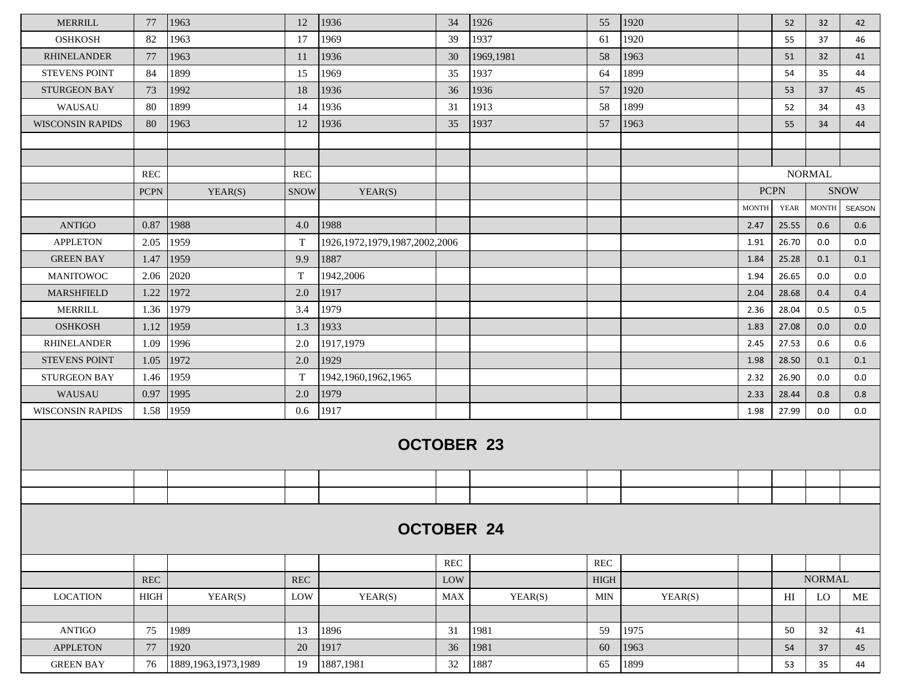| <b>MERRILL</b>          | 77                   | 1963                   | 12          | 1936                               | 34         | 1926              | 55          | 1920    |              | 52             | 32            | 42            |
|-------------------------|----------------------|------------------------|-------------|------------------------------------|------------|-------------------|-------------|---------|--------------|----------------|---------------|---------------|
| <b>OSHKOSH</b>          | 82                   | 1963                   | 17          | 1969                               | 39         | 1937              | 61          | 1920    |              | 55             | 37            | 46            |
| <b>RHINELANDER</b>      | 77                   | 1963                   | 11          | 1936                               | 30         | 1969,1981         | 58          | 1963    |              | 51             | 32            | 41            |
| <b>STEVENS POINT</b>    | 84                   | 1899                   | 15          | 1969                               | 35         | 1937              | 64          | 1899    |              | 54             | 35            | 44            |
| <b>STURGEON BAY</b>     | 73                   | 1992                   | 18          | 1936                               | 36         | 1936              | 57          | 1920    |              | 53             | 37            | 45            |
| WAUSAU                  | 80                   | 1899                   | 14          | 1936                               | 31         | 1913              | 58          | 1899    |              | 52             | 34            | 43            |
| <b>WISCONSIN RAPIDS</b> | 80                   | 1963                   | 12          | 1936                               | 35         | 1937              | 57          | 1963    |              | 55             | 34            | 44            |
|                         |                      |                        |             |                                    |            |                   |             |         |              |                |               |               |
|                         |                      |                        |             |                                    |            |                   |             |         |              |                |               |               |
|                         | <b>REC</b>           |                        | <b>REC</b>  |                                    |            |                   |             |         |              |                | <b>NORMAL</b> |               |
|                         | <b>PCPN</b>          | YEAR(S)                | <b>SNOW</b> | YEAR(S)                            |            |                   |             |         | <b>PCPN</b>  |                |               | <b>SNOW</b>   |
|                         |                      |                        |             |                                    |            |                   |             |         | <b>MONTH</b> | <b>YEAR</b>    | MONTH         | <b>SEASON</b> |
| <b>ANTIGO</b>           | 0.87                 | 1988                   | 4.0         | 1988                               |            |                   |             |         | 2.47         | 25.55          | 0.6           | 0.6           |
| <b>APPLETON</b>         | 2.05                 | 1959                   | T           | 1926, 1972, 1979, 1987, 2002, 2006 |            |                   |             |         | 1.91         | 26.70          | 0.0           | 0.0           |
| <b>GREEN BAY</b>        | 1.47                 | 1959                   | 9.9         | 1887                               |            |                   |             |         | 1.84         | 25.28          | 0.1           | 0.1           |
| <b>MANITOWOC</b>        | 2.06                 | 2020                   | T           | 1942,2006                          |            |                   |             |         | 1.94         | 26.65          | 0.0           | 0.0           |
| <b>MARSHFIELD</b>       | 1.22                 | 1972                   | 2.0         | 1917                               |            |                   |             |         | 2.04         | 28.68          | 0.4           | 0.4           |
| <b>MERRILL</b>          | 1.36                 | 1979                   | 3.4         | 1979                               |            |                   |             |         | 2.36         | 28.04          | 0.5           | 0.5           |
| <b>OSHKOSH</b>          | 1.12                 | 1959                   | 1.3         | 1933                               |            |                   |             |         | 1.83         | 27.08          | 0.0           | 0.0           |
| <b>RHINELANDER</b>      | 1.09                 | 1996                   | 2.0         | 1917,1979                          |            |                   |             |         | 2.45         | 27.53          | 0.6           | 0.6           |
| <b>STEVENS POINT</b>    | 1.05                 | 1972                   | 2.0         | 1929                               |            |                   |             |         | 1.98         | 28.50          | 0.1           | 0.1           |
| <b>STURGEON BAY</b>     | 1.46                 | 1959                   | T           | 1942, 1960, 1962, 1965             |            |                   |             |         | 2.32         | 26.90          | 0.0           | 0.0           |
| WAUSAU                  | 0.97                 | 1995                   | 2.0         | 1979                               |            |                   |             |         | 2.33         | 28.44          | 0.8           | 0.8           |
| <b>WISCONSIN RAPIDS</b> | 1.58                 | 1959                   | 0.6         | 1917                               |            |                   |             |         | 1.98         | 27.99          | 0.0           | 0.0           |
|                         |                      |                        |             | <b>OCTOBER 23</b>                  |            |                   |             |         |              |                |               |               |
|                         |                      |                        |             |                                    |            |                   |             |         |              |                |               |               |
|                         |                      |                        |             |                                    |            |                   |             |         |              |                |               |               |
|                         |                      |                        |             |                                    |            | <b>OCTOBER 24</b> |             |         |              |                |               |               |
|                         |                      |                        |             |                                    | <b>REC</b> |                   | <b>REC</b>  |         |              |                |               |               |
|                         | $\operatorname{REC}$ |                        | REC         |                                    | LOW        |                   | <b>HIGH</b> |         |              |                | <b>NORMAL</b> |               |
| <b>LOCATION</b>         | <b>HIGH</b>          | YEAR(S)                | LOW         | YEAR(S)                            | <b>MAX</b> | YEAR(S)           | <b>MIN</b>  | YEAR(S) |              | H <sub>I</sub> | LO            | <b>ME</b>     |
|                         |                      |                        |             |                                    |            |                   |             |         |              |                |               |               |
| <b>ANTIGO</b>           | 75                   | 1989                   | 13          | 1896                               | 31         | 1981              | 59          | 1975    |              | 50             | 32            | 41            |
| <b>APPLETON</b>         | 77                   | 1920                   | $20\,$      | 1917                               | 36         | 1981              | 60          | 1963    |              | 54             | 37            | 45            |
| <b>GREEN BAY</b>        | 76                   | 1889, 1963, 1973, 1989 | 19          | 1887,1981                          | 32         | 1887              | 65          | 1899    |              | 53             | 35            | 44            |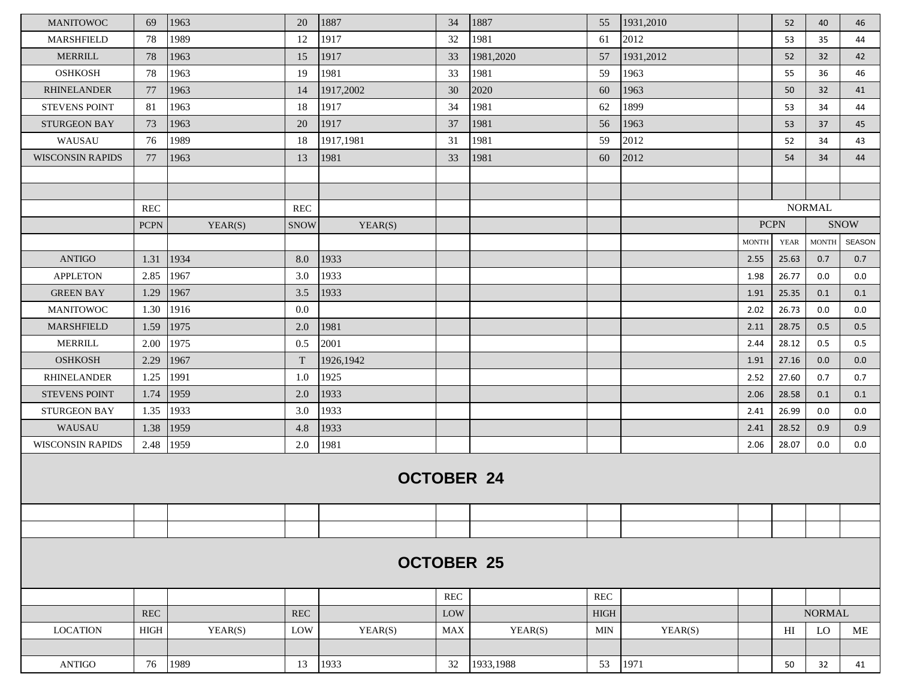| <b>MANITOWOC</b>        | 69                | 1963    | 20          | 1887              | 34         | 1887      | 55                   | 1931,2010 |              | 52             | 40            | 46          |
|-------------------------|-------------------|---------|-------------|-------------------|------------|-----------|----------------------|-----------|--------------|----------------|---------------|-------------|
| <b>MARSHFIELD</b>       | 78                | 1989    | 12          | 1917              | 32         | 1981      | 61                   | 2012      |              | 53             | 35            | 44          |
| <b>MERRILL</b>          | 78                | 1963    | 15          | 1917              | 33         | 1981,2020 | 57                   | 1931,2012 |              | 52             | 32            | 42          |
| <b>OSHKOSH</b>          | 78                | 1963    | 19          | 1981              | 33         | 1981      | 59                   | 1963      |              | 55             | 36            | 46          |
| <b>RHINELANDER</b>      | 77                | 1963    | 14          | 1917,2002         | 30         | 2020      | 60                   | 1963      |              | 50             | 32            | 41          |
| <b>STEVENS POINT</b>    | -81               | 1963    | 18          | 1917              | 34         | 1981      | 62                   | 1899      |              | 53             | 34            | 44          |
| <b>STURGEON BAY</b>     | 73                | 1963    | 20          | 1917              | 37         | 1981      | 56                   | 1963      |              | 53             | 37            | 45          |
| WAUSAU                  | 76                | 1989    | 18          | 1917,1981         | 31         | 1981      | 59                   | 2012      |              | 52             | 34            | 43          |
| <b>WISCONSIN RAPIDS</b> | 77                | 1963    | 13          | 1981              | 33         | 1981      | 60                   | 2012      |              | 54             | 34            | 44          |
|                         |                   |         |             |                   |            |           |                      |           |              |                |               |             |
|                         |                   |         |             |                   |            |           |                      |           |              |                |               |             |
|                         | REC               |         | <b>REC</b>  |                   |            |           |                      |           |              |                | <b>NORMAL</b> |             |
|                         | <b>PCPN</b>       | YEAR(S) | <b>SNOW</b> | YEAR(S)           |            |           |                      |           |              | <b>PCPN</b>    |               | <b>SNOW</b> |
|                         |                   |         |             |                   |            |           |                      |           | <b>MONTH</b> | <b>YEAR</b>    | <b>MONTH</b>  | SEASON      |
| <b>ANTIGO</b>           | 1.31              | 1934    | 8.0         | 1933              |            |           |                      |           | 2.55         | 25.63          | 0.7           | 0.7         |
| <b>APPLETON</b>         | 2.85              | 1967    | 3.0         | 1933              |            |           |                      |           | 1.98         | 26.77          | 0.0           | 0.0         |
| <b>GREEN BAY</b>        | 1.29              | 1967    | 3.5         | 1933              |            |           |                      |           | 1.91         | 25.35          | 0.1           | 0.1         |
| <b>MANITOWOC</b>        | 1.30              | 1916    | $0.0\,$     |                   |            |           |                      |           | 2.02         | 26.73          | 0.0           | 0.0         |
| <b>MARSHFIELD</b>       | 1.59              | 1975    | 2.0         | 1981              |            |           |                      |           | 2.11         | 28.75          | 0.5           | 0.5         |
| <b>MERRILL</b>          | 2.00              | 1975    | 0.5         | 2001              |            |           |                      |           | 2.44         | 28.12          | 0.5           | 0.5         |
| <b>OSHKOSH</b>          | 2.29              | 1967    | T           | 1926,1942         |            |           |                      |           | 1.91         | 27.16          | 0.0           | 0.0         |
| <b>RHINELANDER</b>      | 1.25              | 1991    | 1.0         | 1925              |            |           |                      |           | 2.52         | 27.60          | 0.7           | 0.7         |
| <b>STEVENS POINT</b>    | 1.74              | 1959    | 2.0         | 1933              |            |           |                      |           | 2.06         | 28.58          | 0.1           | 0.1         |
| <b>STURGEON BAY</b>     | 1.35              | 1933    | 3.0         | 1933              |            |           |                      |           | 2.41         | 26.99          | 0.0           | $0.0\,$     |
| WAUSAU                  | 1.38              | 1959    | 4.8         | 1933              |            |           |                      |           | 2.41         | 28.52          | 0.9           | 0.9         |
| <b>WISCONSIN RAPIDS</b> | 2.48              | 1959    | 2.0         | 1981              |            |           |                      |           | 2.06         | 28.07          | 0.0           | $0.0\,$     |
|                         |                   |         |             | <b>OCTOBER 24</b> |            |           |                      |           |              |                |               |             |
|                         |                   |         |             |                   |            |           |                      |           |              |                |               |             |
|                         |                   |         |             |                   |            |           |                      |           |              |                |               |             |
|                         | <b>OCTOBER 25</b> |         |             |                   |            |           |                      |           |              |                |               |             |
|                         |                   |         |             |                   | <b>REC</b> |           | $\operatorname{REC}$ |           |              |                |               |             |
|                         | REC               |         | REC         |                   | LOW        |           | <b>HIGH</b>          |           |              |                | <b>NORMAL</b> |             |
| <b>LOCATION</b>         | <b>HIGH</b>       | YEAR(S) | LOW         | YEAR(S)           | <b>MAX</b> | YEAR(S)   | <b>MIN</b>           | YEAR(S)   |              | H <sub>I</sub> | LO            | ME          |
|                         |                   |         |             |                   |            |           |                      |           |              |                |               |             |
| $\operatorname{ANTIGO}$ | 76                | 1989    | 13          | 1933              | 32         | 1933,1988 | 53                   | 1971      |              | 50             | 32            | 41          |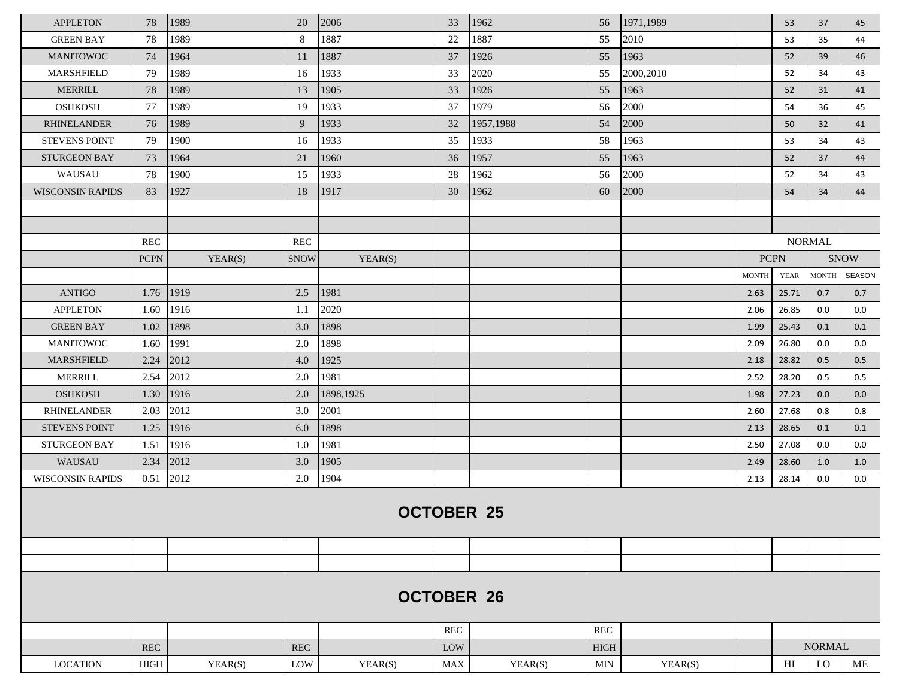| <b>APPLETON</b>         | 78                | 1989    | 20            | 2006              | 33         | 1962      | 56            | 1971,1989 |              | 53          | 37            | 45            |
|-------------------------|-------------------|---------|---------------|-------------------|------------|-----------|---------------|-----------|--------------|-------------|---------------|---------------|
| <b>GREEN BAY</b>        | 78                | 1989    | 8             | 1887              | 22         | 1887      | 55            | 2010      |              | 53          | 35            | 44            |
| <b>MANITOWOC</b>        | 74                | 1964    | <sup>11</sup> | 1887              | 37         | 1926      | 55            | 1963      |              | 52          | 39            | 46            |
| <b>MARSHFIELD</b>       | 79                | 1989    | 16            | 1933              | 33         | 2020      | 55            | 2000,2010 |              | 52          | 34            | 43            |
| <b>MERRILL</b>          | 78                | 1989    | 13            | 1905              | 33         | 1926      | 55            | 1963      |              | 52          | 31            | 41            |
| <b>OSHKOSH</b>          | 77                | 1989    | 19            | 1933              | 37         | 1979      | 56            | 2000      |              | 54          | 36            | 45            |
| <b>RHINELANDER</b>      | 76                | 1989    | 9             | 1933              | 32         | 1957,1988 | 54            | 2000      |              | 50          | 32            | 41            |
| <b>STEVENS POINT</b>    | 79                | 1900    | 16            | 1933              | 35         | 1933      | 58            | 1963      |              | 53          | 34            | 43            |
| <b>STURGEON BAY</b>     | 73                | 1964    | 21            | 1960              | 36         | 1957      | 55            | 1963      |              | 52          | 37            | 44            |
| WAUSAU                  | 78                | 1900    | 15            | 1933              | 28         | 1962      | 56            | 2000      |              | 52          | 34            | 43            |
| <b>WISCONSIN RAPIDS</b> | 83                | 1927    | 18            | 1917              | 30         | 1962      | 60            | 2000      |              | 54          | 34            | 44            |
|                         |                   |         |               |                   |            |           |               |           |              |             |               |               |
|                         |                   |         |               |                   |            |           |               |           |              |             |               |               |
|                         | REC               |         | <b>REC</b>    |                   |            |           |               |           |              |             | <b>NORMAL</b> |               |
|                         | <b>PCPN</b>       | YEAR(S) | <b>SNOW</b>   | YEAR(S)           |            |           |               |           |              | <b>PCPN</b> |               | <b>SNOW</b>   |
|                         |                   |         |               |                   |            |           |               |           | <b>MONTH</b> | <b>YEAR</b> | <b>MONTH</b>  | <b>SEASON</b> |
| <b>ANTIGO</b>           | 1.76              | 1919    | 2.5           | 1981              |            |           |               |           | 2.63         | 25.71       | 0.7           | 0.7           |
| <b>APPLETON</b>         | 1.60              | 1916    | 1.1           | 2020              |            |           |               |           | 2.06         | 26.85       | 0.0           | 0.0           |
| <b>GREEN BAY</b>        | 1.02              | 1898    | 3.0           | 1898              |            |           |               |           | 1.99         | 25.43       | 0.1           | 0.1           |
| <b>MANITOWOC</b>        | 1.60              | 1991    | 2.0           | 1898              |            |           |               |           | 2.09         | 26.80       | 0.0           | 0.0           |
| <b>MARSHFIELD</b>       | 2.24              | 2012    | 4.0           | 1925              |            |           |               |           | 2.18         | 28.82       | 0.5           | 0.5           |
| MERRILL                 | 2.54              | 2012    | 2.0           | 1981              |            |           |               |           | 2.52         | 28.20       | 0.5           | 0.5           |
| <b>OSHKOSH</b>          | 1.30              | 1916    | 2.0           | 1898,1925         |            |           |               |           | 1.98         | 27.23       | 0.0           | 0.0           |
| <b>RHINELANDER</b>      | 2.03              | 2012    | 3.0           | 2001              |            |           |               |           | 2.60         | 27.68       | 0.8           | 0.8           |
| <b>STEVENS POINT</b>    | 1.25              | 1916    | 6.0           | 1898              |            |           |               |           | 2.13         | 28.65       | 0.1           | 0.1           |
| <b>STURGEON BAY</b>     | 1.51              | 1916    | 1.0           | 1981              |            |           |               |           | 2.50         | 27.08       | 0.0           | 0.0           |
| WAUSAU                  | 2.34              | 2012    | 3.0           | 1905              |            |           |               |           | 2.49         | 28.60       | 1.0           | 1.0           |
| <b>WISCONSIN RAPIDS</b> | 0.51              | 2012    | 2.0           | 1904              |            |           |               |           | 2.13         | 28.14       | 0.0           | 0.0           |
|                         | <b>OCTOBER 25</b> |         |               |                   |            |           |               |           |              |             |               |               |
|                         |                   |         |               |                   |            |           |               |           |              |             |               |               |
|                         |                   |         |               |                   |            |           |               |           |              |             |               |               |
|                         |                   |         |               | <b>OCTOBER 26</b> |            |           |               |           |              |             |               |               |
|                         |                   |         |               |                   | <b>REC</b> |           | <b>REC</b>    |           |              |             |               |               |
|                         | <b>REC</b>        |         | <b>REC</b>    |                   | LOW        |           | $_{\rm HIGH}$ |           |              |             | <b>NORMAL</b> |               |
| <b>LOCATION</b>         | HIGH              | YEAR(S) | LOW           | YEAR(S)           | <b>MAX</b> | YEAR(S)   | MIN           | YEAR(S)   |              | HI          | LO            | ME            |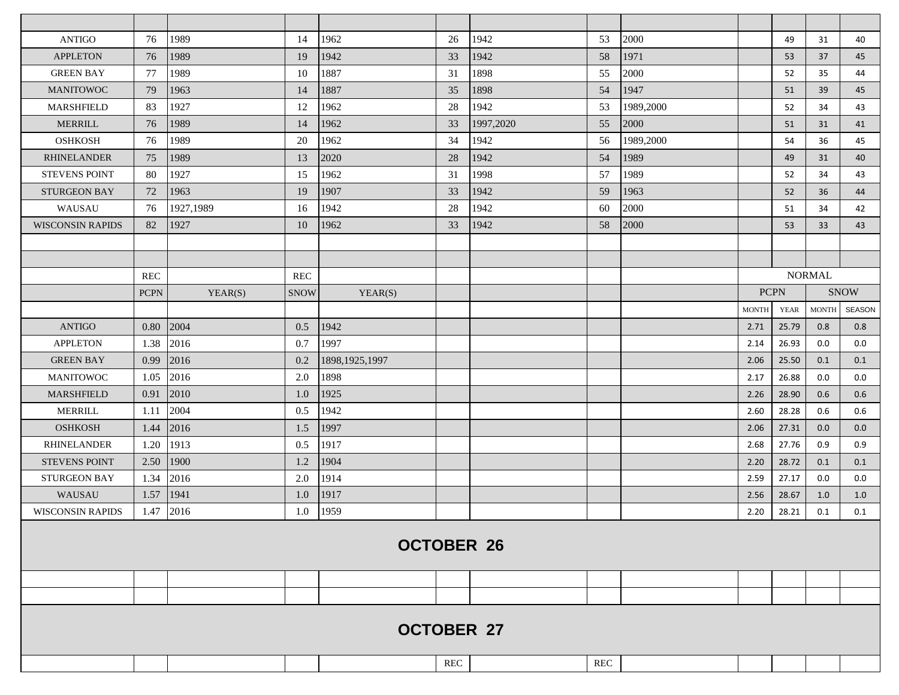| <b>ANTIGO</b>           | 76                | 1989      | 14          | 1962             | 26  | 1942              | 53  | 2000      |              | 49          | 31            | 40            |
|-------------------------|-------------------|-----------|-------------|------------------|-----|-------------------|-----|-----------|--------------|-------------|---------------|---------------|
| <b>APPLETON</b>         | 76                | 1989      | 19          | 1942             | 33  | 1942              | 58  | 1971      |              | 53          | 37            | 45            |
| <b>GREEN BAY</b>        | 77                | 1989      | 10          | 1887             | 31  | 1898              | 55  | 2000      |              | 52          | 35            | 44            |
| <b>MANITOWOC</b>        | 79                | 1963      | 14          | 1887             | 35  | 1898              | 54  | 1947      |              | 51          | 39            | 45            |
| <b>MARSHFIELD</b>       | 83                | 1927      | 12          | 1962             | 28  | 1942              | 53  | 1989,2000 |              | 52          | 34            | 43            |
| <b>MERRILL</b>          | 76                | 1989      | 14          | 1962             | 33  | 1997,2020         | 55  | 2000      |              | 51          | 31            | 41            |
| <b>OSHKOSH</b>          | 76                | 1989      | 20          | 1962             | 34  | 1942              | 56  | 1989,2000 |              | 54          | 36            | 45            |
| <b>RHINELANDER</b>      | 75                | 1989      | 13          | 2020             | 28  | 1942              | 54  | 1989      |              | 49          | 31            | 40            |
| <b>STEVENS POINT</b>    | 80                | 1927      | 15          | 1962             | 31  | 1998              | 57  | 1989      |              | 52          | 34            | 43            |
| <b>STURGEON BAY</b>     | 72                | 1963      | 19          | 1907             | 33  | 1942              | 59  | 1963      |              | 52          | 36            | 44            |
| WAUSAU                  | 76                | 1927,1989 | 16          | 1942             | 28  | 1942              | 60  | 2000      |              | 51          | 34            | 42            |
| <b>WISCONSIN RAPIDS</b> | 82                | 1927      | 10          | 1962             | 33  | 1942              | 58  | 2000      |              | 53          | 33            | 43            |
|                         |                   |           |             |                  |     |                   |     |           |              |             |               |               |
|                         |                   |           |             |                  |     |                   |     |           |              |             |               |               |
|                         | <b>REC</b>        |           | REC         |                  |     |                   |     |           |              |             | <b>NORMAL</b> |               |
|                         | <b>PCPN</b>       | YEAR(S)   | <b>SNOW</b> | YEAR(S)          |     |                   |     |           |              | <b>PCPN</b> |               | <b>SNOW</b>   |
|                         |                   |           |             |                  |     |                   |     |           | <b>MONTH</b> | YEAR        | <b>MONTH</b>  | <b>SEASON</b> |
| <b>ANTIGO</b>           | 0.80              | 2004      | 0.5         | 1942             |     |                   |     |           | 2.71         | 25.79       | 0.8           | 0.8           |
| <b>APPLETON</b>         | 1.38              | 2016      | 0.7         | 1997             |     |                   |     |           | 2.14         | 26.93       | 0.0           | 0.0           |
| <b>GREEN BAY</b>        | 0.99              | 2016      | 0.2         | 1898, 1925, 1997 |     |                   |     |           | 2.06         | 25.50       | 0.1           | 0.1           |
| <b>MANITOWOC</b>        | 1.05              | 2016      | 2.0         | 1898             |     |                   |     |           | 2.17         | 26.88       | 0.0           | 0.0           |
| <b>MARSHFIELD</b>       | 0.91              | 2010      | 1.0         | 1925             |     |                   |     |           | 2.26         | 28.90       | 0.6           | 0.6           |
| <b>MERRILL</b>          | 1.11              | 2004      | 0.5         | 1942             |     |                   |     |           | 2.60         | 28.28       | 0.6           | 0.6           |
| <b>OSHKOSH</b>          | 1.44              | 2016      | 1.5         | 1997             |     |                   |     |           | 2.06         | 27.31       | 0.0           | 0.0           |
| <b>RHINELANDER</b>      | 1.20              | 1913      | 0.5         | 1917             |     |                   |     |           | 2.68         | 27.76       | 0.9           | 0.9           |
| <b>STEVENS POINT</b>    | 2.50              | 1900      | 1.2         | 1904             |     |                   |     |           | 2.20         | 28.72       | 0.1           | 0.1           |
| <b>STURGEON BAY</b>     | 1.34              | 2016      | 2.0         | 1914             |     |                   |     |           | 2.59         | 27.17       | 0.0           | 0.0           |
| WAUSAU                  | 1.57              | 1941      | 1.0         | 1917             |     |                   |     |           | 2.56         | 28.67       | 1.0           | 1.0           |
| <b>WISCONSIN RAPIDS</b> | 1.47              | 2016      | 1.0         | 1959             |     |                   |     |           | 2.20         | 28.21       | 0.1           | 0.1           |
|                         | <b>OCTOBER 26</b> |           |             |                  |     |                   |     |           |              |             |               |               |
|                         |                   |           |             |                  |     |                   |     |           |              |             |               |               |
|                         |                   |           |             |                  |     |                   |     |           |              |             |               |               |
|                         |                   |           |             |                  | REC | <b>OCTOBER 27</b> | REC |           |              |             |               |               |
|                         |                   |           |             |                  |     |                   |     |           |              |             |               |               |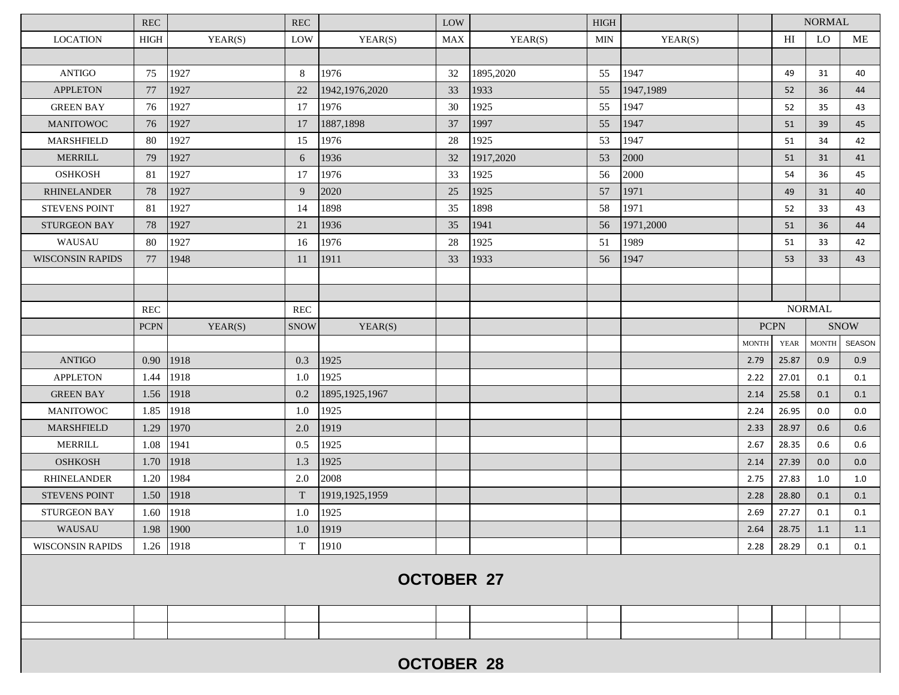|                         | <b>REC</b>  |         | <b>REC</b>  |                  | LOW        |                   | <b>HIGH</b> |           |              |                | <b>NORMAL</b> |               |
|-------------------------|-------------|---------|-------------|------------------|------------|-------------------|-------------|-----------|--------------|----------------|---------------|---------------|
| <b>LOCATION</b>         | <b>HIGH</b> | YEAR(S) | LOW         | YEAR(S)          | <b>MAX</b> | YEAR(S)           | MIN         | YEAR(S)   |              | <b>LO</b><br>H |               | ME            |
|                         |             |         |             |                  |            |                   |             |           |              |                |               |               |
| <b>ANTIGO</b>           | 75          | 1927    | 8           | 1976             | 32         | 1895,2020         | 55          | 1947      |              | 49             | 31            | 40            |
| <b>APPLETON</b>         | 77          | 1927    | 22          | 1942, 1976, 2020 | 33         | 1933              | 55          | 1947,1989 |              | 52             | 36            | 44            |
| <b>GREEN BAY</b>        | 76          | 1927    | 17          | 1976             | 30         | 1925              | 55          | 1947      |              | 52             | 35            | 43            |
| <b>MANITOWOC</b>        | 76          | 1927    | 17          | 1887,1898        | 37         | 1997              | 55          | 1947      |              | 51             | 39            | 45            |
| <b>MARSHFIELD</b>       | 80          | 1927    | 15          | 1976             | 28         | 1925              | 53          | 1947      |              | 51             | 34            | 42            |
| <b>MERRILL</b>          | 79          | 1927    | 6           | 1936             | 32         | 1917,2020         | 53          | 2000      |              | 51             | 31            | 41            |
| <b>OSHKOSH</b>          | 81          | 1927    | 17          | 1976             | 33         | 1925              | 56          | 2000      |              | 54             | 36            | 45            |
| <b>RHINELANDER</b>      | 78          | 1927    | 9           | 2020             | 25         | 1925              | 57          | 1971      |              | 49             | 31            | 40            |
| <b>STEVENS POINT</b>    | 81          | 1927    | 14          | 1898             | 35         | 1898              | 58          | 1971      |              | 52             | 33            | 43            |
| <b>STURGEON BAY</b>     | 78          | 1927    | 21          | 1936             | 35         | 1941              | 56          | 1971,2000 |              | 51             | 36            | 44            |
| WAUSAU                  | 80          | 1927    | 16          | 1976             | 28         | 1925              | 51          | 1989      |              | 51             | 33            | 42            |
| <b>WISCONSIN RAPIDS</b> | 77          | 1948    | 11          | 1911             | 33         | 1933              | 56          | 1947      |              | 53             | 33            | 43            |
|                         |             |         |             |                  |            |                   |             |           |              |                |               |               |
|                         |             |         |             |                  |            |                   |             |           |              |                |               |               |
|                         | <b>REC</b>  |         | <b>REC</b>  |                  |            |                   |             |           |              |                | <b>NORMAL</b> |               |
|                         | <b>PCPN</b> | YEAR(S) | <b>SNOW</b> | YEAR(S)          |            |                   |             |           | <b>PCPN</b>  |                | <b>SNOW</b>   |               |
|                         |             |         |             |                  |            |                   |             |           | <b>MONTH</b> | <b>YEAR</b>    | <b>MONTH</b>  | <b>SEASON</b> |
| <b>ANTIGO</b>           | 0.90        | 1918    | 0.3         | 1925             |            |                   |             |           | 2.79         | 25.87          | 0.9           | 0.9           |
| <b>APPLETON</b>         | 1.44        | 1918    | 1.0         | 1925             |            |                   |             |           | 2.22         | 27.01          | 0.1           | 0.1           |
| <b>GREEN BAY</b>        | 1.56        | 1918    | 0.2         | 1895, 1925, 1967 |            |                   |             |           | 2.14         | 25.58          | 0.1           | 0.1           |
| <b>MANITOWOC</b>        | 1.85        | 1918    | 1.0         | 1925             |            |                   |             |           | 2.24         | 26.95          | 0.0           | 0.0           |
| <b>MARSHFIELD</b>       | 1.29        | 1970    | 2.0         | 1919             |            |                   |             |           | 2.33         | 28.97          | 0.6           | 0.6           |
| <b>MERRILL</b>          | 1.08        | 1941    | 0.5         | 1925             |            |                   |             |           | 2.67         | 28.35          | 0.6           | 0.6           |
| <b>OSHKOSH</b>          | 1.70        | 1918    | 1.3         | 1925             |            |                   |             |           | 2.14         | 27.39          | 0.0           | 0.0           |
| <b>RHINELANDER</b>      | 1.20        | 1984    | 2.0         | 2008             |            |                   |             |           | 2.75         | 27.83          | 1.0           | 1.0           |
| <b>STEVENS POINT</b>    | 1.50        | 1918    | T           | 1919, 1925, 1959 |            |                   |             |           | 2.28         | 28.80          | 0.1           | 0.1           |
| <b>STURGEON BAY</b>     | 1.60        | 1918    | 1.0         | 1925             |            |                   |             |           | 2.69         | 27.27          | 0.1           | 0.1           |
| WAUSAU                  | 1.98        | 1900    | 1.0         | 1919             |            |                   |             |           | 2.64         | 28.75          | 1.1           | 1.1           |
| <b>WISCONSIN RAPIDS</b> | 1.26 1918   |         | T           | 1910             |            |                   |             |           | 2.28         | 28.29          | 0.1           | 0.1           |
|                         |             |         |             |                  |            | <b>OCTOBER 27</b> |             |           |              |                |               |               |
|                         |             |         |             |                  |            |                   |             |           |              |                |               |               |
|                         |             |         |             |                  |            |                   |             |           |              |                |               |               |
|                         |             |         |             |                  |            | <b>OCTOBER 28</b> |             |           |              |                |               |               |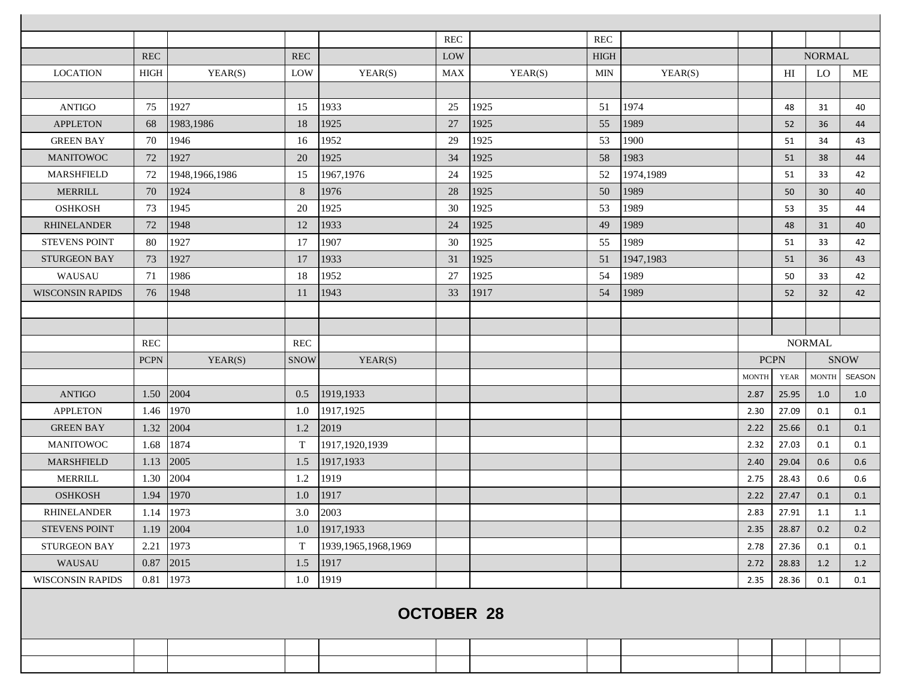|                         |                   |                |             |                        | REC        |         | <b>REC</b>  |           |              |             |               |               |
|-------------------------|-------------------|----------------|-------------|------------------------|------------|---------|-------------|-----------|--------------|-------------|---------------|---------------|
|                         | <b>REC</b>        |                | <b>REC</b>  |                        | LOW        |         | <b>HIGH</b> |           |              |             | <b>NORMAL</b> |               |
| <b>LOCATION</b>         | <b>HIGH</b>       | YEAR(S)        | LOW         | YEAR(S)                | <b>MAX</b> | YEAR(S) | <b>MIN</b>  | YEAR(S)   |              | HI          | LO            | ME            |
|                         |                   |                |             |                        |            |         |             |           |              |             |               |               |
| <b>ANTIGO</b>           | 75                | 1927           | 15          | 1933                   | 25         | 1925    | 51          | 1974      |              | 48          | 31            | 40            |
| <b>APPLETON</b>         | 68                | 1983,1986      | 18          | 1925                   | 27         | 1925    | 55          | 1989      |              | 52          | 36            | 44            |
| <b>GREEN BAY</b>        | 70                | 1946           | 16          | 1952                   | 29         | 1925    | 53          | 1900      |              | 51          | 34            | 43            |
| <b>MANITOWOC</b>        | 72                | 1927           | 20          | 1925                   | 34         | 1925    | 58          | 1983      |              | 51          | 38            | 44            |
| <b>MARSHFIELD</b>       | 72                | 1948,1966,1986 | 15          | 1967,1976              | 24         | 1925    | 52          | 1974,1989 |              | 51          | 33            | 42            |
| <b>MERRILL</b>          | 70                | 1924           | 8           | 1976                   | 28         | 1925    | 50          | 1989      |              | 50          | 30            | 40            |
| <b>OSHKOSH</b>          | 73                | 1945           | 20          | 1925                   | 30         | 1925    | 53          | 1989      |              | 53          | 35            | 44            |
| <b>RHINELANDER</b>      | 72                | 1948           | 12          | 1933                   | 24         | 1925    | 49          | 1989      |              | 48          | 31            | 40            |
| <b>STEVENS POINT</b>    | 80                | 1927           | 17          | 1907                   | 30         | 1925    | 55          | 1989      |              | 51          | 33            | 42            |
| <b>STURGEON BAY</b>     | 73                | 1927           | 17          | 1933                   | 31         | 1925    | 51          | 1947,1983 |              | 51          | 36            | 43            |
| WAUSAU                  | 71                | 1986           | 18          | 1952                   | 27         | 1925    | 54          | 1989      |              | 50          | 33            | 42            |
| <b>WISCONSIN RAPIDS</b> | 76                | 1948           | 11          | 1943                   | 33         | 1917    | 54          | 1989      |              | 52          | 32            | 42            |
|                         |                   |                |             |                        |            |         |             |           |              |             |               |               |
|                         |                   |                |             |                        |            |         |             |           |              |             |               |               |
|                         | <b>REC</b>        |                | <b>REC</b>  |                        |            |         |             |           |              |             | <b>NORMAL</b> |               |
|                         | <b>PCPN</b>       | YEAR(S)        | <b>SNOW</b> | YEAR(S)                |            |         |             |           |              | <b>PCPN</b> |               | <b>SNOW</b>   |
|                         |                   |                |             |                        |            |         |             |           | <b>MONTH</b> | <b>YEAR</b> | <b>MONTH</b>  | <b>SEASON</b> |
| <b>ANTIGO</b>           | 1.50              | 2004           | 0.5         | 1919,1933              |            |         |             |           | 2.87         | 25.95       | 1.0           | 1.0           |
| <b>APPLETON</b>         | 1.46              | 1970           | 1.0         | 1917,1925              |            |         |             |           | 2.30         | 27.09       | 0.1           | 0.1           |
| <b>GREEN BAY</b>        | 1.32              | 2004           | 1.2         | 2019                   |            |         |             |           | 2.22         | 25.66       | 0.1           | 0.1           |
| <b>MANITOWOC</b>        | 1.68              | 1874           | T           | 1917, 1920, 1939       |            |         |             |           | 2.32         | 27.03       | 0.1           | 0.1           |
| <b>MARSHFIELD</b>       | 1.13              | 2005           | 1.5         | 1917,1933              |            |         |             |           | 2.40         | 29.04       | 0.6           | 0.6           |
| <b>MERRILL</b>          | 1.30              | 2004           | 1.2         | 1919                   |            |         |             |           | 2.75         | 28.43       | 0.6           | 0.6           |
| <b>OSHKOSH</b>          | 1.94              | 1970           | 1.0         | 1917                   |            |         |             |           | 2.22         | 27.47       | 0.1           | 0.1           |
| <b>RHINELANDER</b>      | 1.14              | 1973           | 3.0         | 2003                   |            |         |             |           | 2.83         | 27.91       | 1.1           | 1.1           |
| STEVENS POINT           | $1.19$ 2004       |                | 1.0         | 1917,1933              |            |         |             |           | 2.35         | 28.87       | 0.2           | 0.2           |
| <b>STURGEON BAY</b>     | 2.21              | 1973           | T           | 1939, 1965, 1968, 1969 |            |         |             |           | 2.78         | 27.36       | 0.1           | 0.1           |
| WAUSAU                  |                   | $0.87$ 2015    | 1.5         | 1917                   |            |         |             |           | 2.72         | 28.83       | 1.2           | 1.2           |
| <b>WISCONSIN RAPIDS</b> |                   | 0.81 1973      | 1.0         | 1919                   |            |         |             |           | 2.35         | 28.36       | 0.1           | 0.1           |
|                         |                   |                |             |                        |            |         |             |           |              |             |               |               |
|                         | <b>OCTOBER 28</b> |                |             |                        |            |         |             |           |              |             |               |               |
|                         |                   |                |             |                        |            |         |             |           |              |             |               |               |
|                         |                   |                |             |                        |            |         |             |           |              |             |               |               |
|                         |                   |                |             |                        |            |         |             |           |              |             |               |               |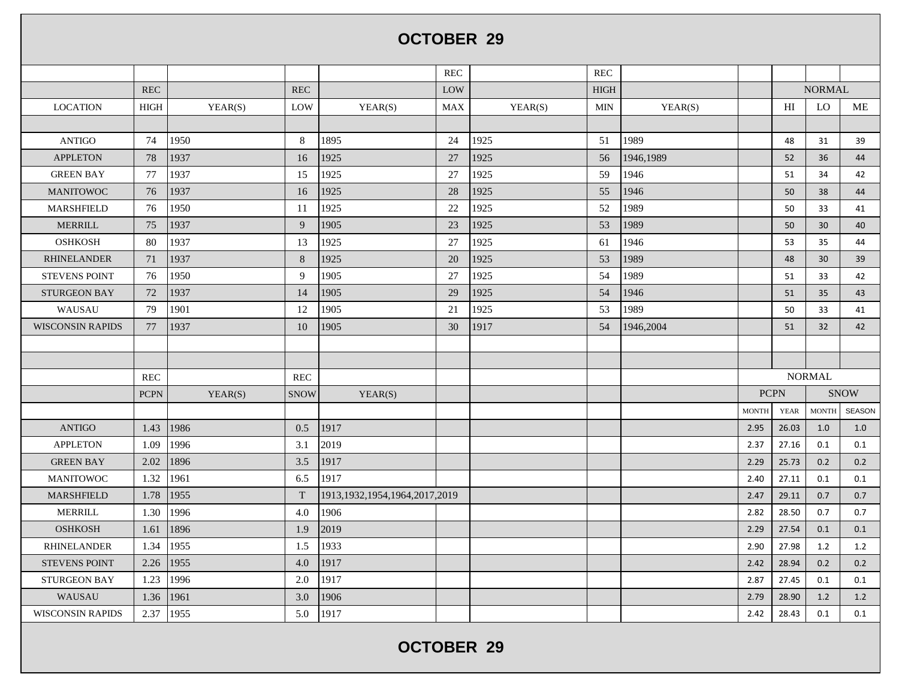## **OCTOBER 29**

|                         |             |         |             |                                    | <b>REC</b> |         | <b>REC</b>  |           |              |               |               |               |
|-------------------------|-------------|---------|-------------|------------------------------------|------------|---------|-------------|-----------|--------------|---------------|---------------|---------------|
|                         | <b>REC</b>  |         | <b>REC</b>  |                                    | LOW        |         | <b>HIGH</b> |           |              | <b>NORMAL</b> |               |               |
| <b>LOCATION</b>         | <b>HIGH</b> | YEAR(S) | LOW         | YEAR(S)                            | <b>MAX</b> | YEAR(S) | <b>MIN</b>  | YEAR(S)   |              | HI            | LO            | МE            |
|                         |             |         |             |                                    |            |         |             |           |              |               |               |               |
| <b>ANTIGO</b>           | 74          | 1950    | 8           | 1895                               | 24         | 1925    | 51          | 1989      |              | 48            | 31            | 39            |
| <b>APPLETON</b>         | 78          | 1937    | 16          | 1925                               | 27         | 1925    | 56          | 1946,1989 |              | 52            | 36            | 44            |
| <b>GREEN BAY</b>        | 77          | 1937    | 15          | 1925                               | 27         | 1925    | 59          | 1946      |              | 51            | 34            | 42            |
| <b>MANITOWOC</b>        | 76          | 1937    | 16          | 1925                               | 28         | 1925    | 55          | 1946      |              | 50            | 38            | 44            |
| <b>MARSHFIELD</b>       | 76          | 1950    | 11          | 1925                               | 22         | 1925    | 52          | 1989      |              | 50            | 33            | 41            |
| <b>MERRILL</b>          | 75          | 1937    | 9           | 1905                               | 23         | 1925    | 53          | 1989      |              | 50            | 30            | 40            |
| <b>OSHKOSH</b>          | 80          | 1937    | 13          | 1925                               | 27         | 1925    | 61          | 1946      |              | 53            | 35            | 44            |
| <b>RHINELANDER</b>      | 71          | 1937    | 8           | 1925                               | 20         | 1925    | 53          | 1989      |              | 48            | 30            | 39            |
| <b>STEVENS POINT</b>    | 76          | 1950    | 9           | 1905                               | 27         | 1925    | 54          | 1989      |              | 51            | 33            | 42            |
| <b>STURGEON BAY</b>     | 72          | 1937    | 14          | 1905                               | 29         | 1925    | 54          | 1946      |              | 51            | 35            | 43            |
| WAUSAU                  | 79          | 1901    | 12          | 1905                               | 21         | 1925    | 53          | 1989      |              | 50            | 33            | 41            |
| <b>WISCONSIN RAPIDS</b> | 77          | 1937    | 10          | 1905                               | 30         | 1917    | 54          | 1946,2004 |              | 51            | 32            | 42            |
|                         |             |         |             |                                    |            |         |             |           |              |               |               |               |
|                         |             |         |             |                                    |            |         |             |           |              |               |               |               |
|                         | <b>REC</b>  |         | <b>REC</b>  |                                    |            |         |             |           |              |               | <b>NORMAL</b> |               |
|                         | <b>PCPN</b> | YEAR(S) | <b>SNOW</b> | YEAR(S)                            |            |         |             |           | <b>PCPN</b>  |               |               | <b>SNOW</b>   |
|                         |             |         |             |                                    |            |         |             |           | <b>MONTH</b> | <b>YEAR</b>   | <b>MONTH</b>  | <b>SEASON</b> |
| <b>ANTIGO</b>           | 1.43        | 1986    | 0.5         | 1917                               |            |         |             |           | 2.95         | 26.03         | 1.0           | 1.0           |
| <b>APPLETON</b>         | 1.09        | 1996    | 3.1         | 2019                               |            |         |             |           | 2.37         | 27.16         | 0.1           | 0.1           |
| <b>GREEN BAY</b>        | 2.02        | 1896    | 3.5         | 1917                               |            |         |             |           | 2.29         | 25.73         | 0.2           | 0.2           |
| <b>MANITOWOC</b>        | 1.32        | 1961    | 6.5         | 1917                               |            |         |             |           | 2.40         | 27.11         | 0.1           | 0.1           |
| <b>MARSHFIELD</b>       | 1.78        | 1955    | $\mathbf T$ | 1913, 1932, 1954, 1964, 2017, 2019 |            |         |             |           | 2.47         | 29.11         | 0.7           | 0.7           |
| <b>MERRILL</b>          | 1.30        | 1996    | 4.0         | 1906                               |            |         |             |           | 2.82         | 28.50         | 0.7           | 0.7           |
| <b>OSHKOSH</b>          | 1.61        | 1896    | 1.9         | 2019                               |            |         |             |           | 2.29         | 27.54         | 0.1           | 0.1           |
| <b>RHINELANDER</b>      | 1.34        | 1955    | 1.5         | 1933                               |            |         |             |           | 2.90         | 27.98         | 1.2           | 1.2           |
| <b>STEVENS POINT</b>    | 2.26        | 1955    | 4.0         | 1917                               |            |         |             |           | 2.42         | 28.94         | 0.2           | 0.2           |
| <b>STURGEON BAY</b>     | 1.23        | 1996    | 2.0         | 1917                               |            |         |             |           | 2.87         | 27.45         | 0.1           | 0.1           |
| <b>WAUSAU</b>           | 1.36        | 1961    | 3.0         | 1906                               |            |         |             |           | 2.79         | 28.90         | 1.2           | 1.2           |
| <b>WISCONSIN RAPIDS</b> | 2.37        | 1955    | 5.0         | 1917                               |            |         |             |           | 2.42         | 28.43         | 0.1           | 0.1           |
|                         |             |         |             |                                    |            |         |             |           |              |               |               |               |

**OCTOBER 29**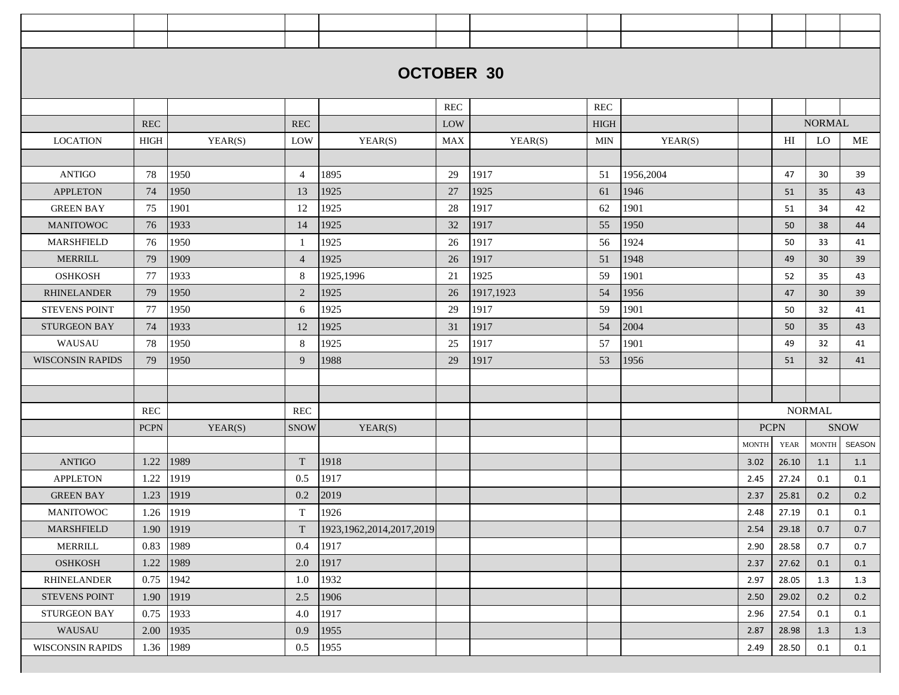|                         |                      |         |                | <b>OCTOBER 30</b>            |            |           |             |           |              |             |               |             |
|-------------------------|----------------------|---------|----------------|------------------------------|------------|-----------|-------------|-----------|--------------|-------------|---------------|-------------|
|                         |                      |         |                |                              |            |           |             |           |              |             |               |             |
|                         |                      |         |                |                              | <b>REC</b> |           | <b>REC</b>  |           |              |             |               |             |
|                         | <b>REC</b>           |         | <b>REC</b>     |                              | LOW        |           | <b>HIGH</b> |           |              |             | <b>NORMAL</b> |             |
| <b>LOCATION</b>         | HIGH                 | YEAR(S) | LOW            | YEAR(S)                      | <b>MAX</b> | YEAR(S)   | <b>MIN</b>  | YEAR(S)   |              | HI          | LO            | ME          |
|                         |                      |         |                |                              |            |           |             |           |              |             |               |             |
| <b>ANTIGO</b>           | 78                   | 1950    | $\overline{4}$ | 1895                         | 29         | 1917      | 51          | 1956,2004 |              | 47          | 30            | 39          |
| <b>APPLETON</b>         | 74                   | 1950    | 13             | 1925                         | 27         | 1925      | 61          | 1946      |              | 51          | 35            | 43          |
| <b>GREEN BAY</b>        | 75                   | 1901    | 12             | 1925                         | 28         | 1917      | 62          | 1901      |              | 51          | 34            | 42          |
| <b>MANITOWOC</b>        | 76                   | 1933    | 14             | 1925                         | 32         | 1917      | 55          | 1950      |              | 50          | 38            | 44          |
| MARSHFIELD              | 76                   | 1950    | $\mathbf{1}$   | 1925                         | 26         | 1917      | 56          | 1924      |              | 50          | 33            | 41          |
| <b>MERRILL</b>          | 79                   | 1909    | $\overline{4}$ | 1925                         | 26         | 1917      | 51          | 1948      |              | 49          | 30            | 39          |
| <b>OSHKOSH</b>          | 77                   | 1933    | 8              | 1925,1996                    | 21         | 1925      | 59          | 1901      |              | 52          | 35            | 43          |
| <b>RHINELANDER</b>      | 79                   | 1950    | 2              | 1925                         | 26         | 1917,1923 | 54          | 1956      |              | 47          | 30            | 39          |
| <b>STEVENS POINT</b>    | 77                   | 1950    | 6              | 1925                         | 29         | 1917      | 59          | 1901      |              | 50          | 32            | 41          |
| <b>STURGEON BAY</b>     | 74                   | 1933    | 12             | 1925                         | 31         | 1917      | 54          | 2004      |              | 50          | 35            | 43          |
| WAUSAU                  | 78                   | 1950    | 8              | 1925                         | 25         | 1917      | 57          | 1901      |              | 49          | 32            | 41          |
| <b>WISCONSIN RAPIDS</b> | 79                   | 1950    | 9              | 1988                         | 29         | 1917      | 53          | 1956      |              | 51          | 32            | 41          |
|                         |                      |         |                |                              |            |           |             |           |              |             |               |             |
|                         |                      |         |                |                              |            |           |             |           |              |             |               |             |
|                         | $\operatorname{REC}$ |         | REC            |                              |            |           |             |           |              |             | <b>NORMAL</b> |             |
|                         | <b>PCPN</b>          | YEAR(S) | <b>SNOW</b>    | YEAR(S)                      |            |           |             |           |              | <b>PCPN</b> |               | <b>SNOW</b> |
|                         |                      |         |                |                              |            |           |             |           | <b>MONTH</b> | <b>YEAR</b> | <b>MONTH</b>  | SEASON      |
| <b>ANTIGO</b>           | 1.22                 | 1989    | T              | 1918                         |            |           |             |           | 3.02         | 26.10       | 1.1           | 1.1         |
| <b>APPLETON</b>         | 1.22                 | 1919    | 0.5            | 1917                         |            |           |             |           | 2.45         | 27.24       | 0.1           | 0.1         |
| <b>GREEN BAY</b>        | 1.23                 | 1919    | 0.2            | 2019                         |            |           |             |           | 2.37         | 25.81       | 0.2           | 0.2         |
| <b>MANITOWOC</b>        | 1.26                 | 1919    | $\mathbf T$    | 1926                         |            |           |             |           | 2.48         | 27.19       | 0.1           | 0.1         |
| MARSHFIELD              | 1.90                 | 1919    | T              | 1923, 1962, 2014, 2017, 2019 |            |           |             |           | 2.54         | 29.18       | 0.7           | 0.7         |
| <b>MERRILL</b>          | 0.83                 | 1989    | 0.4            | 1917                         |            |           |             |           | 2.90         | 28.58       | 0.7           | 0.7         |
| <b>OSHKOSH</b>          | 1.22                 | 1989    | 2.0            | 1917                         |            |           |             |           | 2.37         | 27.62       | 0.1           | 0.1         |
| RHINELANDER             | 0.75                 | 1942    | 1.0            | 1932                         |            |           |             |           | 2.97         | 28.05       | 1.3           | 1.3         |
| <b>STEVENS POINT</b>    | 1.90                 | 1919    | 2.5            | 1906                         |            |           |             |           | 2.50         | 29.02       | 0.2           | 0.2         |
| STURGEON BAY            | 0.75                 | 1933    | 4.0            | 1917                         |            |           |             |           | 2.96         | 27.54       | 0.1           | 0.1         |
| WAUSAU                  | 2.00                 | 1935    | 0.9            | 1955                         |            |           |             |           | 2.87         | 28.98       | 1.3           | 1.3         |
| <b>WISCONSIN RAPIDS</b> | 1.36                 | 1989    | 0.5            | 1955                         |            |           |             |           | 2.49         | 28.50       | 0.1           | 0.1         |
|                         |                      |         |                |                              |            |           |             |           |              |             |               |             |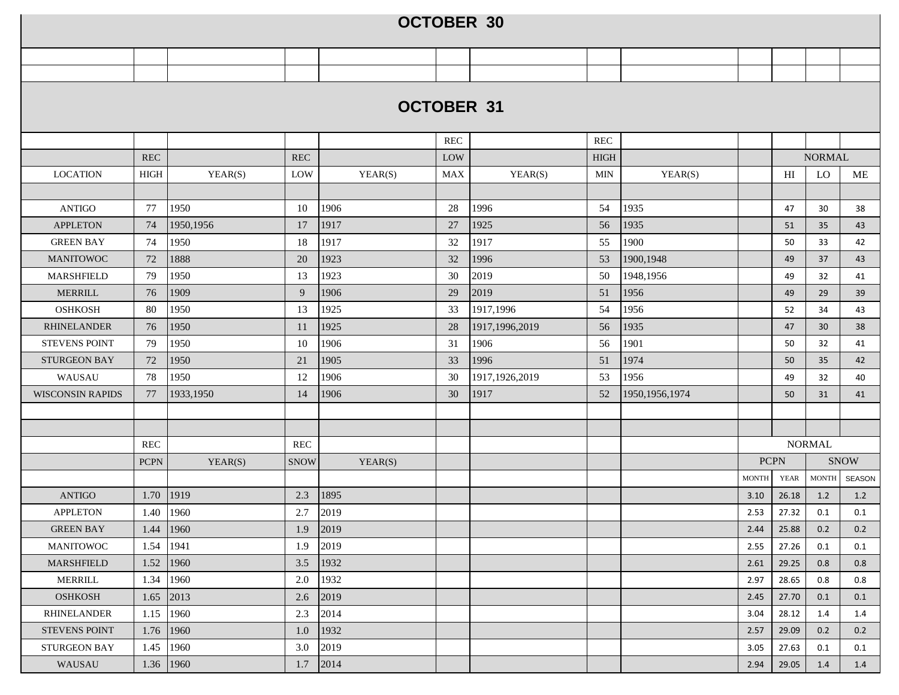|                         |             |               |             |         | <b>OCTOBER 30</b> |                  |             |                  |              |             |               |             |
|-------------------------|-------------|---------------|-------------|---------|-------------------|------------------|-------------|------------------|--------------|-------------|---------------|-------------|
|                         |             |               |             |         |                   |                  |             |                  |              |             |               |             |
|                         |             |               |             |         |                   |                  |             |                  |              |             |               |             |
|                         |             |               |             |         |                   |                  |             |                  |              |             |               |             |
|                         |             |               |             |         | <b>OCTOBER 31</b> |                  |             |                  |              |             |               |             |
|                         |             |               |             |         | <b>REC</b>        |                  | <b>REC</b>  |                  |              |             |               |             |
|                         | <b>REC</b>  |               | <b>REC</b>  |         | LOW               |                  | <b>HIGH</b> |                  |              |             | <b>NORMAL</b> |             |
| <b>LOCATION</b>         | HIGH        | YEAR(S)       | LOW         | YEAR(S) | <b>MAX</b>        | YEAR(S)          | <b>MIN</b>  | YEAR(S)          |              | HI          | LO.           | ME          |
|                         |             |               |             |         |                   |                  |             |                  |              |             |               |             |
| <b>ANTIGO</b>           | 77          | 1950          | 10          | 1906    | 28                | 1996             | 54          | 1935             |              | 47          | 30            | 38          |
| <b>APPLETON</b>         | 74          | 1950,1956     | 17          | 1917    | 27                | 1925             | 56          | 1935             |              | 51          | 35            | 43          |
| <b>GREEN BAY</b>        | 74          | 1950          | 18          | 1917    | 32                | 1917             | 55          | 1900             |              | 50          | 33            | 42          |
| <b>MANITOWOC</b>        | 72          | 1888          | 20          | 1923    | 32                | 1996             | 53          | 1900,1948        |              | 49          | 37            | 43          |
| <b>MARSHFIELD</b>       | 79          | 1950          | 13          | 1923    | 30                | 2019             | 50          | 1948,1956        |              | 49          | 32            | 41          |
| <b>MERRILL</b>          | 76          | 1909          | 9           | 1906    | 29                | 2019             | 51          | 1956             |              | 49          | 29            | 39          |
| <b>OSHKOSH</b>          | 80          | 1950          | 13          | 1925    | 33                | 1917,1996        | 54          | 1956             |              | 52          | 34            | 43          |
| <b>RHINELANDER</b>      | 76          | 1950          | 11          | 1925    | 28                | 1917,1996,2019   | 56          | 1935             |              | 47          | 30            | 38          |
| <b>STEVENS POINT</b>    | 79          | 1950          | 10          | 1906    | 31                | 1906             | 56          | 1901             |              | 50          | 32            | 41          |
| <b>STURGEON BAY</b>     | 72          | 1950          | 21          | 1905    | 33                | 1996             | 51          | 1974             |              | 50          | 35            | 42          |
| WAUSAU                  | 78          | 1950          | 12          | 1906    | 30                | 1917, 1926, 2019 | 53          | 1956             |              | 49          | 32            | 40          |
| <b>WISCONSIN RAPIDS</b> | 77          | 1933,1950     | 14          | 1906    | 30                | 1917             | 52          | 1950, 1956, 1974 |              | 50          | 31            | 41          |
|                         |             |               |             |         |                   |                  |             |                  |              |             |               |             |
|                         |             |               |             |         |                   |                  |             |                  |              |             |               |             |
|                         | <b>REC</b>  |               | <b>REC</b>  |         |                   |                  |             |                  |              |             | <b>NORMAL</b> |             |
|                         | <b>PCPN</b> | YEAR(S)       | <b>SNOW</b> | YEAR(S) |                   |                  |             |                  | <b>PCPN</b>  |             |               | <b>SNOW</b> |
|                         |             |               |             |         |                   |                  |             |                  | <b>MONTH</b> | <b>YEAR</b> | <b>MONTH</b>  | SEASON      |
| <b>ANTIGO</b>           |             | 1.70   1919   | 2.3         | 1895    |                   |                  |             |                  | 3.10         | 26.18       | 1.2           | 1.2         |
| <b>APPLETON</b>         |             | 1.40 1960     | 2.7         | 2019    |                   |                  |             |                  | 2.53         | 27.32       | $0.1\,$       | $0.1\,$     |
| <b>GREEN BAY</b>        |             | $1.44$   1960 | 1.9         | 2019    |                   |                  |             |                  | 2.44         | 25.88       | 0.2           | 0.2         |
| <b>MANITOWOC</b>        | 1.54        | 1941          | 1.9         | 2019    |                   |                  |             |                  | 2.55         | 27.26       | 0.1           | 0.1         |
| MARSHFIELD              |             | 1.52   1960   | 3.5         | 1932    |                   |                  |             |                  | 2.61         | 29.25       | 0.8           | 0.8         |
| MERRILL                 | 1.34        | 1960          | 2.0         | 1932    |                   |                  |             |                  | 2.97         | 28.65       | 0.8           | 0.8         |
| <b>OSHKOSH</b>          | 1.65        | 2013          | 2.6         | 2019    |                   |                  |             |                  | 2.45         | 27.70       | 0.1           | 0.1         |
| <b>RHINELANDER</b>      | 1.15        | 1960          | 2.3         | 2014    |                   |                  |             |                  | 3.04         | 28.12       | 1.4           | 1.4         |
| <b>STEVENS POINT</b>    | 1.76        | 1960          | 1.0         | 1932    |                   |                  |             |                  | 2.57         | 29.09       | 0.2           | 0.2         |
| <b>STURGEON BAY</b>     |             | 1.45 1960     | 3.0         | 2019    |                   |                  |             |                  | 3.05         | 27.63       | 0.1           | 0.1         |
| WAUSAU                  |             | 1.36   1960   | 1.7         | 2014    |                   |                  |             |                  | 2.94         | 29.05       | 1.4           | 1.4         |